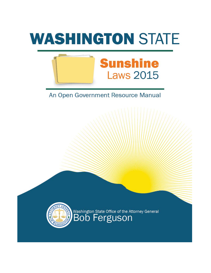



# An Open Government Resource Manual



Washington State Office of the Attorney General<br>BOD Ferguson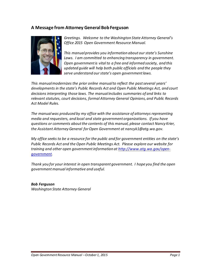#### **A Message from Attorney General Bob Ferguson**



*Greetings. Welcome to the Washington State Attorney General's Office 2015 Open Government Resource Manual.*

*This manual provides you information about our state's Sunshine*  Laws. I am committed to enhancing transparency in government. *Open government is vital to a free and informed society, and this updated guide will help both public officials and the people they serve understand our state's open government laws.*

*This manual modernizes the prior online manual to reflect the past several years' developments in the state's Public Records Act and Open Public Meetings Act, and court decisions interpreting those laws. The manual includes summaries of and links to relevant statutes, court decisions, formal Attorney General Opinions, and Public Records Act Model Rules.*

*The manual was produced by my office with the assistance of attorneys representing media and requesters, and local and state government organizations. If you have questions or comments about the contents of this manual, please contact Nancy Krier, the Assistant Attorney General for Open Government at nancyk1@atg.wa.gov.*

*My office seeks to be a resource for the public and for government entities on the state's Public Records Act and the Open Public Meetings Act. Please explore our website for training and other open government information at [http://www.atg.wa.gov/open](http://www.atg.wa.gov/open-government)[government.](http://www.atg.wa.gov/open-government)* 

*Thank you for your interest in open transparent government. I hope you find the open government manual informative and useful.*

*Bob Ferguson Washington State Attorney General*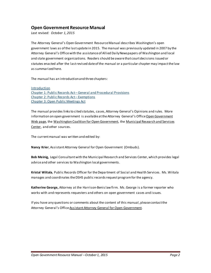#### **Open Government Resource Manual**

*Last revised: October 1, 2015*

The Attorney General's Open Government Resource Manual describes Washington's open government laws as of the last update in 2015. The manual was previously updated in 2007 by the Attorney General's Office with the assistance of Allied Daily Newspapers of Washington and local and state government organizations. Readers should be aware that court decisions issued or statutes enacted after the last revised date of the manual or a particular chapter may impact the law as summarized here.

The manual has an introduction and three chapters:

[Introduction](#page-3-0) Chapter 1: Public Records Act – [General and Procedural Provisions](#page-4-0) [Chapter 2: Public Records Act –](#page-18-0) Exemptions [Chapter 3: Open Public Meetings Act](#page-42-0) 

The manual provides links to cited statutes, cases, Attorney General's Opinions and rules. More information on open government is available at the Attorney General's Offic[e Open Government](http://www.atg.wa.gov/open-government)  [Web page,](http://www.atg.wa.gov/open-government) the [Washington Coalition for Open Government,](http://washingtoncog.org/) the [Municipal Research and Services](http://www.mrsc.org/)  [Center,](http://www.mrsc.org/) and other sources.

The current manual was written and edited by:

**Nancy Krier**, Assistant Attorney General for Open Government (Ombuds).

**Bob [Meinig,](mailto:bmeinig@mrsc.org)** Legal Consultant with the Municipal Research and Services Center, which provides legal advice and other services to Washington local governments.

**[Kristal Wiitala](mailto:wiitakk@dshs.wa.gov)**, Public Records Officer for the Department of Social and Health Services. Ms. Wiitala manages and coordinates the DSHS public records request program for the agency.

**Katherine George,** Attorney at the Harrison-Benis law firm. Ms. George is a former reporter who works with and represents requesters and others on open government cases and issues.

If you have any questions or comments about the content of this manual, please contactthe Attorney General's Office Assistant Attorney General for Open Government.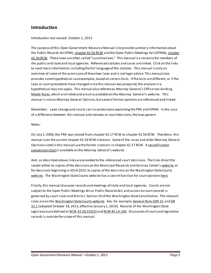#### <span id="page-3-0"></span>**Introduction**

#### *Introduction last revised: October 1, 2015*

The purpose of this Open Government Resource Manual is to provide summary information about the Public Records Act (PRA)[, chapter 42.56](http://apps.leg.wa.gov/rcw/default.aspx?cite=42.56) RCW and the Open Public Meetings Act (OPMA), chapter [42.30](http://apps.leg.wa.gov/RCW/default.aspx?cite=42.30) RCW. These laws are often called "sunshine laws." This manual is a resourcefor members of the public and stateand local agencies. Referenced statutes and cases are linked. Click on the links to read more information, including the full language of the statutes. This manual is only an overview of some of the provisions of these two laws and is not legal advice. This manual also provides some hypothetical case examples, based on certain facts. If the facts are different, or if the laws or court precedents have changed since this manual was prepared, the analysis in a hypothetical may not apply. This manual also references Attorney General's Officenon-binding [Model Rules,](http://www.atg.wa.gov/model-rules-public-disclosure) which are linked and are also available on the Attorney General's website. This manual is not an Attorney General Opinion, but several formal opinions are referenced and linked.

Remember: Laws change and courts can issue decisions explaining the PRA and OPMA. In the case of a difference between this manual and statutes or court decisions, thelaws govern.

#### Notes:

On July 1, 2006, the PRA was moved from chapter 42.17 RCW to chapter 42.56 RCW. Therefore, this manual uses thecurrent chapter 42.56 RCW citations. Some of the cases and older Attorney General Opinions cited in this manual use the former citations in chapter 42.17 RCW. [A recodification](http://www.atg.wa.gov/model-rules-public-disclosure)  [conversion chart](http://www.atg.wa.gov/model-rules-public-disclosure)is available on th[e Attorney General's website.](http://www.atg.wa.gov/uploadedFiles/Home/About_the_Office/Open_Government/Open_Government_Internet_Manual/ConversionTableForNewStatuteNumbers%5b1%5d.pdf)

And, as described above, links are provided to the referenced court decisions. The links direct the reader either to copies of the decisions on the Municipal Research and Services Center'[s website,](http://mrsc.org/Home/Research-Tools/Washington-State-Supreme-and-Appellate-Court-Decis.aspx) or for decisions beginning in 2014-2015, to copies of the decisions on the Washington State Courts [website.](http://www.courts.wa.gov/) The Washington State Courts website has a search function for court opinion[s here.](http://www.courts.wa.gov/opinions/)

Finally, this manual discusses records and meetings of state and local agencies. Courts are not subject to the Open Public Meetings Act or Public Records Act, and access to court records is governed by court rules and Article I, Section 10 of the Washington State Constitution. The relevant rules are o[n the Washington State Courts website.](http://www.courts.wa.gov/) See, for example[, General Rule \(GR\) 31](http://www.courts.wa.gov/court_rules/?fa=court_rules.display&group=ga&set=GR&ruleid=GAGR31) an[d GR](http://www.courts.wa.gov/court_rules/?fa=court_rules.adopted)  [31.1](http://www.courts.wa.gov/court_rules/?fa=court_rules.adopted) (adopted October 18, 2013, effective January 1, 2016). Records of the Washington State Legislature are defined a[t RCW 42.56.010\(3\)](http://apps.leg.wa.gov/rcw/default.aspx?cite=42.56.010) an[d RCW 40.14.100](http://apps.leg.wa.gov/rcw/default.aspx?cite=40.14.100). Discussion of court and legislative records is outside the scope of this manual.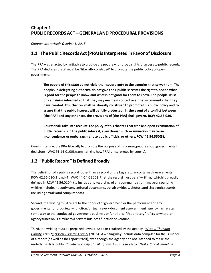# <span id="page-4-0"></span>**Chapter 1 PUBLIC RECORDS ACT – GENERAL AND PROCEDURAL PROVISIONS**

*Chapter last revised: October 1, 2015*

#### **1.1 The Public Records Act (PRA) is Interpreted in Favor of Disclosure**

The PRA was enacted by initiative to provide the people with broad rights of access to public records. The PRA declares that it must be "liberally construed" to promote the public policy of open government:

**The people of this state do not yield their sovereignty to the agencies that serve them. The people, in delegating authority, do not give their public servants the right to decide what is good for the people to know and what is not good for them to know. The people insist on remaining informed so that they may maintain control over the instruments that they have created. This chapter shall be liberally construed to promote this public policy and to assure that the public interest will be fully protected. In the event of a conflict between [the PRA] and any other act, the provisions of [the PRA] shall govern. [RCW 42.56.030.](http://apps.leg.wa.gov/rcw/default.aspx?cite=42.56.030)**

**Courts shall take into account the policy of this chapter that free and open examination of public records is in the public interest, even though such examination may cause inconvenience or embarrassment to public officials or others[. RCW 42.56.550\(3\)](http://apps.leg.wa.gov/rcw/default.aspx?cite=42.56.550).**

Courts interpret the PRA liberally to promote the purpose of informing people about governmental decisions[. WAC 44-14-01003](http://apps.leg.wa.gov/WAC/default.aspx?cite=44-14-01003) (summarizing how PRA is interpreted by courts).

#### **1.2 "Public Record" Is Defined Broadly**

The definition of a public record (other than a record of the Legislature) contains three elements. [RCW 42.56.010\(3\) and \(4\);](http://apps.leg.wa.gov/rcw/default.aspx?cite=42.56.010)[WAC 44-14-03001](http://apps.leg.wa.gov/WAC/default.aspx?cite=44-14-03001). First, the record must be a "writing," which is broadly defined i[n RCW 42.56.010\(4\)](http://apps.leg.wa.gov/rcw/default.aspx?cite=42.56.010) to include any recording of any communication, image or sound. A writing includes not only conventional documents, but also videos, photos, and electronic records including emails and computer data.

Second, the writing must relate to the conduct of government or the performance of any governmental or proprietary function. Virtually every document a government agency has relates in some way to the conduct of government business or functions. "Proprietary" refers to where an agency function is similar to a private business function or venture.

Third, the writing must be prepared, owned, used or retained by the agency. *[West v. Thurston](http://courts.mrsc.org/mc/courts/zappellate/168wnapp/168wnapp0162.htm)  [County](http://courts.mrsc.org/mc/courts/zappellate/168wnapp/168wnapp0162.htm)*, (2012); *[Nissen v. Pierce County](http://www.courts.wa.gov/opinions/index.cfm?fa=opinions.showOpinion&filename=908753MAJ)* (2015). A writing may include data compiled for the issuance of a report (as well as the report itself), even though the agency had not intended to make the underlying data public. *[Yacobellis v. City of Bellingham](http://courts.mrsc.org/mc/courts/zappellate/055wnapp/055wnapp0706.htm)*(1989); see also *[O'Neill v. City of Shoreline](http://courts.mrsc.org/mc/courts/zappellate/145wnapp/145wnapp0913.htm)*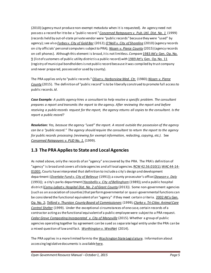(2010) (agency must produce non-exempt metadata when it is requested). An agency need not possess a record for it to be a "public record." *[Concerned Ratepayers v. Pub. Util. Dist. No. 1](http://courts.mrsc.org/mc/courts/zsupreme/138wn2d/138wn2d0950.htm)* (1999) (records held by out-of-state private vendor were "public records" because they were "used" by agency); see also *[Forbes v. City of Gold Bar](http://courts.mrsc.org/mc/courts/zappellate/171wnapp/171wnapp0857.htm)* (2012);*[O'Neill v. City of Shoreline](http://courts.mrsc.org/mc/courts/zappellate/145wnapp/145wnapp0913.htm)* (2010) (agency records on city officials' personal computers subject to PRA); *[Nissen v. Pierce County](http://www.courts.wa.gov/opinions/index.cfm?fa=opinions.showOpinion&filename=908753MAJ)* (2015) (agency records on cell phones). Although this element is broad, it is not limitless. *Compare* [1983 Att'y Gen. Op. No.](http://www.atg.wa.gov/ago-opinions/access-certain-records-public-utility-districts-under-state-public-disclosure-law)  [9](http://www.atg.wa.gov/ago-opinions/access-certain-records-public-utility-districts-under-state-public-disclosure-law) (list of customers of public utility district is a public record) *with* [1989 Att'y Gen. Op. No. 11](http://www.atg.wa.gov/ago-opinions/public-records-counties-municipal-corporations-municipal-bonds) (registry of municipal bondholders is not public record because itwas compiled by trust company and never prepared, possessed or used by county).

The PRA applies only to "public records." *[Oliver v. Harborview Med. Ctr.](http://courts.mrsc.org/mc/courts/zsupreme/094wn2d/094wn2d0559.htm)* (1980); *[Nissen v. Pierce](http://www.courts.wa.gov/opinions/index.cfm?fa=opinions.showOpinion&filename=908753MAJ)  [County](http://www.courts.wa.gov/opinions/index.cfm?fa=opinions.showOpinion&filename=908753MAJ)* (2015). The definition of "public record" is to be liberally construed to promote full access to public records. *Id*.

*Case Example: A public agency hires a consultant to help resolve a specific problem. The consultant prepares a report and transmits the report to the agency. After reviewing the report and before receiving a public records request for the report, the agency returns all copies to the consultant. Is the report a public record?*

*Resolution: Yes, because the agency "used" the report. A record outside the possession of the agency can be a "public record." The agency should require the consultant to return the report to the agency for public records processing (reviewing for exempt information, redacting, copying, etc.).* See *[Concerned Ratepayers v. PUD No. 1.](http://courts.mrsc.org/mc/courts/zsupreme/138wn2d/138wn2d0950.htm)* (1999).

#### **1.3 The PRA Applies to State and Local Agencies**

As noted above, only the records of an "agency" are covered by the PRA. The PRA's definition of "agency" is broad and covers all state agencies and all local agencies[. RCW 42.56.010\(1\)](http://apps.leg.wa.gov/rcw/default.aspx?cite=42.56.010)[; WAC 44-14-](http://apps.leg.wa.gov/WAC/default.aspx?cite=44-14-01001) [01001.](http://apps.leg.wa.gov/WAC/default.aspx?cite=44-14-01001) Courts have interpreted that definition to include a city's design and development department (*[Overlake Fund v. City of Bellevue](http://courts.mrsc.org/dtSearch/dtisapi6.dll?cmd=getdoc&DocId=8051&Index=C%3a%5cdtSearch%5czappellate&HitCount=189&hits=6+7+b+d+f+16+17+1b+1d+1f+2b+2c+30+32+34+bd+be+bf+c0+1df+22c+22d+22e+22f+277+283+284+291+293+2a0+2a5+2c7+2db+2dc+2e1+2e6+2e8+2ea+2f9+30c+30d+321+329+33b+347+34e+355+35a+360+370+374+375+376+377+38e+39b+39c+39f+3aa+3ad+3c2+3cd+3d3+3ee+3fa+3fe+44f+46a+470+473+489+4a9+4b8+4b9+4d8+4d9+4e6+4ec+4f9+4fa+4fb+4fc+52a+53e+561+56a+57a+589+592+5a7+5aa+5be+5c1+5d4+5e6+5f5+625+62e+631+644+647+649+669+66a+66b+66c+68b+6a7+6b2+6f6+70c+710+721+746+753+79c+7b2+7b3+7b4+7b5+824+850+86f+878+88c+8fb+908+909+90a+90b+917+927+935+93f+945+96d+991+9b5+9dc+a2d+a6b+a8c+a8d+a8e+a8f+ab5+ac2+ac5+acf+ad2+ada+aed+af1+af5+bbd+bc1+bfd+bfe+bff+c00+c10+c27+c9d+ca9+cb0+cb9+cc8+cd2+cec+cfa+d07+d12+d18+d61+d62+d63+d64+d76+dc8+ddd+e04+e51+e9d+ea0+eb6+f42+f68+f75+f8b+&SearchForm=%2fappellate%2findex%5fdtSearch%5fform%2ehtml%23hit1)* (1991)); a county prosecutor's office (*[Dawson v. Daly](http://courts.mrsc.org/dtSearch/dtisapi6.dll?cmd=getdoc&DocId=11632&Index=C%3a%5cdtSearch%5czsupreme&HitCount=75&hits=8+9+a+12+13+14+1f+20+21+24+26+28+4e7+5ad+5cd+615+61c+627+649+658+671+676+6b8+6c1+6cf+6d6+74d+850+900+92f+979+a41+a66+a81+ab1+ad2+af8+b3e+c0e+c40+c54+ccb+d2c+d9d+dc9+ddb+dee+dfa+e3e+e56+e6b+e7a+ea1+fcf+fed+fff+1112+1176+11ff+1271+12e6+1323+1335+1387+13e3+1546+1553+1562+15fe+167d+16b1+1748+1774+17b8+17e6+&SearchForm=%2fsupreme%2findex%5fdtSearch%5fform%2ehtml%23hit1)* (1993)); a city's parks department (*[Yacobellis v. City of Bellingham](http://courts.mrsc.org/mc/courts/zappellate/055wnapp/055wnapp0706.htm)* (1989))*;*and a public hospital district(*[Cornu-Labat v. Hospital Dist. No. 2 of Grant County](http://courts.mrsc.org/mc/courts/zsupreme/177wn2d/177wn2d0221.htm)* (2013)). Some non-government agencies (such as an association of counties) thatperformgovernmental or quasi-governmental functions can be considered the functional equivalent of an "agency" if they meet certain criteria. 2002 Att'y Gen. [Op. No. 2;](http://www.atg.wa.gov/ago-opinions/applicability-public-records-sections-rcw-4217-associations-comprised-counties-county) *[Telford v. Thurston County Board of Commissioners](http://courts.mrsc.org/mc/courts/zappellate/095wnapp/095wnapp0149.htm)* (1999)*; Clarke v. Tri-Cities Animal Care [Control](http://courts.mrsc.org/mc/courts/zappellate/095wnapp/095wnapp0149.htm) Shelter* (1999). Under the exceptional circumstances of one case, certain records of a contractor acting as the functional equivalent of a public employee were subject to a PRA request. *[Cedar Grove Composting Incorporated v. City of Marysville](http://www.courts.wa.gov/opinions/index.cfm?fa=opinions.showOpinion&filename=710524MAJ)* (2015). Whether a group of public agencies operating together by agreement can be sued as separate legal entity under the PRA can be a mixed question of law and fact. *[Worthington v. WestNet](http://www.courts.wa.gov/opinions/index.cfm?fa=opinions.showOpinion&filename=900370MAJ)* (2014).

The PRA applies in a more limited form to the [Washington State Legislature.](http://leg.wa.gov/) Information about accessing legislative documents is availabl[e here.](http://leg.wa.gov/Pages/default.aspx)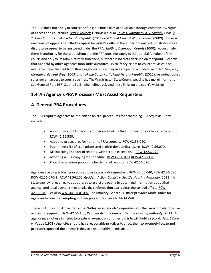The PRA does not apply to court case files; but those files are available through common law rights of access and court rules. *[Nast v. Michels](http://courts.mrsc.org/mc/courts/zsupreme/107wn2d/107wn2d0300.htm)* (1986); see also *[Cowles Publishing Co. v. Murphy](http://courts.mrsc.org/mc/courts/zsupreme/096wn2d/096wn2d0584.htm)* (1981); *[Yakima County v. Yakima Herald-Republic](http://courts.mrsc.org/mc/courts/zsupreme/170wn2d/170wn2d0775.htm)* (2011) and *[City of Federal Way v. Koenig](http://courts.mrsc.org/mc/courts/zsupreme/167wn2d/167wn2d0341.htm)* (2009). However, one court of appeals held that a request for judge's oaths to the superior court administrator was a disclosure request to be answered under the PRA. *[Smith v. Okanogan County](http://courts.mrsc.org/mc/courts/zappellate/100wnapp/100wnapp0007.htm)* (2000)*.* Accordingly, there is authority for the proposition that the PRA does not apply to the judicial functions of the courts and only to its administrative functions, but there is no clear decision on that point. Records that are held by other agencies (non-judicial entities), even if they relate to court activities, are available under the PRA from those agencies unless they are subject to a protective order. See, e.g., *Morgan [v. Federal Way](http://courts.mrsc.org/mc/courts/zsupreme/166wn2d/166wn2d0747.htm)* (2009) and *[Yakima County v. Yakima Herald-Republic](http://courts.mrsc.org/mc/courts/zsupreme/170wn2d/170wn2d0775.htm)* (2011). As noted, court rules govern access to court case files. Th[e Washington State Courts website](http://www.courts.wa.gov/) has more information [See General Rule \(GR\) 31](http://www.courts.wa.gov/court_rules/?fa=court_rules.display&group=ga&set=GR&ruleid=GAGR31) an[d 31.1](http://www.courts.wa.gov/court_rules/?fa=court_rules.adopted) (when effective), an[d these links](http://www.courts.wa.gov/newsinfo/publication/?fa=newsinfo_publication.recordsRequest) on the court's website.

## **1.4 An Agency's PRA Processes Must Assist Requesters**

## **A. General PRA Procedures**

The PRA requires agencies to implement several procedures for processing PRA requests. They include:

- Appointing a public records officer and making that information available to the public. [RCW 42.56.580](http://apps.leg.wa.gov/RCW/default.aspx?cite=42.56.580).
- Adopting procedures for handling PRA requests. [RCW 42.56.040.](http://apps.leg.wa.gov/RCW/default.aspx?cite=42.56.040)
- Publishing a list of exemptions and prohibitions to disclosure[. RCW 42.56.070.](http://apps.leg.wa.gov/RCW/default.aspx?cite=42.56.070)
- Maintaining an index of records, with certain exceptions[. RCW 42.56.070](http://apps.leg.wa.gov/RCW/default.aspx?cite=42.56.070).
- Adopting a PRA copying fee schedule. [RCW 42.56.070](http://apps.leg.wa.gov/RCW/default.aspx?cite=42.56.070)[;RCW 42.56.120](http://apps.leg.wa.gov/RCW/default.aspx?cite=42.56.120).
- Providing a review procedure for denial of records[. RCW 42.56.520](http://apps.leg.wa.gov/RCW/default.aspx?cite=42.56.520).

Agencies are to establish procedures to assist records requesters. [RCW 42.56.040](http://apps.leg.wa.gov/RCW/default.aspx?cite=42.56.040)[; RCW 42.56.580](http://apps.leg.wa.gov/RCW/default.aspx?cite=42.56.580); [RCW 42.56.070\(1\)](http://apps.leg.wa.gov/RCW/default.aspx?cite=42.56.070)[; RCW 42.56.100](http://apps.leg.wa.gov/RCW/default.aspx?cite=42.56.100); *[Resident Action Council v. Seattle Housing Authority](http://courts.mrsc.org/mc/courts/zsupreme/177wn2d/177wn2d0417.htm)* (2013). A state agency is required to adopt rules to assist the public in obtaining information about that agency, and local agencies must make that information available at the central office. RCW [42.56.040.](http://apps.leg.wa.gov/RCW/default.aspx?cite=42.56.040) See als[o WAC 44-14-01002](http://apps.leg.wa.gov/WAC/default.aspx?cite=44-14-01002). The Attorney General's Office provides Model Rules for agencies to consider adopting for their procedures. See [ch. 44-14 WAC.](http://apps.leg.wa.gov/WAC/default.aspx?cite=44-14)

These PRA rules must provide for the "fullest assistance to" requesters and the "most timely possible action" on request[s. RCW 42.56.100](http://apps.leg.wa.gov/RCW/default.aspx?cite=42.56.100)*[; Resident Action Council v. Seattle Housing Authority](http://courts.mrsc.org/mc/courts/zsupreme/177wn2d/177wn2d0417.htm)* (2013). An agency may not use its rules to create an exemption or other basis to withhold a record. *[Hearst Corp.](http://courts.mrsc.org/mc/courts/zsupreme/090wn2d/090wn2d0123.htm)  [v. Hoppe](http://courts.mrsc.org/mc/courts/zsupreme/090wn2d/090wn2d0123.htm)* (1978)*.*Agencies should have reasonable practices to allow them to promptly locate and produce requested documents if they are reasonably identifiable.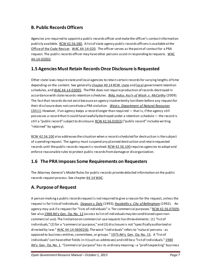# **B. Public Records Officers**

Agencies are required to appoint a public records officer and make the officer's contact information publicly available[. RCW 42.56.580](http://apps.leg.wa.gov/rcw/default.aspx?cite=42.56.580). A list of state agency public records officers is available at the [Office of the Code Reviser.](http://leg.wa.gov/CodeReviser/Documents/PROlist.htm) [WAC 44-14-020.](http://apps.leg.wa.gov/WAC/default.aspx?cite=44-14-020) The officer serves as the point of contact for a PRA request. The public records officer may have other persons assist in responding to requests. WAC [44-14-02002.](http://apps.leg.wa.gov/WAC/default.aspx?cite=44-14-02002)

## **1.5 Agencies Must Retain Records Once Disclosure is Requested**

Other state laws require state and local agencies to retain certain records for varying lengths of time depending on the content. See generally [chapter 40.14 RCW](http://apps.leg.wa.gov/rcw/default.aspx?cite=40.14)[, state](http://www.sos.wa.gov/archives/recordsmanagement/state-agencies-records-retention-schedules.aspx) an[d local](http://www.sos.wa.gov/archives/RecordsRetentionSchedules.aspx) government retention schedules, an[d WAC 44-14-03005](http://apps.leg.wa.gov/WAC/default.aspx?cite=44-14-03005). The PRA does not require production of records destroyed in accordance with state records retention schedules. *[Bldg. Indus. Ass'n of Wash .v. McCarthy](http://courts.mrsc.org/mc/courts/zappellate/152wnapp/152wnapp0720.htm)* (2009). The fact that records do not exist because an agency inadvertently lost them before any request for their disclosure does not constitute a PRA violation. *[West v. Department of Natural Resources](http://courts.mrsc.org/mc/courts/zappellate/163wnapp/163wnapp0235.htm)*  [\(2011\).](http://courts.mrsc.org/mc/courts/zappellate/163wnapp/163wnapp0235.htm) However, if an agency keeps a record longer than required — that is, if the agency still possesses a record that it could have lawfully destroyed under a retention schedule— the record is still a "public record" subject to disclosur[e. RCW 42.56.010\(3\)](http://apps.leg.wa.gov/RCW/default.aspx?cite=42.56.010) ("public record" includes writing "retained" by agency).

[RCW 42.56.100](http://apps.leg.wa.gov/RCW/default.aspx?cite=42.56.100) also addresses the situation when a record scheduled for destruction is the subject of a pending request. The agency must suspend any planned destruction and retain requested records until the public records request is resolved[. RCW 42.56.100](http://apps.leg.wa.gov/RCW/default.aspx?cite=42.56.100) requires agencies to adopt and enforce reasonable rules to protect public records from damage or disorganization.

#### **1.6 The PRA Imposes Some Requirements on Requesters**

The Attorney General's Model Rules for public records provide detailed information on the public records request process. See chapter [44-14 WAC.](http://apps.leg.wa.gov/WAC/default.aspx?cite=44-14)

# **A. Purpose of Request**

A person making a public records request is not required to give a reason for the request, unless the request is for lists of individuals. *[Dawson v. Daly](http://courts.mrsc.org/mc/courts/zsupreme/120wn2d/120wn2d0782.htm)* (1993)*[;Yacobellis v. City of Bellingham](http://courts.mrsc.org/mc/courts/zappellate/064wnapp/064wnapp0295.htm)* (1992). An agency may ask if a request for "lists of individuals" is "for commercial purposes.[" RCW 42.56.070\(9\)](http://apps.leg.wa.gov/rcw/default.aspx?cite=42.56.070). See also [1988 Att'y Gen. Op. No. 12](http://www.atg.wa.gov/AGOOpinions/opinion.aspx?section=archive&id=8652%23.VL2sVU10yM8) (access to list of individuals may be conditioned upon noncommercial use). The limitation on commercial-use requests has three elements: (1) "list of individuals," (2) for a "commercial purpose," and (3) disclosure is not "specifically authorized or directed by law.[" WAC 44-14-06002\(6\).](http://apps.leg.wa.gov/WAC/default.aspx?cite=44-14-06002) The word "individuals" refers to "natural persons - as opposed to business entities, committees, or group[s." 1975 Att'y Gen. Op. No. 15.](http://www.atg.wa.gov/ago-opinions/access-lists-individuals-under-initiative-no-276) A "list of individuals" can have other fields in it (such as addresses) and still be a "list of individuals.[" 1980](http://www.atg.wa.gov/ago-opinions/public-access-property-tax-assessment-rolls)  [Att'y Gen. Op. No. 1.](http://www.atg.wa.gov/ago-opinions/public-access-property-tax-assessment-rolls) "Commercial purpose" has its ordinary meaning - a "profit expecting" business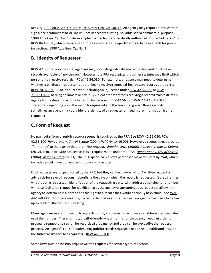activity[. 1998 Att'y Gen.](http://www.atg.wa.gov/ago-opinions/authority-public-agencies-allow-inspection-and-copying-lists-individuals) Op. No.2[; 1975 Att'y Gen. Op. No. 15.](http://www.atg.wa.gov/ago-opinions/access-lists-individuals-under-initiative-no-276) An agency may require a requester to sign a declaration that he or she will not use records listing individuals for a commercial purpose. [1988 Att'y Gen. Op. No. 12.](http://www.atg.wa.gov/ago-opinions/confidential-income-information) An example of a disclosure "specifically authorized or directed by law" is [RCW 84.40.020,](http://apps.leg.wa.gov/rcw/default.aspx?cite=84.40.020) which requires a county assessor's real property tax rolls to be available for public inspection. [1980 Att'y Gen. Op. No. 1.](http://www.atg.wa.gov/ago-opinions/public-access-property-tax-assessment-rolls)

#### **B. Identity of Requester**

[RCW 42.56.080](http://apps.leg.wa.gov/rcw/default.aspx?cite=42.56.080) provides that agencies may not distinguish between requesters and must make records available to "any person." However, the PRA recognizes that other statutes may limit which persons may receive records. [RCW 42.56.080.](http://apps.leg.wa.gov/rcw/default.aspx?cite=42.56.080) For example, an agency may need to determine whether a particular requester is authorized to receive requested health care records pursuant to [RCW 70.02.030.](http://apps.leg.wa.gov/RCW/default.aspx?cite=70.02.030) Also, a court order (including an injunction unde[r RCW 42.56.565](http://apps.leg.wa.gov/RCW/default.aspx?cite=42.56.565) o[r RCW](http://apps.leg.wa.gov/RCW/default.aspx?cite=71.09.120)  [71.09.120\(3\)](http://apps.leg.wa.gov/RCW/default.aspx?cite=71.09.120) barring an inmate or sexually violent predator from receiving a record) may restrict an agency from releasing records to particular persons. [RCW 42.56.080](http://apps.leg.wa.gov/rcw/default.aspx?cite=42.56.080)[; WAC 44-14-04003\(1\)](http://apps.leg.wa.gov/WAC/default.aspx?cite=44-14-04003). Therefore, depending upon the records requested and the laws that govern those records, sometimes an agency may consider the identity of a requester or need more information from a requester.

# **C. Form of Request**

No particular form of public records request is required by the PRA. See [RCW 42.56.080](http://apps.leg.wa.gov/rcw/default.aspx?cite=42.56.080)[; RCW](http://apps.leg.wa.gov/rcw/default.aspx?cite=42.56.100)  [42.56.100;](http://apps.leg.wa.gov/rcw/default.aspx?cite=42.56.100) *[Hangartner v. City of Seattle](http://courts.mrsc.org/mc/courts/zsupreme/151wn2d/151wn2d0439.htm)* (2004)*;* [WAC 44-14-03006](http://apps.leg.wa.gov/WAC/default.aspx?cite=44-14-03006). However, a request must provide "fair notice" to the agency that it is a PRA request. *[Wood v. Lowe](http://courts.mrsc.org/mc/courts/zappellate/102wnapp/102wnapp0872.htm)* (2000*)[; Germeau v. Mason County](http://courts.mrsc.org/mc/courts/zappellate/166wnapp/166wnapp0789.htm)* (2012). It must provide notice that it is a request made under the PRA. *[Hangartner v. City of Seattle](http://courts.mrsc.org/mc/courts/zsupreme/151wn2d/151wn2d0439.htm)* (2004)*[; Wright v. State](http://courts.mrsc.org/mc/courts/zappellate/176wnapp/176wnapp0585.htm)* (2013). The PRA specifically allows persons to make requests by mail, which includes email under current technology and practices.

Oral requests are not prohibited by the PRA, but they can be problematic. A written request is advisable for several reasons. It confirms the date on which the record is requested. It also clarifies what is being requested. Identification of the requesting party, with address and telephone number, will also facilitate a request for clarification by the agency of any ambiguous request or allow the agency to determine if a person has the right to a record that would normally be exempt. See WAC [44-14-03006](http://apps.leg.wa.gov/WAC/default.aspx?cite=44-14-03006). For these reasons, if a requester makes an oral request, an agency may need to follow up to confirm the request in writing.

Many agencies use public records requests forms, and make those forms available on their websites or at their offices. These forms typically identify what information the agency needs in order to process a request and search for records at that agency and thus can help expedite the request process. An agency's rules for submitting public records requests must be reasonable and provide the fullest assistance to a requester. [RCW 42.56.100.](http://apps.leg.wa.gov/rcw/default.aspx?cite=42.56.100)

Some laws outside the PRA require written requests for certain types of records.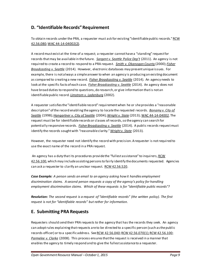# **D. "Identifiable Records" Requirement**

To obtain records under the PRA, a requester must ask for existing "identifiable public records." RCW [42.56.080](http://apps.leg.wa.gov/rcw/default.aspx?cite=42.56.080)[; WAC 44-14-04002\(2\)](http://apps.leg.wa.gov/WAC/default.aspx?cite=44-14-04002).

A record must exist at the time of a request; a requester cannot have a "standing" request for records that may be available in the future. *[Sargent v. Seattle](http://courts.mrsc.org/mc/courts/zappellate/167wnapp/167wnapp0001.htm) Police Dep't* (2011). An agency is not required to create a record to respond to a PRA request. *[Smith v. Okanogan County](http://courts.mrsc.org/mc/courts/zappellate/100wnapp/100wnapp0007.htm)* (2000); *[Fisher](http://caselaw.findlaw.com/wa-supreme-court/1669869.html)  [Broadcasting v. Seattle](http://caselaw.findlaw.com/wa-supreme-court/1669869.html)* (2014).However, electronic databases may present unique issues. For example, there is not always a simple answer to when an agency is producing an existing document as compared to creating a new record. *[Fisher Broadcasting v. Seattle](http://caselaw.findlaw.com/wa-supreme-court/1669869.html)* (2014)*.* An agency needs to look at the specific facts of each case. *[Fisher Broadcasting v. Seattle](http://caselaw.findlaw.com/wa-supreme-court/1669869.html)* (2014). An agency does not have broad duties to respond to questions, do research, or give information that is not an identifiable public record. *[Limstrom v. Ladenburg](http://courts.mrsc.org/mc/courts/zappellate/110wnapp/110wnapp0133.htm)* (2002)*.*

A requester satisfies the "identifiable record" requirement when he or she provides a "reasonable description" of the record enabling the agency to locate the requested records. *[Bonamy v. City of](http://courts.mrsc.org/mc/courts/zappellate/092wnapp/092wnapp0403.htm)  [Seattle](http://courts.mrsc.org/mc/courts/zappellate/092wnapp/092wnapp0403.htm)* (1998)*[; Hangartner v. City of Seattle](http://courts.mrsc.org/mc/courts/zsupreme/151wn2d/151wn2d0439.htm)* (2004)*[; Wright v. State](http://courts.mrsc.org/mc/courts/zappellate/176wnapp/176wnapp0585.htm)* (2013)[; WAC 44-14-04002](http://apps.leg.wa.gov/WAC/default.aspx?cite=44-14-04002). The request must be for identifiable records or classes of records, so the agency can search for potentially responsive records. *[Fisher Broadcasting v. Seattle](http://caselaw.findlaw.com/wa-supreme-court/1669869.html)* (2014)*.* A public records request must identify the records sought with "reasonable clarity." *[Wright v. State](http://courts.mrsc.org/mc/courts/zappellate/176wnapp/176wnapp0585.htm)* (2013)*.* 

However, the requester need not identify the record with precision. A requester is not required to use the exact name of the record in a PRA request.

An agency has a duty that its procedures provide the "fullest assistance" to inquirers[, RCW](http://apps.leg.wa.gov/rcw/default.aspx?cite=42.56.100)  [42.56.100,](http://apps.leg.wa.gov/rcw/default.aspx?cite=42.56.100) which may include assisting persons to fairly identify the documents requested. Agencies can ask a requester to clarify an unclear request. [RCW 42.56.520.](http://apps.leg.wa.gov/rcw/default.aspx?cite=42.56.520)

*Case Example: A person sends an email to an agency asking how it handles employment discrimination claims. A second person requests a copy of the agency's policy for handling employment discrimination claims. Which of these requests is for "identifiable public records"?*

*Resolution: The second request is a request of "identifiable records" (the written policy). The first request is not for "identifiable records" but rather for information.* 

#### **E. Submitting PRA Requests**

Requesters should send their PRA requests to the agency that has the records they seek. An agency can adopt rules explaining that requests are to be directed to a specific person (such as the public records officer) or to a specific address. Se[e RCW 42.56.040](http://apps.leg.wa.gov/rcw/default.aspx?cite=42.56.040)[; RCW 42.56.070\(1\);](http://apps.leg.wa.gov/rcw/default.aspx?cite=42.56.070) [RCW 42.56.100;](http://apps.leg.wa.gov/rcw/default.aspx?cite=42.56.100) *[Parmelee v. Clarke](http://courts.mrsc.org/mc/courts/zappellate/148wnapp/148wnapp0748.htm)* (2008). This process ensures that the request is received in a manner that enables the agency to timely respond and to give the fullest assistance to a requester.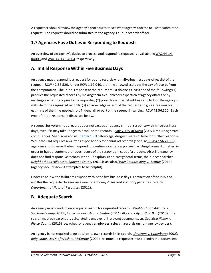A requester should review the agency's procedures to see what agency address to use to submit the request. The request should be submitted to the agency's public records officer.

#### **1.7 Agencies Have Duties in Responding to Requests**

An overview of an agency's duties to process and respond to requests is available i[n WAC 44-14-](http://apps.leg.wa.gov/WAC/default.aspx?cite=44-14-04003) [04003](http://apps.leg.wa.gov/WAC/default.aspx?cite=44-14-04003) an[d WAC 44-14-04004](http://apps.leg.wa.gov/WAC/default.aspx?cite=44-14-04004), respectively.

#### **A. Initial Response Within Five Business Days**

An agency must respond to a request for public records within five business days of receipt of the request. [RCW 42.56.520.](http://apps.leg.wa.gov/rcw/default.aspx?cite=42.56.520) Unde[r RCW 1.12.040,](http://apps.leg.wa.gov/RCW/default.aspx?cite=1.12.040) the time allowed excludes the day of receipt from the computation. The initialresponse to the request must do one at least one of the following: (1) produce the requested records by making them available for inspection at agency offices or by mailing or emailing copies to the requester; (2) provide an Internet address and link on the agency's website to the requested records; (3) acknowledge receipt of the request and give a reasonable estimate of the time needed; or, 4) deny all or part ofthe request in writing. [RCW 42.56.520.](http://apps.leg.wa.gov/rcw/default.aspx?cite=42.56.520) Each type of initial response is discussed below.

A request for voluminous records does not excuse an agency's initialresponse within five business days, even if it may take longer to produce the records. *[Zink v. City of Mesa](http://courts.mrsc.org/mc/courts/zappellate/140wnapp/140wnapp0328.htm)* (2007) (requiring strict compliance). See discussion i[n Chapter 1.7D](#page-12-0) below regarding estimates of time for further response. While the PRA requires a written response only for denials of records (see also [RCW 42.56.210\(3](http://apps.leg.wa.gov/RCW/default.aspx?cite=42.56.210))), agencies should nevertheless respond (or confirm a verbal response) in writing (by email or letter) in order to have a contemporaneous record of the response in case of a dispute. Also, if an agency does not find responsive records, it should explain, in at least general terms, the places searched. *[Neighborhood Alliance v. Spokane County](http://courts.mrsc.org/mc/courts/zsupreme/172wn2d/172wn2d0702.htm)* (2011); see also *[Fisher Broadcasting v. Seattle](http://caselaw.findlaw.com/wa-supreme-court/1669869.html)* (2014) (agency should show it attempted to be helpful).

Under case law, the failure to respond within the five business days is a violation of the PRA and entitles the requester to seek an award of attorneys' fees and statutory penalties. *West v. [Department of Natural Resources](http://courts.mrsc.org/mc/courts/zappellate/163wnapp/163wnapp0235.htm)* (2011).

#### **B. Adequate Search**

An agency must conduct an adequate search for requested records. *[Neighborhood Alliance v.](http://courts.mrsc.org/mc/courts/zsupreme/172wn2d/172wn2d0702.htm)  [Spokane County](http://courts.mrsc.org/mc/courts/zsupreme/172wn2d/172wn2d0702.htm)* (2011)*[; Fisher Broadcasting v. Seattle](http://caselaw.findlaw.com/wa-supreme-court/1669869.html)* (2014); *[Block v. City of Gold Bar](http://www.courts.wa.gov/opinions/index.cfm?fa=opinions.showOpinion&filename=714252MAJ)* (2015). The search must be reasonably calculated to uncover all relevant documents. *Id.* See also *[Nissen v.](http://www.courts.wa.gov/opinions/index.cfm?fa=opinions.showOpinion&filename=908753MAJ)  [Pierce County](http://www.courts.wa.gov/opinions/index.cfm?fa=opinions.showOpinion&filename=908753MAJ)* (2015) (searches for agency employees' relevant records on non-agency devices).

An agency is not required to go outside its own records in its search. *[Limstrom v. Ladenburg](http://courts.mrsc.org/mc/courts/zappellate/110wnapp/110wnapp0133.htm)* (2002)*; [Bldg. Indus. Ass'n of Wash .v. McCarthy](http://courts.mrsc.org/mc/courts/zappellate/152wnapp/152wnapp0720.htm)* (2009).As noted, a requester must identify the documents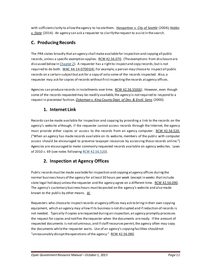with sufficient clarity to allow the agency to locate them. *[Hangartner v. City of Seattle](http://courts.mrsc.org/mc/courts/zsupreme/151wn2d/151wn2d0439.htm)* (2004)*[; Hobbs](http://www.courts.wa.gov/opinions/index.cfm?fa=opinions.showOpinion&filename=442841MAJ)  [v. State](http://www.courts.wa.gov/opinions/index.cfm?fa=opinions.showOpinion&filename=442841MAJ)* (2014). An agency can ask a requester to clarify the request to assist in the search.

## **C. Producing Records**

The PRA states broadly that an agency shall make available for inspection and copying all public records, unless a specific exemption applies. [RCW 42.56.070](http://apps.leg.wa.gov/RCW/default.aspx?cite=42.56.070). (The exemptions from disclosure are discussed below i[n Chapter 2\)](#page-18-0). A requester has a right to inspect and copy records, but is not required to do both. [WAC 44-14-07001\(4\)](http://apps.leg.wa.gov/WAC/default.aspx?cite=44-14-07001). For example, a person may choose to inspect all public records on a certain subject but ask for a copy of only some of the records inspected. Also, a requester may ask for copies of records without first inspecting the records at agency offices.

Agencies can produce records in installments over time. [RCW 42.56.550\(6\)](http://apps.leg.wa.gov/rcw/default.aspx?cite=42.56.550). However, even though some of the records requested may be readily available, the agency is not required to respond to a request in piecemeal fashion. *[Ockerman v. King County Dept. of Dev. & Envtl. Servs](http://courts.mrsc.org/mc/courts/zappellate/102wnapp/102wnapp0212.htm)* (2000)*.*

#### **1. Internet Link**

Records can be made available for inspection and copying by providing a link to the records on the agency's website although, if the requester cannot access records through the Internet, the agency must provide either copies or access to the records from an agency computer. [RCW 42.56.520.](http://apps.leg.wa.gov/RCW/default.aspx?cite=42.56.520) ("When an agency has made records available on its website, members of the public with computer access should be encouraged to preserve taxpayer resources by accessing those records online.") Agencies are encouraged to make commonly requested records available on agency websites. Laws of 2010 c. 69 (see notes followin[g RCW 42.56.520](http://apps.leg.wa.gov/RCW/default.aspx?cite=42.56.520)).

# **2. Inspection at Agency Offices**

Public records must be made available for inspection and copying at agency offices during the normal business hours of the agency for at least 30 hours per week (except in weeks that include state legal holidays) unless the requester and the agency agree on a different time. [RCW 42.56.090](http://apps.leg.wa.gov/RCW/default.aspx?cite=42.56.090). The agency's customary business hours must be posted on the agency's website and also made known to the public by other means. *[Id](http://apps.leg.wa.gov/RCW/default.aspx?cite=42.56.090)*.

Requesters who choose to inspect records at agency offices may ask to bring in their own copying equipment, which an agency may allow if its business is not disrupted and if redaction of records is not needed. Typically if copies are requested during an inspection, an agency promptly processes the request for copies and notifies the requester when the documents are ready. If the amount of requested documents is not voluminous, and if staff resources permit, the agency often may copy the documents while the requester waits. Use of an agency's copying facilities should not "unreasonably disrupt the operations of the agency." [RCW 42.56.080.](http://apps.leg.wa.gov/RCW/default.aspx?cite=42.56.080)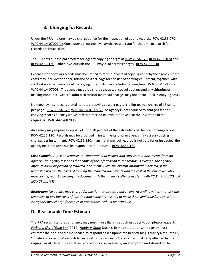# **3. Charging for Records**

Under the PRA, no one may be charged a fee for the inspection of public records. [RCW 42.56.070](http://apps.leg.wa.gov/RCW/default.aspx?cite=42.56.070); [WAC 44-14-07001\(1\)](http://apps.leg.wa.gov/WAC/default.aspx?cite=44-14-07001). Consequently, no agency may charge a person for the time to search for records for inspection.

The PRA sets out the parameters for agency copying charges a[t RCW 42.56.120](http://apps.leg.wa.gov/RCW/default.aspx?cite=42.56.120)[, RCW 42.56.070](http://apps.leg.wa.gov/RCW/default.aspx?cite=42.56.070) and [RCW 42.56.130.](http://apps.leg.wa.gov/RCW/default.aspx?cite=42.56.130) Other laws outside the PRA may also permit charges[. RCW 42.56.130](http://apps.leg.wa.gov/RCW/default.aspx?cite=42.56.130).

Expenses for copying records must be limited to "actual" costs of copying as set by the agency. These costs may include the paper, ink and cost per page for the use of copying equipment, together with staff salary expense incurred in copying. The costs may include scanning fees. [WAC 44-14-05002](http://apps.leg.wa.gov/WAC/default.aspx?cite=44-14-05002), [WAC 44-14-07003](http://apps.leg.wa.gov/WAC/default.aspx?cite=44-14-07003). The agency may also charge the actual cost of postage and any shipping or mailing container. General administrative or overhead charges may not be included in copying costs.

If an agency has not calculated its actual copying cost per page, it is limited to a charge of 15 cents per page. [RCW 42.56.120](http://apps.leg.wa.gov/rcw/default.aspx?cite=42.56.120)[; WAC 44-14-07001\(2\)](http://apps.leg.wa.gov/WAC/default.aspx?cite=44-14-07001). An agency is not required to charge a fee for copying records but may waive its fees either on its own initiative or at the invitation of the requester. [WAC 44-14-07005](http://apps.leg.wa.gov/WAC/default.aspx?cite=44-14-07005).

An agency may require a deposit of up to 10 percent of the estimated cost before copying record[s.](http://apps.leg.wa.gov/rcw/default.aspx?cite=42.56.120)  [RCW 42.56.120.](http://apps.leg.wa.gov/rcw/default.aspx?cite=42.56.120) Records may be provided in installments, and an agency may assess copying charges per installment. [RCW 42.56.120.](http://apps.leg.wa.gov/rcw/default.aspx?cite=42.56.120) If an installment of records is not paid for or inspected, the agency need not continue its response to the request. [RCW 42.56.120.](http://apps.leg.wa.gov/rcw/default.aspx?cite=42.56.120)

*Case Example: A person requests the opportunity to inspect and copy certain documents from an agency. The agency responds that some of the information in the records is exempt. The agency offers to allow inspection of redacted documents (with the exempt information deleted) if the requester will pay the costs of copying the redacted documents and the cost of the employee who must locate, redact and copy the documents. Is the agency's offer consistent with RCW 42.56.120 and .070(7) and (8)?*

*Resolution: No agency may charge for the right to inspect a document. Accordingly, it cannot ask the requester to pay the costs of locating and redacting records to make them available for inspection. An agency may charge for copies in accordance with its fee schedule.*

#### <span id="page-12-0"></span>**D. Reasonable Time Estimate**

The PRA recognizes that an agency may need more than five business days to complete a request. *[Forbes v. City of Gold Bar](http://courts.mrsc.org/mc/courts/zappellate/171wnapp/171wnapp0857.htm)* (2012)*[; Hobbs v. State](http://www.courts.wa.gov/opinions/index.cfm?fa=opinions.showOpinion&filename=442841MAJ)* (2014). In those situations, the agency must estimate the additional time needed to respond based upon time needed to: (1) clarify a request; (2) "locate and assemble" records to respond to the request; (3) contact a third party affected by the request; or (4) determine whether any records are covered by an exemption and should not be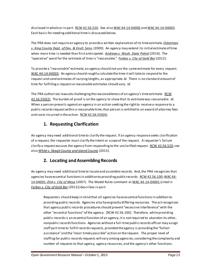disclosed in whole or in part. [RCW 42.56.520.](http://apps.leg.wa.gov/rcw/default.aspx?cite=42.56.520) See als[o WAC 44-14-04002](http://apps.leg.wa.gov/WAC/default.aspx?cite=44-14-04002) an[d WAC 44-14-04003](http://apps.leg.wa.gov/WAC/default.aspx?cite=44-14-04003). Each basis for needing additional timeis discussed below.

The PRA does not require an agency to provide a written explanation of its time estimate. *[Ockerman](http://courts.mrsc.org/mc/courts/zappellate/102wnapp/102wnapp0212.htm)  v. King County Dept. [of Dev. & Envtl. Servs](http://courts.mrsc.org/mc/courts/zappellate/102wnapp/102wnapp0212.htm)* (2000). An agency may extend its initial estimate of time when more time is needed than first anticipated. *[Andrews v. Wash. State Patrol](http://caselaw.findlaw.com/wa-court-of-appeals/1678311.html)* (2014). The "operative" word for the estimate of time is "reasonable." *[Forbes v. City of Gold Bar](http://courts.mrsc.org/mc/courts/zappellate/171wnapp/171wnapp0857.htm)* (2012).

To provide a "reasonable" estimate, an agency should not use the same estimate for every request. [WAC 44-14-04003](http://apps.leg.wa.gov/WAC/default.aspx?cite=44-14-04003). An agency should roughly calculate the time it will take to respond to the request and send estimates of varying lengths, as appropriate. *Id*. There is no standard amount of time for fulfilling a request so reasonable estimates should vary. *Id*.

The PRA authorizes lawsuits challenging the reasonableness of an agency's time estimate. RCW [42.56.550\(2\)](http://apps.leg.wa.gov/rcw/default.aspx?cite=42.56.550). The burden of proof is on the agency to show that its estimate was reasonable. *Id*. When a person prevails against an agency in an action seeking the right to receive a response to a public records request within a reasonable time, that person is entitled to an award of attorney fees and costs incurred in the action. [RCW 42.56.550\(4\)](http://apps.leg.wa.gov/rcw/default.aspx?cite=42.56.550).

# **1. Requesting Clarification**

An agency may need additional time to clarify the request. If an agency response seeks clarification of a request, the requester must clarify the intent or scope of the request. A requester's failure clarify a request excuses the agency from responding to the unclarified request. [RCW 42.56.520;](http://apps.leg.wa.gov/RCW/default.aspx?cite=42.56.520) see also *[White v. Skagit County and Island County](http://www.courts.wa.gov/opinions/index.cfm?fa=opinions.showOpinion&filename=720287MAJ)* (2015).

# **2. Locating and Assembling Records**

An agency may need additional time to locate and assemble records. And, the PRA recognizes that agencies have essential functions in addition to providing public records. [RCW 42.56.100](http://apps.leg.wa.gov/rcw/default.aspx?cite=42.56.100)[; WAC 44-](http://apps.leg.wa.gov/WAC/default.aspx?cite=44-14-04001) [14-04001;](http://apps.leg.wa.gov/WAC/default.aspx?cite=44-14-04001) *[Zink v. City of Mesa](http://courts.mrsc.org/mc/courts/zappellate/140wnapp/140wnapp0328.htm)* (2007). The Model Rules comment a[t WAC 44-14-04001](http://apps.leg.wa.gov/WAC/default.aspx?cite=44-14-04001) (cited in *[Forbes v. City of Gold Bar](http://courts.mrsc.org/mc/courts/zappellate/171wnapp/171wnapp0857.htm)* (2012)) describes in part:

Requesters should keep in mind that all agencies have essential functions in addition to providing public records. Agencies also have greatly differing resources. The act recognizes that agency public records procedures should prevent "excessive interference" with the other "essential functions" of the agency. [RCW 42.56.100]. Therefore, while providing public records is an essential function of an agency, it is not required to abandon its other, nonpublic records functions. Agencies without a full-time public records officer may assign staff part-time to fulfill records requests, provided the agency is providing the "fullest assistance" and the "most timely possible" action on the request. The proper level of staffing for public records requests will vary among agencies, considering the complexity and number of requests to that agency, agency resources, and the agency's other functions.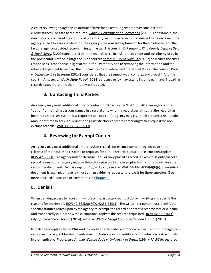A court reviewing an agency's estimate of time for assembling records may consider "the circumstances" related to the request. *[Bartz v. Department of Corrections](http://courts.mrsc.org/mc/courts/zappellate/173wnapp/173wnapp0522.htm)* (2013). For example, the *Bartz* court considered the volume of potentially responsive records that needed to be reviewed, the agency's need to seek clarification, the agency's reasonable explanation for the timeframe, and the fact the agency provided records in installments. The court in *[Ockerman v. King County Dept. of Dev.](http://courts.mrsc.org/mc/courts/zappellate/102wnapp/102wnapp0212.htm)  [& Envtl. Servs](http://courts.mrsc.org/mc/courts/zappellate/102wnapp/102wnapp0212.htm)*. (2000) considered that the records were in multiple locations and were being used by the prosecutor's office in litigation. The court in *[Forbes v. City of Gold Bar](http://courts.mrsc.org/mc/courts/zappellate/171wnapp/171wnapp0857.htm)* (2012) described the city's response as "reasonable in light of the difficulty the city had in retrieving the information and the efforts it expended to recover the information," and referenced the Model Rules. The court in *[West](http://caselaw.findlaw.com/wa-court-of-appeals/1674859.html)  [v. Department of Licensing](http://caselaw.findlaw.com/wa-court-of-appeals/1674859.html)* (2014) considered that the request was "complex and broad." And the court in *[Andrews v. Wash. State Patrol](http://caselaw.findlaw.com/wa-court-of-appeals/1678311.html)* (2014) said an agency may extend its time estimate if locating records takes more time than initially anticipated.

# **3. Contacting Third Parties**

An agency may need additional time to contact third parties[. RCW 42.56.540](http://apps.leg.wa.gov/rcw/default.aspx?cite=42.56.540) gives agencies the "option" of notifying persons named in a record or to whom a record pertains, that the record has been requested, unless the law requires such notice. An agency may give such persons a reasonable amount of time to seek an injunction against disclosure before complying with a request for nonexempt records. [WAC 44-14-04003\(11\)](http://apps.leg.wa.gov/WAC/default.aspx?cite=44-14-04003).

#### **4. Reviewing for Exempt Content**

An agency may need additional time to review records for exempt content. Agencies are not relieved of their duties to respond to requests for public records because an exemption applies. [RCW 42.56.210.](http://apps.leg.wa.gov/RCW/default.aspx?cite=42.56.210) An agency must determine if all or only part of a record is exempt. If only part of a record is exempt, an agency must withhold or redact only the exempt information and disclose the rest of the document. *[Hearst Corp. v. Hoppe](http://courts.mrsc.org/mc/courts/zsupreme/090wn2d/090wn2d0123.htm)* (1978)*;* see also [WAC 44-14-04004\(4\)\(b\)\(i\)](http://apps.leg.wa.gov/WAC/default.aspx?cite=44-14-04004). If an entire document is exempt, an agency must still provide the requester the basis for the exemption. (See more detailed discussion of exemptions i[n Chapter 2\)](#page-18-0).

#### **E. Denials**

When denying access to records in whole or in part, agencies must do so in writing and specify the reasons for the denial[. RCW 42.56.520](http://apps.leg.wa.gov/RCW/default.aspx?cite=42.56.520)[; RCW 42.56.210\(3\).](http://apps.leg.wa.gov/RCW/default.aspx?cite=42.56.210) The written response must identify the specific statutes relied upon by the agency to exempt the record or part of a record from disclosure and must briefly explain how the exemptions apply to the records requeste[d. RCW 42.56.210\(3\)](http://apps.leg.wa.gov/RCW/default.aspx?cite=42.56.210); *[City of Lakewood v. Koenig](http://www.courts.wa.gov/opinions/index.cfm?fa=opinions.showOpinion&filename=896488MAJ)* (2014);see also *[White v. Skagit County and Island County](http://www.courts.wa.gov/opinions/index.cfm?fa=opinions.showOpinion&filename=720287MAJ)* (2015).

In order to comply with the PRA and to create an adequate record for a reviewing court, the agency's response to a request for documents must include a way to identify any individual records withheld in their entirety. *[Progressive Animal Welfare Soc'y v. University of Wash.](http://courts.mrsc.org/mc/courts/zsupreme/125wn2d/125wn2d0243.htm)* (1994) (*PAWS II*); *s*ee also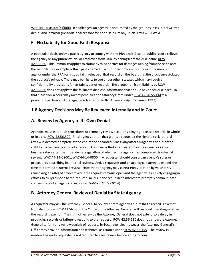[WAC 44-14-04004\(4\)\(b\)\(ii\).](http://apps.leg.wa.gov/WAC/default.aspx?cite=44-14-04004) If challenged, an agency is not limited by the grounds in its initial written denial and it may argue additional reasons for nondisclosure on judicial review. *PAWS II.*

#### **F. No Liability for Good Faith Response**

A good faith decision by a public agency to comply with the PRA and release a public record relieves the agency or any public official or employee from liability arising from the disclosure. RCW [42.56.060.](http://apps.leg.wa.gov/RCW/default.aspx?cite=42.56.060) This immunity applies to claims by third parties for damages arising from the release of the records. For example, a third party named in a public record cannot successfully sue a public agency under the PRA for a good faith release of that record on the basis that the disclosure violated the subject's privacy. There may be rights to sue under other statutes which may require confidentiality provisions for certain types of records. The protection from liability by RCW [42.56.060](http://apps.leg.wa.gov/rcw/default.aspx?cite=42.56.060) does not apply to the failure to disclose information that should have been disclosed. In that situation, a court may award penalties and attorneys' fees under [RCW 42.56.550\(4\)](http://apps.leg.wa.gov/rcw/default.aspx?cite=42.56.550) to a prevailing party even if the agency acts in good faith. *[Amren v. City of Kalama](http://courts.mrsc.org/mc/courts/zsupreme/131wn2d/131wn2d0025.htm)* (1997)*.*

## **1.8 Agency Decisions May Be Reviewed Internally and In Court**

## **A. Review by Agency of Its Own Denial**

Agencies must establish procedures to promptly review decisions denying access to records in whole or in part. [RCW 42.56.520.](http://apps.leg.wa.gov/RCW/default.aspx?cite=42.56.520) Final agency action that grants a requester the right to seek judicial review is deemed complete at the end of the second business day after an agency's denial of the right to inspect any portion of a record. This means that a requester may file a court case two business days after the initial denial regardless of whether the agency has completed its internal review. [WAC 44-14-08001](http://apps.leg.wa.gov/WAC/default.aspx?cite=44-14-08001)[; WAC 44-14-08004](http://app.leg.wa.gov/WAC/default.aspx?cite=44-14-08004). A requester should consult an agency's rules or procedures describing its internal reviews. And, a requester and an agency can agree to extend the time to permit an internal review. Note that an agency may cure a PRA violation by voluntarily remedying an alleged problemwhile the request remains open and the agency is actively engaging in efforts to fully respond to the request, so it is in the requester's interest to promptly communicate concerns about an agency's response. *[Hobbs v. State](http://www.courts.wa.gov/opinions/index.cfm?fa=opinions.showOpinion&filename=442841MAJ)* (2014)*.*

# **B. Attorney General Review of Denial by State Agency**

A requester may ask the Attorney General to review a state agency's claim that a record is exempt from disclosure[. RCW 42.56.530](http://apps.leg.wa.gov/RCW/default.aspx?cite=42.56.530). The Office of the Attorney General will respond in writing whether the record is exempt. The right of review by the Attorney General does not extend to a delay in producing records or failure to respond to the request. [RCW 42.56.530](http://apps.leg.wa.gov/RCW/default.aspx?cite=42.56.530) does not allow the Attorney General to formally review denials of requests by local agencies; however, the Attorney General's Office may provide information and technical assistance unde[r RCW 42.56.155](http://apps.leg.wa.gov/rcw/default.aspx?cite=42.56.155). The review is nonbinding and a requester is not required to seek review before going to court.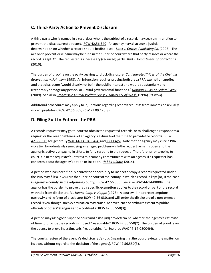## **C. Third-Party Action to Prevent Disclosure**

A third party who is named in a record, or who is the subject of a record, may seek an injunction to prevent the disclosure of a record. [RCW 42.56.540.](http://apps.leg.wa.gov/rcw/default.aspx?cite=42.56.540) An agency may also seek a judicial determination on whether a record should be disclosed. *[Soter v. Cowles Publishing Co](http://courts.mrsc.org/mc/courts/zsupreme/162wn2d/162wn2d0716.htm)*.(2007). The action to prevent disclosure may be filed in the superior court where that party resides or where the record is kept. *Id*. The requester is a necessary (required) party. *[Burt v. Department of Corrections](http://courts.mrsc.org/mc/courts/zsupreme/168wn2d/168wn2d0828.htm)* (2010).

The burden of proof is on the party seeking to block disclosure. *[Confederated Tribes of the Chehalis](http://courts.mrsc.org/mc/courts/zsupreme/135wn2d/135wn2d0734.htm)  [Reservation v. Johnson](http://courts.mrsc.org/mc/courts/zsupreme/135wn2d/135wn2d0734.htm)* (1998).An injunction requires proving both that a PRA exemption applies and that disclosure "would clearly not be in the public interest and would substantially and irreparably damage any person, or ... vital governmental functions."*[Morgan v. City of Federal Way](http://www.courts.wa.gov/opinions/?fa=opinions.disp&filename=815569MAJ)* (2009). See also *[Progressive Animal Welfare Soc'y v. University of Wash.](http://courts.mrsc.org/mc/courts/zsupreme/125wn2d/125wn2d0243.htm)*(1994) (*PAWS II*).

Additional procedures may apply to injunctions regarding records requests from inmates or sexually violent predators[. RCW 42.56.565](http://apps.leg.wa.gov/rcw/default.aspx?cite=42.56.565)[; RCW 71.09.120\(3\).](http://apps.leg.wa.gov/RCW/default.aspx?cite=71.09.120)

#### **D. Filing Suit to Enforce the PRA**

A records requester may go to court to obtain the requested records, or to challenge a response to a request or the reasonableness of an agency's estimate of the time to provide the records. [RCW](http://apps.leg.wa.gov/rcw/default.aspx?cite=42.56.550)  [42.56.550;](http://apps.leg.wa.gov/rcw/default.aspx?cite=42.56.550) see generally [WAC 44-14-04004\(4\)](http://apps.leg.wa.gov/WAC/default.aspx?cite=44-14-04004) an[d -08004\(5\).](http://apps.leg.wa.gov/WAC/default.aspx?cite=44-14-08004) Note that an agency may cure a PRA violation by voluntarily remedying an alleged problemwhile the request remains open and the agency is actively engaging in efforts to fully respond to the request. Therefore, prior to going to court it is in the requester's interest to promptly communicate with an agency if a requester has concerns about the agency's action or inaction. *[Hobbs v. State](http://www.courts.wa.gov/opinions/index.cfm?fa=opinions.showOpinion&filename=442841MAJ)* (2014)*.*

A person who has been finally denied the opportunity to inspect or copy a record requested under the PRA may file a lawsuit in the superior court of the county in which a record is kept (or, if the case is against a county, in the adjoining county). [RCW 42.56.550.](http://apps.leg.wa.gov/rcw/default.aspx?cite=42.56.550) See also [WAC 44-14-08004](http://apps.leg.wa.gov/WAC/default.aspx?cite=44-14-08004). The agency has the burden to prove that a specific exemption applies to the record or part of the record withheld from disclosure. *Id.[; Hearst Corp. v. Hoppe](http://courts.mrsc.org/mc/courts/zsupreme/090wn2d/090wn2d0123.htm)* (1978). A courtwill interpret exemptions narrowly and in favor of disclosure, RCW 42.56.030, and will order the disclosure of a non-exempt record "even though such examination may cause inconvenience or embarrassment to public officials or others" (language now codified at RCW [42.56.550\(3](http://apps.leg.wa.gov/rcw/default.aspx?cite=42.56.550))).

A person may also go to superior court and ask a judge to determine whether the agency's estimate of time to provide the records is indeed "reasonable." [RCW 42.56.550\(2\).](http://apps.leg.wa.gov/rcw/default.aspx?cite=42.56.550) The burden of proof is on the agency to prove its estimate is "reasonable." *Id.* See also [WAC 44-14-08004\(4\)](http://apps.leg.wa.gov/WAC/default.aspx?cite=44-14-08004).

The court's review of the agency's decision is *de novo* (meaning that the court reviews the matter on its own, without regard to the decision of the agency)[. RCW 42.56.550\(3\).](http://apps.leg.wa.gov/rcw/default.aspx?cite=42.56.550)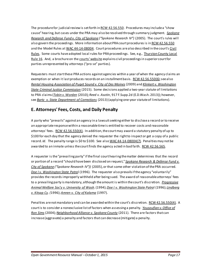The procedure for judicial review is set forth i[n RCW 42.56.550](http://apps.leg.wa.gov/rcw/default.aspx?cite=42.56.550). Procedures may include a "show cause" hearing, but cases under the PRA may also be resolved through summary judgment. *[Spokane](http://courts.mrsc.org/mc/courts/zsupreme/155wn2d/155wn2d0089.htm)  [Research and Defense Fund v. City of Spokane](http://courts.mrsc.org/mc/courts/zsupreme/155wn2d/155wn2d0089.htm) ("Spokane Research IV")* (2005). The court's rules will also govern the proceedings. More information about PRA court procedures is i[n RCW 42.56.550](http://apps.leg.wa.gov/rcw/default.aspx?cite=42.56.550) and the Model Rules a[t WAC 44-14-08004](http://apps.leg.wa.gov/WAC/default.aspx?cite=44-14-08004). Court procedures are also described in the court's Civil [Rules.](http://www.courts.wa.gov/court_rules/?fa=court_rules.list&group=sup&set=CR) Some courts have adopted local rules for PRA proceedings. See, e.g., [Thurston County Local](http://www.co.thurston.wa.us/superior/local-court-rules.htm)  [Rule 16.](http://www.co.thurston.wa.us/superior/local-court-rules.htm) And, a brochure on th[e courts' website](http://www.courts.wa.gov/newsinfo/index.cfm?fa=newsinfo.displayContent&theFile=content/selfhelp) explains civil proceedings in superior court for parties unrepresented by attorneys ("pro se" parties).

Requesters must start these PRA actions against agencies within a year of when the agency claims an exemption or when it last produces records on an installment basis[. RCW 42.56.550\(6\)](http://apps.leg.wa.gov/rcw/default.aspx?cite=42.56.550); see also *[Rental Housing Association of Puget Sound v.](http://courts.mrsc.org/mc/courts/zsupreme/165wn2d/165wn2d0525.htm) City of Des Moines* (2009) and *[Klinkert v. Washington](http://www.courts.wa.gov/opinions/index.cfm?fa=opinions.showOpinion&filename=714619MAJ)  [State Criminal Justice Commission](http://www.courts.wa.gov/opinions/index.cfm?fa=opinions.showOpinion&filename=714619MAJ)* (2015). Some decisions applied a two-year statute of limitations to PRA claims (*[Tobin v. Worden](http://courts.mrsc.org/mc/courts/zappellate/156wnapp/156wnapp0507.htm)* (2010); Reed v. Asotin, 917 F.Supp.2d (E.D.Wash. 2013)); however, see *[Bartz v. State Department of Corrections](http://courts.mrsc.org/mc/courts/zappellate/173wnapp/173wnapp0522.htm)* (2013) (applying one-year statute of limitations).

#### **E. Attorneys' Fees, Costs, and Daily Penalty**

A party who "prevails" against an agency in a lawsuit seeking either to disclose a record or to receive an appropriate response within a reasonable time is entitled to recover costs and reasonable attorneys' fees. [RCW 42.56.550\(4\)](http://apps.leg.wa.gov/rcw/default.aspx?cite=42.56.550). In addition, the court may award a statutory penalty of up to \$100 for each day that the agency denied the requester the right to inspect or get a copy of a public record. *Id*. The penalty range is \$0 to \$100. See also [WAC 44-14-08004\(7\).](http://apps.leg.wa.gov/WAC/default.aspx?cite=44-14-08004) Penalties may not be awarded to an inmate unless the court finds the agency acted in bad faith. [RCW 42.56.565.](http://apps.leg.wa.gov/rcw/default.aspx?cite=42.56.565)

A requester is the "prevailing party" if the final court hearing the matter determines that the record or portion of a record "should have been disclosed on request," *[Spokane Research &](http://courts.mrsc.org/mc/courts/zsupreme/155wn2d/155wn2d0089.htm) Defense Fund v. City of Spokane [\("Spokane Research IV"\)\)](http://courts.mrsc.org/mc/courts/zsupreme/155wn2d/155wn2d0089.htm)* (2005), or that some other violation of the PRA occurred. *[Doe I v. Washington State Patro](http://courts.mrsc.org/mc/courts/zappellate/080wnapp/080wnapp0296.htm)*l (1996). The requester also prevails if the agency "voluntarily" provides the records improperly withheld after being sued. The award of reasonable attorneys' fees to a prevailing party is mandatory, although the amount is within the court's discretion. *[Progressive](http://courts.mrsc.org/mc/courts/zsupreme/125wn2d/125wn2d0243.htm)  [Animal Welfare Soc'y v. University of Wash](http://courts.mrsc.org/mc/courts/zsupreme/125wn2d/125wn2d0243.htm)*.(1994);*[Doe I v. Washington State Patro](http://courts.mrsc.org/mc/courts/zappellate/080wnapp/080wnapp0296.htm)*l (1996); *[Lindberg](http://courts.mrsc.org/mc/courts/zappellate/082wnapp/082wnapp0566.htm)  [v. Kitsap Cy.](http://courts.mrsc.org/mc/courts/zappellate/082wnapp/082wnapp0566.htm) (*1996); *[Amren v. City of Kalama](http://courts.mrsc.org/mc/courts/zsupreme/131wn2d/131wn2d0025.htm)* (1997).

Penalties are not mandatory and can be awarded within the court's discretion[. RCW 42.56.550\(4\)](http://apps.leg.wa.gov/rcw/default.aspx?cite=42.56.550). A court is to consider a nonexclusive list of factors when assessing a penalty. *[Yousoufian v. Office of](http://courts.mrsc.org/mc/courts/zsupreme/152wn2d/152wn2d0421.htm)  [Ron Sims](http://courts.mrsc.org/mc/courts/zsupreme/152wn2d/152wn2d0421.htm)* (2004)*[;Neighborhood Alliance v. Spokane County](http://courts.mrsc.org/mc/courts/zsupreme/172wn2d/172wn2d0702.htm)* (2011). There are factors that can increase (aggravate) a penalty and factors that can decrease (mitigate) a penalty.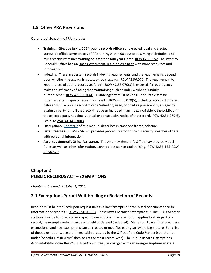#### **1.9 Other PRA Provisions**

Other provisions of the PRA include:

- **Training.** Effective July 1, 2014, public records officers and elected local and elected statewide officials must receive PRA training within 90 days of assuming their duties, and must receive refresher training no later than four years lat[er. RCW 42.56.152.](http://apps.leg.wa.gov/RCW/default.aspx?cite=42.56.152) The Attorney General's Office has a[n Open Government Training Web page](http://www.atg.wa.gov/open-government-training) with more resources and information.
- **Indexing.** There are certain records indexing requirements, and the requirements depend upon whether the agency is a state or local agency. [RCW 42.56.070.](http://apps.leg.wa.gov/RCW/default.aspx?cite=42.56.070) The requirement to keep indices of public records set forth in RCW  $42.56.070(3)$  is excused if a local agency makes an affirmative finding that maintaining such an index would be "unduly burdensome." [RCW 42.56.070\(4\)](http://apps.leg.wa.gov/rcw/default.aspx?cite=42.56.070). A state agency must have a rule on its system for indexing certain types of records as listed i[n RCW 42.56.070\(5\)](http://apps.leg.wa.gov/rcw/default.aspx?cite=42.56.070), including records it indexed before 1990. A public record may be "relied on, used, or cited as precedent by an agency against a party" only if that record has been included in an index available to the public or if the affected party has timely actual or constructive notice of that record. RC[W 42.56.070\(6\).](http://apps.leg.wa.gov/rcw/default.aspx?cite=42.56.070) See also [WAC 44-14-03003](http://apps.leg.wa.gov/WAC/default.aspx?cite=44-14-03003).
- **Exemptions.** [Chapter 2](#page-18-0) of this manual describes exemptions from disclosure.
- **Data Breaches.** [RCW 42.56.590](http://apps.leg.wa.gov/RCW/default.aspx?cite=42.56.590) provides procedures for notice of security breaches of data with personal information.
- **Attorney General's Office Assistance.** The Attorney General's Office may provide Model Rules, as well as other information, technical assistance, and training[. RCW 42.56.155](http://apps.leg.wa.gov/rcw/default.aspx?cite=42.56.155); RCW [42.56.570.](http://apps.leg.wa.gov/rcw/default.aspx?cite=42.56.570)

## <span id="page-18-0"></span>**Chapter 2 PUBLIC RECORDS ACT – EXEMPTIONS**

*Chapter last revised: October 1, 2015*

#### **2.1 Exemptions Permit Withholding or Redaction of Records**

Records must be produced upon request unless a law "exempts or prohibits disclosure of specific information or records.[" RCW 42.56.070\(1\).](http://apps.leg.wa.gov/RCW/default.aspx?cite=42.56.070) These laws are called "exemptions." The PRA and other statutes provide hundreds of very specific exemptions. If an exemption appliesto all or part of a record, the exempt content can be withheld or deleted (redacted). Many court cases interpret these exemptions, and new exemptions can be created or modified each year by the Legislature. For a list of these exemptions, see th[e linked table](http://atg.wa.gov/sunshine-committee) prepared by the Office of the Code Reviser (see the list under "Schedule of Review," then select the most recent year). The Public Records Exemptions Accountability Committee (["Sunshine Committee"\)](http://www.atg.wa.gov/sunshine-committee) is charged with reviewing exemptions in state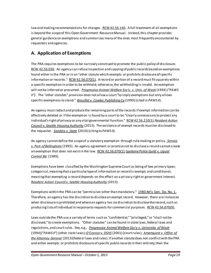law and making recommendations for changes. [RCW 42.56.140](http://apps.leg.wa.gov/RCW/default.aspx?cite=42.56.140). A full treatment of all exemptions is beyond the scope of this Open Government Resource Manual. Instead, this chapter provides general guidance on exemptions and summarizes many of the ones most frequently encountered by requesters and agencies.

#### <span id="page-19-0"></span>**A. Application of Exemptions**

The PRA requires exemptions to be narrowly construed to promote the public policy of disclosure. [RCW 42.56.030.](http://apps.leg.wa.gov/rcw/default.aspx?cite=42.56.030) An agency can refuse inspection and copying of public records based on exemptions found either in the PRA *or* in an "other statute which exempts or prohibits disclosure of specific information or records."  $RCW 42.56.070(1)$ . A record or portion of a record must fit squarely within a specific exemption in order to be withheld; otherwise, the withholding is invalid. An exemption will not be inferred or presumed. *[Progressive Animal Welfare Soc'y. v. Univ. of Wash](http://courts.mrsc.org/mc/courts/zsupreme/125wn2d/125wn2d0243.htm)* (1994) *("PAWS II")*. The "other statutes" provision does not allow a court "to imply exemptions but only allows specific exemptions to stand." *[Brouillet v. Cowles Publishing](http://courts.mrsc.org/mc/courts/zsupreme/114wn2d/114wn2d0788.htm) Co* (1990) (cited in *PAWS II*).

An agency must redact and produce the remaining parts of the records if exempt information can be effectively deleted or if the exemption is found by a court to be "clearly unnecessary to protect any individual's right of privacy or any vital governmental function." [RCW 42.56.210\(1\);](http://apps.leg.wa.gov/RCW/default.aspx?cite=42.56.210) *[Resident Action](http://courts.mrsc.org/mc/courts/zsupreme/177wn2d/177wn2d0417.htm)  [Council v. Seattle Housing Authority](http://courts.mrsc.org/mc/courts/zsupreme/177wn2d/177wn2d0417.htm)* (2013). The existence of exempt records must be disclosed to the requester. *[Sanders v. State](http://courts.mrsc.org/mc/courts/zsupreme/169wn2d/169wn2d0827.htm)* (2010) (citing to *PAWS II*).

An agency cannot define the scopeof a statutory exemption through rule-making or policy. *[Servais](http://courts.mrsc.org/mc/courts/zsupreme/127wn2d/127wn2d0820.htm)  [v. Port of Bellingham](http://courts.mrsc.org/mc/courts/zsupreme/127wn2d/127wn2d0820.htm)* (1995). An agency agreement or promise not to disclose a record cannot create an exemption that does not exist in the law. [RCW 42.56.070\(1\);](http://apps.leg.wa.gov/rcw/default.aspx?cite=42.56.070) *[Spokane Police Guild v. Liquor](http://courts.mrsc.org/mc/courts/zsupreme/112wn2d/112wn2d0030.htm)  [Control Bd.](http://courts.mrsc.org/mc/courts/zsupreme/112wn2d/112wn2d0030.htm)* (1989).

Exemptions have been classified by the Washington Supreme Court as being of two primary types: categorical, meaning that a particular type of information or record is exempt; and conditional, meaning that exempting a record depends on the effect on a privacy right or government interest. *Resident Action Council [v. Seattle Housing Authority](http://courts.mrsc.org/mc/courts/zsupreme/177wn2d/177wn2d0417.htm)* (2013).

Exemptions within the PRA can be "permissive rather than mandatory." [1980 Att'y Gen. Op. No. 1.](http://www.atg.wa.gov/ago-opinions/public-access-property-tax-assessment-rolls) Therefore, an agency has the discretion to disclose an exempt record. However, there are instances when disclosure is prohibited and where an agency has no discretion to disclose the record, such as producing lists of individual in response to requests for commercial purposes[. RCW 42.56.070\(9\).](http://apps.leg.wa.gov/rcw/default.aspx?cite=42.56.070)

Laws outside the PRA use a variety of terms such as "confidential," "privileged," or "shall not be disclosed," to create exemptions. "Other statutes" can be found in state laws, federal laws and regulations, and court rules. See*,* e.g., *[Progressive Animal Welfare Soc'y v. University of Wash](http://courts.mrsc.org/mc/courts/zsupreme/125wn2d/125wn2d0243.htm)* (1994)("*PAWS II*") (other state laws); *[O'Connor v. DSHS](http://courts.mrsc.org/mc/courts/zsupreme/143wn2d/143wn2d0895.htm)* (2001) (court rules); *[Ameriquest v. Office of](http://www.courts.wa.gov/opinions/index.cfm?fa=opinions.showOpinion&filename=876614MAJ)  [the Attorney General](http://www.courts.wa.gov/opinions/index.cfm?fa=opinions.showOpinion&filename=876614MAJ)* (2013)(federal laws and rules). If another statute does not conflict with the PRA and either exempts or prohibits disclosure of specific public records in their entirety; then the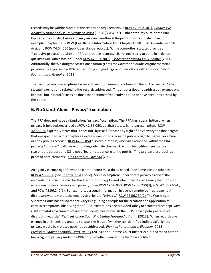records may be withheld despite the redaction requirements i[n RCW 42.56.210\(1\).](http://apps.leg.wa.gov/RCW/default.aspx?cite=42.56.210) *[Progressive](http://courts.mrsc.org/mc/courts/zsupreme/125wn2d/125wn2d0243.htm)  [Animal Welfare Soc'y v. University of Wash](http://courts.mrsc.org/mc/courts/zsupreme/125wn2d/125wn2d0243.htm)* (1994)("*PAWS II*"). Other statutes outside the PRA typically prohibit disclosure and may impose penalties if the prohibition is violated. See, for example, Chapter [70.02 RCW](http://apps.leg.wa.gov/RCW/default.aspx?cite=70.02) (Health Care Information Act), Chapter [13.50 RCW](http://apps.leg.wa.gov/RCW/default.aspx?cite=13.50) (Juvenile Records Act), an[d RCW 74.04.060](http://apps.leg.wa.gov/rcw/default.aspx?Cite=74.04.060) (public assistance records). While some other statutes provide an "exclusive process" outside the PRA to produce records, it is not necessary to do so in order to qualify as an "other statute" under [RCW 42.56.070\(1\).](http://apps.leg.wa.gov/RCW/default.aspx?cite=42.56.070) *[Fisher Broadcasting Co. v. Seattle](http://caselaw.findlaw.com/wa-supreme-court/1669869.html)* (2014)*.*  Additionally, the Washington State Constitution grants the Governor a qualified gubernatorial privilege in response to a PRA request for policymaking communications with advisors. *[Freedom](http://courts.mrsc.org/mc/courts/zsupreme/178wn2d/178wn2d0686.htm)  [Foundation v. Gregoire](http://courts.mrsc.org/mc/courts/zsupreme/178wn2d/178wn2d0686.htm)* (2013).

The descriptions of exemptions below address both exemptions found in the PRA as well as "other statute" exemptions related to the records addressed. This chapter does not address all exemptions in detail but instead focuses on those that are most frequently applied or have been interpreted by the courts.

#### <span id="page-20-0"></span>**B. No Stand-Alone "Privacy" Exemption**

The PRA does not have a stand-alone "privacy" exemption. The PRA has a description of when privacy is invaded, described a[t RCW 42.56.050](http://apps.leg.wa.gov/rcw/default.aspx?cite=42.56.050), but that statute is not an exemption. RCW [42.56.050](http://apps.leg.wa.gov/rcw/default.aspx?cite=42.56.050) expressly states that it does not, by itself, "create any right of privacy beyond those rights that are specified in this chapter as express exemptions from the public's right to inspect, examine, or copy public records." [RCW 42.56.050](http://apps.leg.wa.gov/rcw/default.aspx?cite=42.56.050) also explains that, when an exemption within the PRA protects "privacy," it allows withholding only if disclosure: (1) would be highly offensive to a reasonable person, and (2) is not of legitimate concern to the public. This two-part test requires proof of both elements. *[King County v. Sheehan](http://courts.mrsc.org/mc/courts/zappellate/114wnapp/114wnapp0325.htm)* (2002).

An agency exempting information from a record must do so based upon some statute other than [RCW 42.56.050](http://apps.leg.wa.gov/rcw/default.aspx?cite=42.56.050) (Se[e Chapter](#page-19-0) 2.1A above). Some exemptions incorporate privacy as one of the elements that must be met for the exemption to apply, and when they do, an agency then looks to what constitutes an invasion of privacy unde[r RCW 42.56.050](http://apps.leg.wa.gov/RCW/default.aspx?cite=42.56.050). RCW 42.56.230(3), RCW 42.56.230(4), an[d RCW 42.56.240\(1\).](http://apps.leg.wa.gov/RCW/default.aspx?cite=42.56.240) For example, personal information in agency employee files is exempt if disclosure would violate the employee's right to "privacy." [RCW 42.56.230\(2\)](http://apps.leg.wa.gov/RCW/default.aspx?cite=42.56.230). The Washington Supreme Court has found that privacy is a guiding principle for the creation and application of certain exemptions, observing that "PRA's exemptions are provided solely to protect relevant privacy rights or vital government interest that sometimes outweigh the PRA's broad policy in favor of disclosing records." *[Resident Action Council v. Seattle Housing Authority](http://courts.mrsc.org/mc/courts/zsupreme/177wn2d/177wn2d0417.htm)* (2013). When records are exempt in their entirety under a statute, the issue of whether an identified individual's right to privacy would be violated need not be addressed. *[Planned Parenthood v. Bloedow](http://www.courts.wa.gov/opinions/index.cfm?fa=opinions.showOpinion&filename=710397MAJ)* (2015). In *[Predisik v. Spokane School District No. 81](http://www.courts.wa.gov/opinions/index.cfm?fa=opinions.showOpinion&filename=901295MAJ)* (2015), the Supreme Court further explained that a person has a right to privacy under the PRA only in matters concerning the "private life."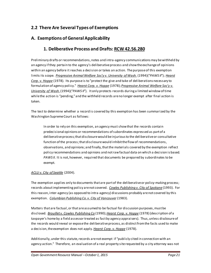# **2.2 There Are Several Types of Exemptions**

#### **A. Exemptions of General Applicability**

#### **1. Deliberative Process and Drafts[: RCW 42.56.280](http://apps.leg.wa.gov/RCW/default.aspx?cite=42.56.280)**

Preliminary drafts or recommendations, notes and intra-agency communications may be withheld by an agency if they pertain to the agency's deliberative process and show the exchange of opinions within an agency before it reaches a decision or takes an action. The purpose of this exemption limits its scope. *[Progressive Animal Welfare Soc'y v. University of Wash.](http://courts.mrsc.org/mc/courts/zsupreme/125wn2d/125wn2d0243.htm)* (1994)("*PAWS II*"); *[Hearst](http://courts.mrsc.org/mc/courts/zsupreme/090wn2d/090wn2d0123.htm)  [Corp. v. Hoppe](http://courts.mrsc.org/mc/courts/zsupreme/090wn2d/090wn2d0123.htm)* (1978). Its purpose is to "protect the give and take of deliberations necessary to formulation of agency policy." *[Hearst Corp. v. Hoppe](http://courts.mrsc.org/mc/courts/zsupreme/090wn2d/090wn2d0123.htm)* (1978);*[Progressive Animal Welfare Soc'y v.](http://courts.mrsc.org/mc/courts/zsupreme/125wn2d/125wn2d0243.htm)  [University of Wash.](http://courts.mrsc.org/mc/courts/zsupreme/125wn2d/125wn2d0243.htm)*(1994)("*PAWS II*"). It only protects records during a limited window of time while the action is "pending," and the withheld records are no longer exempt after final action is taken.

The test to determine whether a record is covered by this exemption has been summarized by the Washington Supreme Court as follows:

In order to rely on this exemption, an agency must show that the records contain predecisional opinions or recommendations of subordinates expressed as part of a deliberative process; that disclosure would be injurious to the deliberative or consultative function of the process; that disclosure would inhibit the flow of recommendations, observations, and opinions; and finally, that the materials covered by the exemption reflect policy recommendations and opinions and not raw factual data on which a decision is based. PAWS II. It is not, however, required that documents be prepared by subordinates to be exempt.

#### *[ACLU v. City of Seattle](http://courts.mrsc.org/mc/courts/zappellate/121wnapp/121wnapp0544.htm)* (2004).

The exemption applies only to documents that are part of the deliberative or policy-making process; records about implementing policy are not covered. *[Cowles Publishing v. City of Spokane](http://courts.mrsc.org/mc/courts/zappellate/069wnapp/069wnapp0678.htm)* (1993). For this reason, inter-agency (as opposed to intra-agency) discussions probably are not covered by this exemption. *[Columbian Publishing Co. v. City of Vancouver](http://courts.mrsc.org/mc/courts/zappellate/036wnapp/036wnapp0025.htm)* (1983).

Matters that are factual, or that are assumed to be factual for discussion purposes, must be disclosed. *[Brouillet v. Cowles Publishing Co](http://courts.mrsc.org/mc/courts/zsupreme/114wn2d/114wn2d0788.htm)* (1990); *[Hearst Corp. v. Hoppe](http://courts.mrsc.org/mc/courts/zsupreme/090wn2d/090wn2d0123.htm)* (1978) (description of a taxpayer's home by a field assessor treated as fact by agency appraisers). Thus, unless disclosure of the records would reveal or expose the deliberative process, as distinct from the facts used to make a decision, the exemption does not apply. *[Hearst Corp. v. Hoppe](http://courts.mrsc.org/mc/courts/zsupreme/090wn2d/090wn2d0123.htm)* (1978).

Additionally, under this statute, records are not exempt if "publicly cited in connection with an agency action." Therefore, an evaluation of a real property site requested by a city attorney was not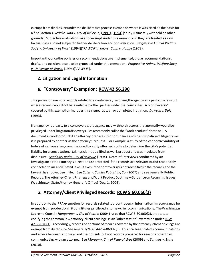exempt from disclosure under the deliberative process exemption where it was cited as the basis for a final action. *Overlake Fund v. City of Bellevue*, [\(1991\)](http://courts.mrsc.org/mc/courts/zappellate/060wnapp/060wnapp0787.htm), [\(1994\)](http://courts.mrsc.org/mc/courts/zappellate/070wnapp/070wnapp0789.htm) (study ultimately withheld on other grounds). Subjective evaluations are not exempt under this exemption if they are treated as raw factual data and not subject to further deliberation and consideration. *[Progressive Animal Welfare](http://courts.mrsc.org/mc/courts/zsupreme/125wn2d/125wn2d0243.htm)  [Soc'y v. University of Wash](http://courts.mrsc.org/mc/courts/zsupreme/125wn2d/125wn2d0243.htm)* (1994)("*PAWS II*"); *[Hearst Corp. v. Hoppe](http://courts.mrsc.org/mc/courts/zsupreme/090wn2d/090wn2d0123.htm)* (1978).

Importantly, once the policies or recommendations are implemented, those recommendations, drafts, and opinions cease to be protected under this exemption. *[Progressive Animal Welfare Soc'y](http://courts.mrsc.org/mc/courts/zsupreme/125wn2d/125wn2d0243.htm)  [v. University of Wash.](http://courts.mrsc.org/mc/courts/zsupreme/125wn2d/125wn2d0243.htm)* (1994)("*PAWS II*").

# **2. Litigation and Legal Information**

# **a. "Controversy" Exemption: [RCW 42.56.290](http://apps.leg.wa.gov/rcw/default.aspx?cite=42.56.290)**

This provision exempts records related to a controversy involving the agency as a party in a lawsuit where records would not be available to other parties under the court rules. A "controversy" covered by this exemption includes threatened, actual, or completed litigation. *[Dawson v. Daly](http://courts.mrsc.org/mc/courts/zsupreme/120wn2d/120wn2d0782.htm)* (1993).

If an agency is a party to a controversy, the agency may withhold records that normally would be privileged under litigation discovery rules (commonly called the "work product" doctrine). A document is work product if an attorney prepares it in confidence and in anticipation of litigation or it is prepared by another at the attorney's request. For example, a study of the economic viability of hotels of various sizes, commissioned by a city attorney's office to determine the city's potential liability for a constitutionaltakings claim, qualified as work product and was insulated from disclosure. *[Overlake Fund v. City of Bellevue](http://courts.mrsc.org/mc/courts/zappellate/070wnapp/070wnapp0789.htm)* (1994). Notes of interviews conducted by an investigator at the attorney's direction are protected if the records are relevant to and reasonably connected to an anticipated lawsuit even if the controversy is not identified in the records and the lawsuit has not yet been filed. See *[Soter v. Cowles Publishing Co](http://courts.mrsc.org/mc/courts/zsupreme/162wn2d/162wn2d0716.htm)*. (2007) and see generally [Public](http://agportal-s3bucket.s3.amazonaws.com/uploadedfiles/Home/About_the_Office/Open_Government/Open_Government_Internet_Manual/Chapter_2/AGGuidanceAttyCliPriv.pdf)  [Records: The Attorney-Client Privilege and Work Product Doctrine –](http://agportal-s3bucket.s3.amazonaws.com/uploadedfiles/Home/About_the_Office/Open_Government/Open_Government_Internet_Manual/Chapter_2/AGGuidanceAttyCliPriv.pdf) Guidance on Recurring Issues (Washington State Attorney General's Office) (Dec. 1, 2004).

# **b. Attorney/Client Privileged Records: [RCW 5.60.060\(2\)](http://apps.leg.wa.gov/RCW/default.aspx?cite=5.60.060)**

In addition to the PRA exemption for records related to a controversy, information in records may be exempt from production if it constitutes privileged attorney-client communications. The Washington Supreme Court in *[Hangartner v. City of Seattle](http://courts.mrsc.org/mc/courts/zsupreme/151wn2d/151wn2d0439.htm)* (2004) ruled tha[t RCW 5.60.060\(2\),](http://apps.leg.wa.gov/RCW/default.aspx?cite=5.60.060) the statute codifying the common law attorney-client privilege, is an "other statute" exemption under [RCW](http://apps.leg.wa.gov/RCW/default.aspx?cite=42.56.070)  [42.56.070\(1\).](http://apps.leg.wa.gov/RCW/default.aspx?cite=42.56.070) Accordingly, records or portions of records covered by the attorney-client privilege are exempt from disclosure. See generall[y WAC 44-14-06002\(3\).](http://apps.leg.wa.gov/WAC/default.aspx?cite=44-14-06002) This privilege protects communications and advice between attorneys and their clients but not records prepared for reasons other than communicating with an attorney. See *[Morgan v. City of Federal Way](http://courts.mrsc.org/mc/courts/zsupreme/166wn2d/166wn2d0747.htm)* (2009) and *[Sanders v. State](http://courts.mrsc.org/mc/courts/zsupreme/169wn2d/169wn2d0827.htm)* (2010).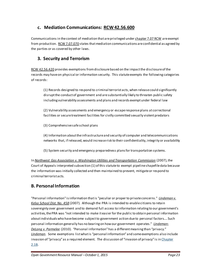#### **c. Mediation Communications: [RCW 42.56.600](http://apps.leg.wa.gov/RCW/default.aspx?cite=42.56.600)**

Communications in the context of mediation that are privileged unde[r chapter 7.07 RCW](http://apps.leg.wa.gov/RCW/default.aspx?cite=7.07) are exempt from production.[RCW 7.07.070](http://apps.leg.wa.gov/RCW/default.aspx?cite=7.07.070) states that mediation communications are confidential as agreed by the parties or as covered by other laws.

## **3. Security and Terrorism**

[RCW 42.56.420](http://apps.leg.wa.gov/rcw/default.aspx?cite=42.56.420) provides exemptions from disclosure based on the impact the disclosure of the records may have on physical or information security. This statute exempts the following categories of records:

(1) Records designed to respond to criminal terrorist acts, when release could significantly disrupt the conduct of government and are substantially likely to threaten public safety including vulnerability assessments and plans and records exempt under federal law

(2) Vulnerability assessments and emergency or escape response plans at correctional facilities or secure treatment facilities for civilly committed sexually violent predators

(3) Comprehensive safe school plans

(4) Information about the infrastructure and security of computer and telecommunications networks that, if released, would increase risk to their confidentiality, integrity or availability

(5) System security and emergency preparedness plans for transportation systems.

In *[Northwest Gas Association v. Washington Utilities and Transportation Commission](http://courts.mrsc.org/mc/courts/zappellate/141wnapp/141wnapp0098.htm)* (2007), the Court of Appeals interpreted subsection (1) of this statute to exempt pipeline shapefile data because the information was initially collected and then maintained to prevent, mitigate or respond to criminal terrorist acts.

# **B. Personal Information**

"Personal information" is information that is "peculiar or proper to private concerns." *[Lindeman v.](http://courts.mrsc.org/mc/courts/zsupreme/162wn2d/162wn2d0196.htm)  [Kelso School Dist. No. 458](http://courts.mrsc.org/mc/courts/zsupreme/162wn2d/162wn2d0196.htm)* (2007). Although the PRA is intended to enable citizens to retain sovereignty over government and to demand full access to information relating to our government's activities, the PRA was "not intended to make it easier for the public to obtain personal information about individuals who have become subject to government action due to personal factors.... Such personal information generally has no bearing on how our government operates." *[Lindeman](http://courts.mrsc.org/mc/courts/zsupreme/162wn2d/162wn2d0196.htm)*; *[DeLong v. Parmelee](http://courts.mrsc.org/mc/courts/zappellate/157wnapp/157wnapp0119.htm)* (2010). "Personal information" has a different meaning than "privacy." *[Lindeman](http://courts.mrsc.org/mc/courts/zsupreme/162wn2d/162wn2d0196.htm)*. Some exemptions list what is "personal information" and some exemptions also include invasion of "privacy" as a required element. The discussion of "invasion of privacy" is in [Chapter](#page-20-0)  [2.1B.](#page-20-0)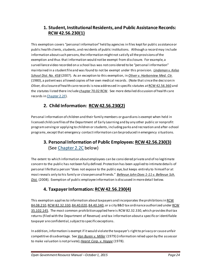#### **1. Student, Institutional Residents, and Public Assistance Records: [RCW 42.56.230\(1\)](http://apps.leg.wa.gov/RCW/default.aspx?cite=42.56.230)**

This exemption covers "personal information" held by agencies in files kept for public assistance or public health clients, students, and residents of public institutions. Although a record may include information about such persons, the information might not satisfy all the provisions of the exemption and thus that information would not be exempt from disclosure. For example, a surveillance video recorded on a school bus was not considered to be "personal information" maintained in a student file and was found to not be exempt under this provision. *[Lindeman v. Kelso](http://courts.mrsc.org/mc/courts/zsupreme/162wn2d/162wn2d0196.htm)  [School Dist. No. 458](http://courts.mrsc.org/mc/courts/zsupreme/162wn2d/162wn2d0196.htm)* (2007). As an exception to this exemption, in *[Oliver v. Harborview Med. Ctr.](http://courts.mrsc.org/mc/courts/zsupreme/094wn2d/094wn2d0559.htm)* (1980), a patient was allowed copies of her own medical records. (Note that since the decisionin *Oliver*, disclosure of health care records is now addressed in specific statutes a[t RCW 42.56.360](http://apps.leg.wa.gov/rcw/default.aspx?cite=42.56.360) and the statutes listed there includ[e chapter 70.02 RCW.](http://apps.leg.wa.gov/rcw/default.aspx?cite=70.02) See more detailed discussion of health care records i[n Chapter 2.2F\)](#page-37-0).

# **2. Child Information: [RCW 42.56.230\(2\)](http://apps.leg.wa.gov/RCW/default.aspx?cite=42.56.230)**

Personal information of children and their family members or guardians is exempt when held in licensed child care files of the Department of Early Learning and by any other public or nonprofit program serving or applying to children or students, including parks and recreation and after-school programs, except that emergency contact information can be produced in emergency situations.

## **3. Personal Information of Public Employees[: RCW 42.56.230\(3\)](http://apps.leg.wa.gov/RCW/default.aspx?cite=42.56.230)** (See [Chapter](#page-25-0) 2.2C below)

The extent to which information about employees can be considered private and of no legitimate concern to the public has not been fully defined. Protection has been applied to intimate details of personal life that a person "does not expose to the public eye, but keeps entirely to himself or at most reveals only to his family or close personal friends." *[Bellevue John Does 1-11 v. Bellevue Sch.](http://courts.mrsc.org/mc/courts/zsupreme/164wn2d/164wn2d0199.htm)  [Dist.](http://courts.mrsc.org/mc/courts/zsupreme/164wn2d/164wn2d0199.htm)* (2008). Exemption of public employee information is discussed in more detail below.

# **4. Taxpayer Information[: RCW 42.56.230\(4\)](http://apps.leg.wa.gov/RCW/default.aspx?cite=42.56.230)**

This exemption applies to information about taxpayers and incorporates the prohibitions in RCW [84.08.210](http://apps.leg.wa.gov/RCW/default.aspx?cite=84.08.210)[, RCW 82.32.330](http://apps.leg.wa.gov/RCW/default.aspx?cite=82.32.330)[, 84.40.020](http://apps.leg.wa.gov/RCW/default.aspx?cite=84.40.020)[, 84.40.340](http://apps.leg.wa.gov/RCW/default.aspx?cite=84.40.340), or a city B&O tax ordinance authorized unde[r RCW](http://apps.leg.wa.gov/RCW/default.aspx?cite=35.102.145)  [35.102.145](http://apps.leg.wa.gov/RCW/default.aspx?cite=35.102.145). The most common prohibition applied here i[s RCW 82.32.330](http://apps.leg.wa.gov/RCW/default.aspx?cite=82.32.330), which provides that tax returns (filed with the Department of Revenue) and tax information about a specific or identifiable taxpayer are confidential, subject to specific exceptions.

In addition, information is exempt if it would violate the taxpayer's right to privacy or cause unfair competitive disadvantage. See *[Van Buren v. Miller](http://courts.mrsc.org/mc/courts/zappellate/022wnapp/022wnapp0836.htm)* (1979) (information relied upon by the assessor to make valuation is not private);*[Hearst Corp. v. Hoppe](http://courts.mrsc.org/mc/courts/zsupreme/090wn2d/090wn2d0123.htm)* (1978).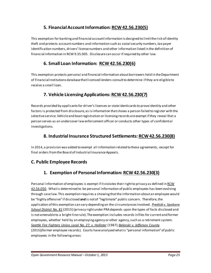## **5. Financial Account Information[: RCW 42.56.230\(5\)](http://apps.leg.wa.gov/RCW/default.aspx?cite=42.56.230)**

This exemption for banking and financial account information is designed to limit the risk of identity theft and protects account numbers and information such as social security numbers, tax payer identification numbers, drivers' license numbers and other information listed in the definition of financial information in RCW 9.35.005. Disclosure can occur if required by other law.

#### **6. Small Loan Information: [RCW 42.56.230\(6\)](http://apps.leg.wa.gov/RCW/default.aspx?cite=42.56.230)**

This exemption protects personal and financial information about borrowers held in the Department of Financial Institutions database that licensed lenders consult to determine if they are eligible to receive a small loan.

# **7. Vehicle Licensing Applications[: RCW 42.56.230\(7\)](http://apps.leg.wa.gov/RCW/default.aspx?cite=42.56.230)**

Records provided by applicants for driver's licenses or state identicards to prove identity and other factors is protected from disclosure, as is information that shows a person failed to register with the selective service. Vehicle and boat registration or licensing records are exempt if they reveal that a person serves as an undercover law enforcement officer or conducts other types of confidential investigations.

#### **8. Industrial Insurance Structured Settlements[: RCW 42.56.230\(8\)](http://apps.leg.wa.gov/RCW/default.aspx?cite=42.56.230)**

In 2014, a provision was added to exempt all information related to these agreements, except for final orders from the Board of Industrial Insurance Appeals.

# **C. Public Employee Records**

# <span id="page-25-0"></span>**1. Exemption of Personal Information[: RCW 42.56.230\(3\)](http://apps.leg.wa.gov/RCW/default.aspx?cite=42.56.230)**

Personal information of employees is exempt if it violates their right to privacy as defined in RCW [42.56.050.](http://apps.leg.wa.gov/rcw/default.aspx?cite=42.56.050) What is determined to be personal information of public employees has been evolving through case law. This exemption requires a showing that the information about an employee would be "highly offensive" if disclosed **and** is not of "legitimate" public concern. Therefore, the application of this exemption can vary depending on the circumstances involved. *[Predisik v. Spokane](http://www.courts.wa.gov/opinions/index.cfm?fa=opinions.showOpinion&filename=901295MAJ)  [School District No. 81](http://www.courts.wa.gov/opinions/index.cfm?fa=opinions.showOpinion&filename=901295MAJ)* (2015) (privacy right under PRA depends upon the types of facts disclosed and is not amenable to a bright-linerule). The exemption includes records in files for current and former employees, whether held by an employing agency or other agency, such as a retirement system. *[Seattle Fire Fighters Union, Local No. 27, v. Hollister](http://courts.mrsc.org/mc/courts/zappellate/048wnapp/048wnapp0129.htm)* (1987); *[Belenski v. Jefferson County](http://www.courts.wa.gov/opinions/index.cfm?fa=opinions.showOpinion&filename=457563MAJ)* (2015)(former employee records). Courts have analyzed what is "personal information" of public employees in the following areas: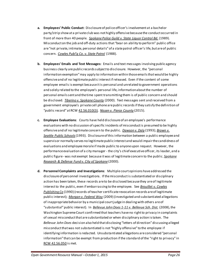- **a. Employees' Public Conduct**: Disclosure of police officer's involvement at a bachelor party/strip show at a private club was not highly offensive because the conduct occurred in front of more than 40 people. *[Spokane Police Guild v. State Liquor Control Bd.](http://courts.mrsc.org/mc/courts/zsupreme/112wn2d/112wn2d0030.htm)* (1989). Misconduct on the job and off-duty actions that "bear on ability to perform" public office are "not private, intimate, personal details" of a state patrol officer's life, but are of public concern. *[Cowles Publ'g Co. v. State Patrol](http://courts.mrsc.org/mc/courts/zsupreme/109wn2d/109wn2d0712.htm)* (1988).
- **b. Employees' Emails and Text Messages:** Emails and text messages involving public agency business clearly are public records subject to disclosure. However, the "personal information exemption" may apply to information within those emails that would be highly offensive and of no legitimate public interest if released. Even if the content of some employee emails is exempt because it is personal and unrelated to government operations and solely related to the employee's personal life, information about the number of personal emails sent and the time spent transmitting them is of public concern and should be disclosed. *[Tiberino v. Spokane County](http://courts.mrsc.org/mc/courts/zappellate/103wnapp/103wnapp0680.htm)* (2000). Text messages sent and received from a government employee's private cell phone are public records if they satisfy the definition of "public record" at RC[W 42.56.010\(3\).](http://apps.leg.wa.gov/RCW/default.aspx?cite=42.56.010) *[Nissen v. Pierce County](http://www.courts.wa.gov/opinions/index.cfm?fa=opinions.showOpinion&filename=908753MAJ)* (2015).
- **c. Employee Evaluations**: Courts have held disclosure of an employee's performance evaluations with no discussion of specific incidents of misconduct is presumed to be highly offensive and of no legitimate concern to the public. *[Dawson v. Daly](http://courts.mrsc.org/dtSearch/dtisapi6.dll?cmd=getdoc&DocId=11632&Index=C%3a%5cdtSearch%5czsupreme&HitCount=75&hits=8+9+a+12+13+14+1f+20+21+24+26+28+4e7+5ad+5cd+615+61c+627+649+658+671+676+6b8+6c1+6cf+6d6+74d+850+900+92f+979+a41+a66+a81+ab1+ad2+af8+b3e+c0e+c40+c54+ccb+d2c+d9d+dc9+ddb+dee+dfa+e3e+e56+e6b+e7a+ea1+fcf+fed+fff+1112+1176+11ff+1271+12e6+1323+1335+1387+13e3+1546+1553+1562+15fe+167d+16b1+1748+1774+17b8+17e6+&SearchForm=%2fsupreme%2findex%5fdtSearch%5fform%2ehtml%23hit1)* (1993); *[Brown v.](http://courts.mrsc.org/mc/courts/zappellate/071wnapp/071wnapp0613.htm)  [Seattle Public Schools](http://courts.mrsc.org/mc/courts/zappellate/071wnapp/071wnapp0613.htm)*(1993). Disclosure of this information between a public employee and supervisor normally serves no legitimate public interest and would impair the candidness of evaluations and employee morale if made public to anyone upon request. However, the performance evaluation of a city manager - the city's chief executive officer, its leader, and a public figure - was not exempt because it was of legitimate concern to the public. *[Spokane](http://courts.mrsc.org/mc/courts/zappellate/099wnapp/099wnapp0452.htm)  [Research & Defense Fund v. City of Spokane](http://courts.mrsc.org/mc/courts/zappellate/099wnapp/099wnapp0452.htm)* (2000).
- **d. Personnel Complaints and Investigations**: Multiple court opinions have addressed the disclosure of personnel investigations. If the misconduct is substantiated or disciplinary action has been taken, these records are to be disclosed because they are of legitimate interest to the public, even if embarrassing to the employee. See *[Brouillet v. Cowles](http://courts.mrsc.org/mc/courts/zsupreme/114wn2d/114wn2d0788.htm)  [Publishing Co](http://courts.mrsc.org/mc/courts/zsupreme/114wn2d/114wn2d0788.htm)* (1990) (records of teacher certificate revocation records are of legitimate public interest); *[Morgan v. Federal Way](http://courts.mrsc.org/mc/courts/zsupreme/166wn2d/166wn2d0747.htm)* (2009) (investigated and substantiated allegations of inappropriate behavior by a municipal court judge in dealing with others are of "substantial" public interest). In *[Bellevue John Does 1-11 v. Bellevue Sch. Dist.](http://courts.mrsc.org/mc/courts/zsupreme/164wn2d/164wn2d0199.htm)* (2008), the Washington Supreme Court confirmed that teachers have no right to privacy in complaints of sexual misconduct that are substantiated or when disciplinary action is taken. The *Bellevue John Does* decision also held thatdisclosing "letters of direction" discussing alleged misconduct that was not substantiated is not "highly offensive" to the employee if identifying information is redacted. Unsubstantiated allegations are considered "personal information" that can be exempt from production if the standard of the "right to privacy" in [RCW 42.56.050](http://apps.leg.wa.gov/RCW/default.aspx?cite=42.56.050) is met.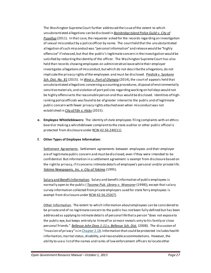The Washington Supreme Court further addressed the issue of the extent to which unsubstantiated allegations can be disclosed in *[Bainbridge Island Police Guild v. City of](http://courts.mrsc.org/mc/courts/zsupreme/172wn2d/172wn2d0398.htm)  [Puyallup](http://courts.mrsc.org/mc/courts/zsupreme/172wn2d/172wn2d0398.htm)* (2011). In that case, the requester asked for the records regarding an investigation of sexual misconduct by a police officer by name. The court held that the unsubstantiated allegation of such misconduct was "personal information" and release would be "highly offensive" if released, but that the public's legitimate concern in the investigation would be satisfied by redacting the identity of the officer. The Washington Supreme Court has also held that records showing employees on administrative leave while their employer investigates allegations of misconduct, but which do not describe the allegations, do not implicate the privacy rights of the employees and must be disclosed. *[Predisik v. Spokane](http://www.courts.wa.gov/opinions/index.cfm?fa=opinions.showOpinion&filename=901295MAJ)*  [Sch. Dist. No. 81](http://www.courts.wa.gov/opinions/index.cfm?fa=opinions.showOpinion&filename=901295MAJ) (2015). In [West v. Port of Olympia](http://www.courts.wa.gov/opinions/index.cfm?fa=opinions.showOpinion&filename=449641MAJ) (2014), the court of appeals held that unsubstantiated allegations concerning accounting procedures, disposal of environmentally sensitive materials, and violation of port policies regarding working on holidays would not be highly offensive to the reasonable person and thus would be disclosed. Identities of highranking police officials was found to be of greater interest to the public and of legitimate public concern with fewer privacy rights attached even when misconduct was not established in *[City of Fife v. Hicks](http://www.courts.wa.gov/opinions/index.cfm?fa=opinions.showOpinion&filename=454505MAJ)* (2015).

**e. Employee Whistleblowers:** The identity of state employees filing complaints with an ethics board or making a whistleblower complaint to the state auditor or other public official is protected from disclosure unde[r RCW 42.56.240\(11\).](http://apps.leg.wa.gov/RCW/default.aspx?cite=42.56.240)

#### **f. Other Types of Employee Information***:*

Settlement Agreements. Settlement agreements between employees and their employer are of legitimate public concern and must be disclosed, even if they were intended to be confidential. But information in a settlement agreement is exempt from disclosure based on the right to privacy, if it concerns intimate details of employee's personal and/or private lif[e.](http://courts.mrsc.org/mc/courts/zappellate/077wnapp/077wnapp0319.htm) *[Yakima Newspapers, Inc. v. City of Yakima](http://courts.mrsc.org/mc/courts/zappellate/077wnapp/077wnapp0319.htm)* (1995).

Salary and Benefit Information. Salary and benefit information of public employees is normally open to the public ( *[Tacoma Pub. Library v. Woessner](http://courts.mrsc.org/mc/courts/zappellate/090wnapp/090wnapp0205.htm)* (1998)), except that salary survey information collected from private employers used for state ferry employees is exempt from disclosure unde[r RCW 42.56.250\(7\).](http://apps.leg.wa.gov/rcw/default.aspx?cite=42.56.250)

Other Information. The extent to which information about employees can be considered to be private and of no legitimate concern to the public has not been fully defined but has been addressed as applying to intimate details of personal life that a person "does not expose to the public eye, but keeps entirely to himself or at most reveals only to his family or close personal friends." *[Bellevue John Does 1-11 v. Bellevue Sch. Dist.](http://courts.mrsc.org/mc/courts/zsupreme/164wn2d/164wn2d0199.htm)* (2008). The discussion of "invasion of privacy" is i[n Chapter](#page-20-0) 2.1B. Information that could be protected includes health information, marital status, disability, and reasonable accommodations. However, the ability to use a list of the names and ranks of law enforcement officers to locate other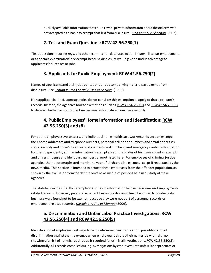publicly available information that could reveal private information about the officers was not accepted as a basis to exempt that list from disclosure. *[King County v. Sheehan](http://courts.mrsc.org/mc/courts/zappellate/114wnapp/114wnapp0325.htm)* (2002).

# **2. Test and Exam Questions[: RCW 42.56.250\(1\)](http://apps.leg.wa.gov/RCW/default.aspx?cite=42.56.250)**

"Test questions, scoring keys, and other examination data used to administer a license, employment, or academic examination" areexempt because disclosure would give an undue advantage to applicants for licenses or jobs.

# **3. Applicants for Public Employment[: RCW 42.56.250\(2\)](http://apps.leg.wa.gov/RCW/default.aspx?cite=42.56.250)**

Names of applicants and their job applications and accompanying materials are exempt from disclosure. See *[Beltran v. Dep't Social & Health Services](http://courts.mrsc.org/mc/courts/zappellate/098wnapp/098wnapp0245.htm)* (1999).

If an applicant is hired, some agencies do not consider this exemption to apply to that applicant's records. Instead, the agencies look to exemptions such a[s RCW 42.56.230\(3\)](http://apps.leg.wa.gov/RCW/default.aspx?cite=42.56.230) an[d RCW 42.56.250\(3\)](http://apps.leg.wa.gov/RCW/default.aspx?cite=42.56.250) to decide whether or not to disclose personal information from these records.

# **4. Public Employees' Home Information and Identification[: RCW](http://apps.leg.wa.gov/RCW/default.aspx?cite=42.56.250)  [42.56.250\(3\)](http://apps.leg.wa.gov/RCW/default.aspx?cite=42.56.250) and (8)**

For public employees, volunteers, and individual home health care workers, this section exempts their home addresses and telephone numbers, personal cell phone numbers and email addresses, social security and driver's licenses or state identicard numbers, and emergency contact information. For their dependents, similar information is exempt except that dates of birth are added as exempt and driver's license and identicard numbers are not listed here. For employees of criminal justice agencies, their photographs and month and year of birth are also exempt, except if requested by the news media. This section is intended to protect these employees from the offender population, as shown by the exclusion from the definition of news media of persons held in custody of these agencies.

The statute provides that this exemption applies to information held in personnel and employmentrelated records. However, personal email addresses of city councilmembers used to conduct city business were found not to be exempt, because they were not part of personnel records or employment-related records. *[Mechling v. City of Monroe](http://courts.mrsc.org/mc/courts/zappellate/152wnapp/152wnapp0830.htm)* (2009).

# **5. Discrimination and Unfair Labor Practice Investigations[: RCW](http://apps.leg.wa.gov/RCW/default.aspx?cite=42.56.250)  [42.56.250\(4\)](http://apps.leg.wa.gov/RCW/default.aspx?cite=42.56.250) an[d RCW 42.56.250\(5\)](http://apps.leg.wa.gov/RCW/default.aspx?cite=42.56.250)**

Identification of employees seeking advice to determine their rights about possible claims of discrimination against them is exempt when employees ask that their names be withheld; no showing of a risk of harm is required as is required for criminal investigations[. RCW 42.56.250\(5\).](http://apps.leg.wa.gov/rcw/default.aspx?cite=42.56.250) Additionally, all records compiled during investigations by employers into unfair labor practices or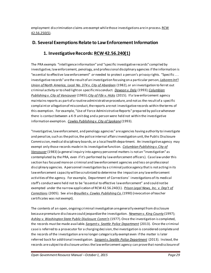employment discrimination claims are exempt while those investigations are in process. RCW [42.56.250\(5\)](http://apps.leg.wa.gov/RCW/default.aspx?cite=42.56.250).

#### **D. Several Exemptions Relate to Law Enforcement Information**

# <span id="page-29-0"></span>**1. Investigative Records[: RCW 42.56.240\(1\)](http://apps.leg.wa.gov/RCW/default.aspx?cite=42.56.240)**

The PRA exempts "intelligence information" and "specific investigative records" compiled by investigative, law enforcement, penology, and professional disciplinary agencies if the information is "essential to effective law enforcement" *or* needed to protect a person's privacy rights. "Specific . . . investigative records" are the result of an investigation focusing on a particular person, *[Laborers Int'l](http://courts.mrsc.org/mc/courts/zappellate/031wnapp/031wnapp0445.htm)  [Union of North America, Local No. 374 v. City of Aberdeen](http://courts.mrsc.org/mc/courts/zappellate/031wnapp/031wnapp0445.htm)* (1982), or an investigation to ferret out criminal activity or to shed light on specific misconduct. *[Dawson v. Daly](http://courts.mrsc.org/dtSearch/dtisapi6.dll?cmd=getdoc&DocId=11632&Index=C%3a%5cdtSearch%5czsupreme&HitCount=75&hits=8+9+a+12+13+14+1f+20+21+24+26+28+4e7+5ad+5cd+615+61c+627+649+658+671+676+6b8+6c1+6cf+6d6+74d+850+900+92f+979+a41+a66+a81+ab1+ad2+af8+b3e+c0e+c40+c54+ccb+d2c+d9d+dc9+ddb+dee+dfa+e3e+e56+e6b+e7a+ea1+fcf+fed+fff+1112+1176+11ff+1271+12e6+1323+1335+1387+13e3+1546+1553+1562+15fe+167d+16b1+1748+1774+17b8+17e6+&SearchForm=%2fsupreme%2findex%5fdtSearch%5fform%2ehtml%23hit1)* (1993); *[Columbian](http://courts.mrsc.org/mc/courts/zappellate/036wnapp/036wnapp0025.htm)  [Publishing v. City of Vancouver](http://courts.mrsc.org/mc/courts/zappellate/036wnapp/036wnapp0025.htm)* (1983); *[City of Fife v. Hicks](http://www.courts.wa.gov/opinions/index.cfm?fa=opinions.showOpinion&filename=454505MAJ)* (2015). If a law enforcement agency maintains reports as part of a routine administrative procedure, and not as the result of a specific complaint or allegation of misconduct, the reports are not investigative records within the terms of this exemption. For example, "Use of Force Administrative Reports" prepared by police whenever there is contact between a K-9 unit dog and a person were held not within the investigative information exemption. *[Cowles Publishing v. City of Spokane](http://courts.mrsc.org/mc/courts/zappellate/069wnapp/069wnapp0678.htm)* (1993).

"Investigative, law enforcement, and penology agencies" are agencies having authority to investigate and penalize, such as the police, the police internal affairs investigation unit, the Public Disclosure Commission, medical disciplinary boards, or a local health department. An investigative agency may exempt only those records made in its investigative function. *[Columbian Publishing v. City of](http://courts.mrsc.org/mc/courts/zappellate/036wnapp/036wnapp0025.htm)  [Vancouver](http://courts.mrsc.org/mc/courts/zappellate/036wnapp/036wnapp0025.htm)* (1983) (a general inquiry into agency personnel matters is not an "investigation" as contemplated by the PRA, even if it's performed by law enforcement officers). Case law under this section has focused more on criminal and law enforcement agencies and less on professional disciplinary agencies. A personnel investigation by a criminal justice agency that is not acting in its law enforcement capacity will be scrutinized to determine the impact on any law enforcement activities of the agency. For example, Department of Corrections' investigations of its medical staff's conduct were held not to be "essential to effective law enforcement" and could not be exempted under the narrow application of RCW 42.56.240(1). *[Prison Legal News, Inc. v. Dep't of](http://courts.mrsc.org/mc/courts/zsupreme/154wn2d/154wn2d0628.htm)  [Corrections](http://courts.mrsc.org/mc/courts/zsupreme/154wn2d/154wn2d0628.htm)* (2005). See also *[Brouillet v. Cowles Publishing Co.](http://courts.mrsc.org/mc/courts/zsupreme/114wn2d/114wn2d0788.htm)*(1990) (revocation of teacher certificates was not exempt).

The contents of an open, ongoing criminal investigation are generally exempt from disclosure because premature disclosure could jeopardize the investigation. *[Newman v. King County](http://courts.mrsc.org/mc/courts/zsupreme/133wn2d/133wn2d0565.htm)* (1997); *[Ashley v. Washington State Public Disclosure Comm'n](http://courts.mrsc.org/mc/courts/zappellate/016wnapp/016wnapp0830.htm)* (1977). Once the investigation is completed, the records mustbe made available. *[Sargent v. Seattle Police Department](http://courts.mrsc.org/mc/courts/zsupreme/179wn2d/179wn2d0376.htm)* (2013). Once the criminal case is referred to a prosecutor for a charging decision, the investigation is considered complete and the records of the investigation are no longer categorically exempt even if the matter is later referred back for additional investigation. *[Sargent v. Seattle Police Department](http://courts.mrsc.org/mc/courts/zsupreme/179wn2d/179wn2d0376.htm)* (2013). Instead, the records are subject to disclosure unless the law enforcement agency can prove that nondisclosure of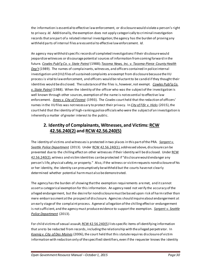the information is essential to effective law enforcement, or disclosure would violate a person's right to privacy. *Id.* Additionally, the exemption does not apply categorically to criminal investigation records that are part of a related internal investigation;the agency has the burden of proving any withheld parts of internal files are essential to effective law enforcement. *Id.*

An agency may withhold specific records of completed investigations if their disclosure would jeopardize witnesses or discourage potential sources of information from coming forward in the future. *[Cowles Publ'g Co. v. State Patrol](http://courts.mrsc.org/mc/courts/zsupreme/109wn2d/109wn2d0712.htm)* (1988); *[Tacoma News, Inc. v. Tacoma-Pierce County Health](http://courts.mrsc.org/mc/courts/zappellate/055wnapp/055wnapp0515.htm)  [Dep't](http://courts.mrsc.org/mc/courts/zappellate/055wnapp/055wnapp0515.htm)* (1989). The names of complainants, witnesses, and officers contained in police internal investigation unit (IIU) files of sustained complaints are exempt from disclosure because the IIU process is vital to law enforcement, and officers would be reluctant to be candid if they thought their identities would be disclosed. The substance of the files is, however, not exempt. *[Cowles Publ'g Co.](http://courts.mrsc.org/mc/courts/zsupreme/109wn2d/109wn2d0712.htm)  [v. State Patrol](http://courts.mrsc.org/mc/courts/zsupreme/109wn2d/109wn2d0712.htm)* (1988). When the identity of the officer who was the subject of the investigation is well known through other sources, exemption of the name is not essential to effective law enforcement. *[Ames v. City of Fircrest](http://courts.mrsc.org/mc/courts/zappellate/071wnapp/071wnapp0284.htm)* (1993). The *Cowles* court held that the redaction of officers' names in the IIU files was not necessary to protect their privacy. In *City of [Fife v. Hicks](http://www.courts.wa.gov/opinions/index.cfm?fa=opinions.showOpinion&filename=454505MAJ)* (2015), the court held that the identity of high-ranking police officials who were the subject of an investigation is inherently a matter of greater interest to the public.

#### **2. Identity of Complainants, Witnesses, and Victims[: RCW](http://apps.leg.wa.gov/RCW/default.aspx?cite=42.56.240)  [42.56.240\(2\)](http://apps.leg.wa.gov/RCW/default.aspx?cite=42.56.240) and [RCW 42.56.240\(5\)](http://apps.leg.wa.gov/RCW/default.aspx?cite=42.56.240)**

The identity of victims and witnesses is protected in two places in this part of the PRA. *[Sargent v.](http://courts.mrsc.org/mc/courts/zsupreme/179wn2d/179wn2d0376.htm)  [Seattle Police Department](http://courts.mrsc.org/mc/courts/zsupreme/179wn2d/179wn2d0376.htm)* (2013). Unde[r RCW 42.56.240\(1\),](http://apps.leg.wa.gov/rcw/default.aspx?cite=42.56.240) addressed above, disclosure can be prevented due to the chilling effect on other witnesses if their identity will be disclosed. Unde[r RCW](http://apps.leg.wa.gov/rcw/default.aspx?cite=42.56.240)  [42.56.240\(2\),](http://apps.leg.wa.gov/rcw/default.aspx?cite=42.56.240) witness and victim identities can be protected if "disclosure would endanger any person's life, physical safety, or property." Also, if the witness or victim requests nondisclosure of his or her identity, the identity can presumptively be withheld but the courts have not clearly determined whether potential harm must also be demonstrated.

The agency has the burden of showing that the exemption requirements are met, and it cannot assert a categorical exemption for this information. An agency need not verify the accuracy of the alleged endangerment, but the desire for nondisclosure must be based upon risk of harm rather than mere embarrassment at the prospect of disclosure. Agencies should inquire about endangerment at an early stage of the complaint process. A general allegation of the chilling effect or endangerment is not sufficient, and the agency must produce evidence to support the exemption. *[Sargent v. Seattle](http://courts.mrsc.org/mc/courts/zsupreme/179wn2d/179wn2d0376.htm)  [Police Department](http://courts.mrsc.org/mc/courts/zsupreme/179wn2d/179wn2d0376.htm)* (2013).

For child victims of sexual assault[, RCW 42.56.240\(5\)](http://apps.leg.wa.gov/rcw/default.aspx?cite=42.56.240) lists specific items of identifying information that are to be redacted from records, including the relationship with the alleged perpetrator. In *[Koenig v. City of Des Moines](http://courts.mrsc.org/mc/courts/zsupreme/158wn2d/158Wn2d0173.htm)* (2006), the court held that this statute requires disclosure of victim information with redaction only of the specified identifiers, even if the requester knows the identity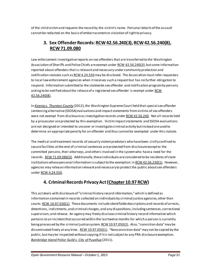of the child victim and requests the record by the victim's name. Personal details of the assault cannot be redacted on the basis of embarrassment or violation of right to privacy.

#### **3. Sex Offender Records[: RCW 42.56.240\(3\)](http://apps.leg.wa.gov/RCW/default.aspx?cite=42.56.240)[, RCW 42.56.240\(8\),](http://apps.leg.wa.gov/rcw/default.aspx?cite=42.56.240) [RCW 71.09.080](http://apps.leg.wa.gov/RCW/default.aspx?cite=71.09.080)**

Law enforcement investigative reports on sex offenders that are transferred to the Washington Association of Sheriffs and Police Chiefs are exempt under [RCW 42.56.240\(3\)](http://apps.leg.wa.gov/RCW/default.aspx?cite=42.56.240), but some information reported about offenders that is relevant and necessary under community protection and notification statutes such a[s RCW 4.24.550](http://apps.leg.wa.gov/RCW/default.aspx?cite=4.24.550) may be disclosed. The Association must refer requesters to local law enforcement agencies when it receives such a request but has no further obligation to respond. Information submitted to the statewide sex offender and notification program by persons asking to be notified about the release of a registered sex offender is exempt under RCW [42.56.240\(8\).](http://apps.leg.wa.gov/RCW/default.aspx?cite=42.56.240)

In *[Koenig v. Thurston County](http://courts.mrsc.org/mc/courts/zappellate/155wnapp/155wnapp0398.htm)* (2012), the Washington Supreme Court held that special sex offender sentencing alternative (SSOSA) evaluations and impact statements from victims of sex offenders were not exempt from disclosure as investigative records unde[r RCW 42.56.240.](http://apps.leg.wa.gov/RCW/default.aspx?cite=42.56.240) Not all records held by a prosecutor are protected by this exemption. Victim impact statements and SSOSA evaluations are not designed or intended to uncover or investigate criminal activity but instead are used to determine an appropriate penalty for an offender and thus cannot be exempted under this statute.

The medical and treatment records of sexually violent predators who have been civilly confined to secure facilities at the end of criminal sentences are protected from disclosure except to the committed persons, their attorneys, and others involved in the system who have a need for the records. RCW 71.09.080(3). Additionally, these individuals are considered to be residents of state institutions whose personal information is subject to the exemption in RCW  $42.56.230(1)$ . However, agencies may release information relevant and necessary to protect the public about sex offenders under [RCW 4.24.550.](http://apps.leg.wa.gov/RCW/default.aspx?cite=4.24.550) 

# **4. Criminal Records Privacy Act [\(Chapter 10.97 RCW](http://apps.leg.wa.gov/RCW/default.aspx?cite=10.97))**

This act deals with disclosure of "criminal history record information," which is defined as information contained in records collected on individuals by criminal justice agencies, other than courts[. RCW 10.97.030\(1\).](http://apps.leg.wa.gov/rcw/default.aspx?cite=10.97.030) These documents include identifiable descriptions and records of arrests, detentions, indictments, and criminal charges, and any dispositions, including sentences, correctional supervision, and release. An agency may freely disclose criminal history record information which pertains to an incident that occurred within the last twelve months for which a person is currently being processed by the criminal justice system. RCW 10.97.050(2). Also, "conviction data" may be disseminated freely at any time. [RCW 10.97.050\(1\)](http://apps.leg.wa.gov/RCW/default.aspx?cite=10.97.050). "Nonconviction data" may not be copied by the public, but may be inspected without copying if it is not subject to any PRA disclosure exemption. *[Bainbridge Island Police Guild v. City of Puyallup](http://courts.mrsc.org/mc/courts/zsupreme/172wn2d/172wn2d0398.htm)* (2011).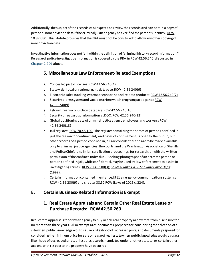Additionally, the subject of the records can inspect and review the records and can obtain a copy of personal nonconviction data if the criminal justice agency has verified the person's identity. RCW [10.97.080.](http://apps.leg.wa.gov/rcw/default.aspx?cite=10.97.080) This statute provides that the PRA must not be construed to allow any other copying of nonconviction data.

Investigative information does not fall within the definition of "criminal history record information." Release of police investigative information is covered by the PRA i[n RCW 42.56.240,](http://apps.leg.wa.gov/RCW/default.aspx?cite=42.56.240) discussed in [Chapter 2.2D1](#page-29-0) above.

#### **5. Miscellaneous Law Enforcement-Related Exemptions**

- **a.** Concealed pistol licenses[:RCW 42.56.240\(4\)](http://apps.leg.wa.gov/RCW/default.aspx?cite=42.56.240)
- **b.** Statewide, local or regional gang databa[se: RCW 42.56.240\(6\)](http://apps.leg.wa.gov/RCW/default.aspx?cite=42.56.240)
- **c.** Electronic sales tracking system for ephedrine and related products[: RCW 42.56.240\(7\)](http://apps.leg.wa.gov/RCW/default.aspx?cite=42.56.240)
- **d.** Security alarm system and vacation crime watch program participants[: RCW](http://apps.leg.wa.gov/RCW/default.aspx?cite=42.56.240)  [42.56.240\(9\)](http://apps.leg.wa.gov/RCW/default.aspx?cite=42.56.240)
- **e.** Felony firearm conviction database: RCW [42.56.240\(10\)](http://apps.leg.wa.gov/RCW/default.aspx?cite=42.56.240)
- **f.** Security threat group information at DOC[: RCW 42.56.240\(12\)](http://apps.leg.wa.gov/RCW/default.aspx?cite=42.56.240)
- **g.** Global positioning data of criminal justice agency employees and workers[: RCW](http://apps.leg.wa.gov/rcw/default.aspx?cite=42.56.240)  [42.56.240\(13](http://apps.leg.wa.gov/rcw/default.aspx?cite=42.56.240))
- **h.** Jail register: [RCW 70.48.100](http://apps.leg.wa.gov/rcw/default.aspx?cite=70.48.100). The register containing the names of persons confined in jail, the reason for confinement, and dates of confinement, is open to the public, but other records of a person confined in jail are confidential and are to be made available only to criminal justice agencies, the courts, and the Washington Association of Sheriffs and Police Chiefs, and in jail certification proceedings, for research, or with the written permission of the confined individual. Booking photographs of an arrested person or person confined in jail, while confidential, may be used by law enforcement to assist in investigating crimes. [RCW 70.48.100\(3](http://apps.leg.wa.gov/rcw/default.aspx?cite=70.48.100)); *[Cowles Publ'g Co. v. Spokane Police Dep't](http://courts.mrsc.org/mc/courts/zsupreme/139wn2d/139wn2d0472.htm)* (1999).
- **i.** Certain information contained in enhanced 911 emergency communications systems: [RCW 42.56.230\(9\)](http://apps.leg.wa.gov/RCW/default.aspx?cite=42.56.230) and chapter 38.52 RCW [\(Laws of 2015 c. 224\)](http://apps.leg.wa.gov/billinfo/summary.aspx?bill=1980&year=2015).

# **E. Certain Business-Related Information is Exempt**

## **1. Real Estate Appraisals and Certain Other Real Estate Lease or Purchase Records: [RCW 42.56.260](http://apps.leg.wa.gov/rcw/default.aspx?cite=42.56.260)**

Real estate appraisals for or by an agency to buy or sell real property are exempt from disclosure for no more than three years. Also exempt are: documents prepared for considering the selection of a site when public knowledge would cause a likelihood of increased price, and documents prepared for considering the minimum price for sale or lease of real estate when public knowledge would cause a likelihood of decreased price, unless disclosure is mandated under another statute, or certain other actions with respect to the property have occurred.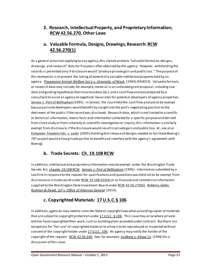#### **2. Research, Intellectual Property, and Proprietary Information; [RCW 42.56.270,](http://apps.leg.wa.gov/RCW/default.aspx?cite=42.56.270) Other Laws**

# **a. Valuable Formula, Designs, Drawings, Research[: RCW](http://apps.leg.wa.gov/RCW/default.aspx?cite=42.56.270)  [42.56.270\(1\)](http://apps.leg.wa.gov/RCW/default.aspx?cite=42.56.270)**

As a general provision applying to any agency, this statute protects "valuable formulae, designs, drawings, and research" data for five years after obtained by the agency. However, withholding the records is permitted only if disclosure would "produce private gain and public loss." The purpose of this exemption is to prevent the taking of potentially valuable intellectual property held by an agency. *[Progressive Animal Welfare Soc'y v. University of Wash.](http://courts.mrsc.org/mc/courts/zsupreme/125wn2d/125wn2d0243.htm)* (1994) (*PAWS II*). Valuable formula or research data may include, for example, material in an unfunded grant proposal, including raw data and guiding hypotheses that structure data *(id.)*, and a cash flow analysis prepared by a consultant to assist an agency to negotiate lease rates for potential developers of agency properties. *[Servais v. Port of Bellingham](http://courts.mrsc.org/mc/courts/zsupreme/127wn2d/127wn2d0820.htm)*(1995). In *Servais*, the court held the cash flow analysis to be exempt because private developers would benefit by insight into the port's negotiating position to the detriment of the public if the record was disclosed. Research data, which is not limited to scientific or technical information, means facts and information collected for a specific purpose and derived from close study or from scholarly or scientific investigation or inquiry; this information is similarly exempt from disclosure, if the disclosure would result in private gain and public loss. *Id*., see also *[Evergreen Freedom Fdn. v. Locke](http://courts.mrsc.org/mc/courts/zappellate/127wnapp/127wnapp0243.htm)* (2005) (holding that release of designs needed to facilitate Boeing's 787 project would allow private parties to benefit and interfere with the agency's agreement with Boeing).

# **b. Trade Secrets: [Ch. 19.108 RCW](http://apps.leg.wa.gov/RCW/default.aspx?cite=19.108)**

In addition, intellectual and proprietary information may be exempt under the Washington Trade Secrets Act[, chapter 19.108 RCW.](http://apps.leg.wa.gov/RCW/default.aspx?cite=19.108) *[Servais v. Port of Bellingham](http://courts.mrsc.org/mc/courts/zsupreme/127wn2d/127wn2d0820.htm)* (1995). Information submitted by a law firm in response to the request for qualifications and quotations was held not to be exempt from disclosure as a trade secret unde[r RCW 19.108.010\(4\)](http://apps.leg.wa.gov/RCW/default.aspx?cite=19.108.010) or as financial and commercial information supplied to the Washington State Investment Board under RCW [42.56.270\(6\).](http://apps.leg.wa.gov/RCW/default.aspx?cite=42.56.270) *[Robbins, Geller,](http://courts.mrsc.org/mc/courts/zappellate/179wnapp/179wnapp0711.htm)  [Rudman & Dowd, LLP v. Office of Attorney General](http://courts.mrsc.org/mc/courts/zappellate/179wnapp/179wnapp0711.htm)* (2014).

# **c. Copyrighted Materials: [17 U.S.C. § 106](http://www.law.cornell.edu/uscode/text/17/106)**

In addition, agencies may need to consider federal copyright laws when providing copies of materials that are subject to copyright protection unde[r 17 U.S.C. § 106.](http://www.law.cornell.edu/uscode/text/17/106) This issue may arise where private entities have copyrighted their work, such as building plans provided under contract. But there are exceptions for "fair use" of copyrighted material to allow it to be reproduced or inspected without consent of the copyright holder unde[r 17 U.S.C. 106.](http://www.law.cornell.edu/uscode/text/17/106) An agency may notify the holder of the copyright of the request. [RCW 42.56.540](http://apps.leg.wa.gov/RCW/default.aspx?cite=42.56.540). See, for example, *[Lindberg v. Kitsap Cy.](http://courts.mrsc.org/mc/courts/zappellate/082wnapp/082wnapp0566.htm)* (1996) for a discussion of this issue.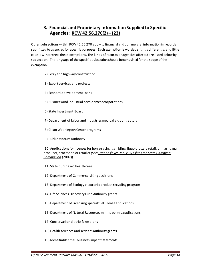#### **3. Financial and Proprietary Information Supplied to Specific Agencies: [RCW 42.56.270\(2\) –](http://apps.leg.wa.gov/RCW/default.aspx?cite=42.56.270) (23)**

Other subsections withi[n RCW 42.56.270](http://apps.leg.wa.gov/RCW/default.aspx?cite=42.56.270) apply to financial and commercial information in records submitted to agencies for specific purposes. Each exemption is worded slightly differently, and little case law interprets these exemptions. The kinds of records or agencies affected are listed below by subsection. The language of the specific subsection should be consulted for the scope of the exemption.

- (2) Ferry and highway construction
- (3) Export services and projects
- (4) Economic development loans
- (5) Business and industrial development corporations
- (6) State Investment Board
- (7) Department of Labor and Industries medical aid contractors
- (8) Clean Washington Center programs
- (9) Public stadium authority

(10) Applications for licenses for horse racing, gambling, liquor, lottery retail, or marijuana producer, processor, or retailer *(*See*: Dragonslayer, Inc. [v. Washington State](http://courts.mrsc.org/mc/courts/zappellate/139wnapp/139wnapp0433.htm) Gambling [Commission](http://courts.mrsc.org/mc/courts/zappellate/139wnapp/139wnapp0433.htm)* (2007)).

- (11) State purchased health care
- (12) Department of Commerce siting decisions
- (13) Department of Ecology electronic product recycling program
- (14) Life Sciences Discovery Fund Authority grants
- (15) Department of Licensing special fuel license applications
- (16) Department of Natural Resources mining permit applications
- (17) Conservation district farm plans
- (18) Health sciences and services authority grants
- (19) Identifiable small business impact statements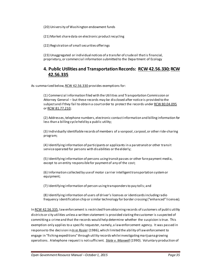(20) University of Washington endowment funds

(21) Market share data on electronic product recycling

(22) Registration of small securities offerings

(23) Unaggregated or individual notices of a transfer of crude oil that is financial, proprietary, or commercial information submitted to the Department of Ecology

#### **4. Public Utilities and TransportationRecords: [RCW 42.56.330](http://apps.leg.wa.gov/RCW/default.aspx?cite=42.56.330)[; RCW](http://apps.leg.wa.gov/RCW/default.aspx?cite=42.56.335)  [42.56.335](http://apps.leg.wa.gov/RCW/default.aspx?cite=42.56.335)**

As summarized below[, RCW 42.56.330](http://apps.leg.wa.gov/rcw/default.aspx?cite=42.56.330) provides exemptions for:

(1) Commercial information filed with the Utilities and Transportation Commission or Attorney General – but these records may be disclosed after notice is provided to the subject and if they fail to obtain a court order to protect the records unde[r RCW 80.04.095](http://apps.leg.wa.gov/RCW/default.aspx?cite=80.04.095) o[r RCW 81.77.210;](http://apps.leg.wa.gov/rcw/default.aspx?cite=81.77.210)

(2) Addresses, telephone numbers, electronic contact information and billing information for less than a billing cycle held by a public utility;

(3) Individually identifiable records of members of a vanpool, carpool, or other ride-sharing program;

(4) Identifying information of participants or applicants in a paratransit or other transit service operated for persons with disabilities or the elderly;

(5) Identifying information of persons using transit passes or other fare payment media, except to an entity responsible for payment of any of the cost;

(6) Information collected by use of motor carrier intelligent transportation system or equipment;

(7) Identifying information of person using transponders to pay tolls; and

(8) Identifying information of users of driver's licenses or identicards including radio frequency identification chip or similar technology for border crossing ("enhanced" licenses).

I[n RCW 42.56.335](http://apps.leg.wa.gov/RCW/default.aspx?cite=42.56.335), law enforcement is restricted from obtaining records of customers of public utility districts or city utilities unless a written statement is provided stating the customer is suspected of committing a crime and that the records would help determine whether the suspicion is true. This exemption only applies to a specific requester, namely, a law enforcement agency. It was passed in response to the decision in *[In re Rosier](http://courts.mrsc.org/mc/courts/zsupreme/105wn2d/105wn2d0606.htm)* (1986), which limited the ability of law enforcement to engage in "fishing expeditions" through utility records while investigating marijuana growing operations. A telephone request is not sufficient. *[State v. Maxwell](http://courts.mrsc.org/mc/courts/zsupreme/114wn2d/114wn2d0761.htm)* (1990). Voluntary production of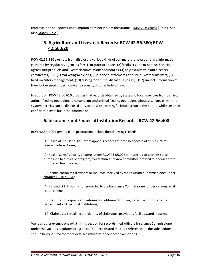information about power consumption does not violate the statute. *[State v. Maxfield](http://courts.mrsc.org/mc/courts/zsupreme/125wn2d/125wn2d0378.htm)* (1994). See also *[State v. Cole](http://courts.mrsc.org/mc/courts/zsupreme/128wn2d/128wn2d0262.htm)* (1995).

## **5. Agriculture and Livestock Records: [RCW 42.56.380](http://apps.leg.wa.gov/RCW/default.aspx?cite=42.56.380)[; RCW](http://apps.leg.wa.gov/RCW/default.aspx?cite=42.56.610)  [42.56.620](http://apps.leg.wa.gov/RCW/default.aspx?cite=42.56.610)**

[RCW 42.56.380](http://apps.leg.wa.gov/rcw/default.aspx?cite=42.56.380) exempts from disclosure various kinds of commercial and proprietary information gathered by regulatory agencies for: (1) organic products; (2) fertilizers and minerals; (3) various agriculture products and livestock commissions and boards; (4) phytosanitary (plant disease) certificates; (5) – (7) marketing activities; (8) financial statements of public livestock markets; (9) herd inventory management; (10) testing for animal diseases; and  $(11) - (12)$  import information of livestock exempt under homeland security or other federal law.

In addition[, RCW 42.56.610](http://apps.leg.wa.gov/RCW/default.aspx?cite=42.56.610) provides that records obtained by state and local agencies from dairies, animal feeding operations, and concentrated animal feeding operations about discharge elimination system permits can be disclosed only to provide meaningful information to the public, while ensuring confidentiality of business information.

#### **6. Insurance and Financial InstitutionRecords: [RCW 42.56.400](http://apps.leg.wa.gov/RCW/default.aspx?cite=42.56.400)**

[RCW 42.56.400](http://apps.leg.wa.gov/rcw/default.aspx?cite=42.56.400) exempts from production include the following records:

(1) Board of Industrial Insurance Appeals records related to appeals of crime victims' compensation claims;

(2) Health Care Authority records unde[r RCW 41.05.026](http://apps.leg.wa.gov/RCW/default.aspx?cite=41.05.026) transferred to another state purchased health care program, to a technical review committee created to acquire state purchased health care;

(3) Identification of all owners or insureds received by the Insurance Commissioner under [chapter 48.102 RCW;](http://apps.leg.wa.gov/RCW/default.aspx?cite=48.102)

(4), (5) and (23) Information provided to the Insurance Commissioner under various legal requirements;

(6) Examination reports and information obtained from regulated institutions by the Department of Financial Institutions;

(10) Claim data revealing the identity of claimants, providers, facilities, and insurers.

Various other exemptions exist in this section for records filed with the Insurance Commissioner under the various regulated programs. This section and the cited references in the subsections should be consulted for more detailed information on these exemptions.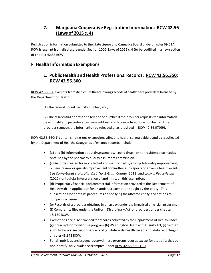## **7. Marijuana Cooperative Registration Information: [RCW 42.56](http://app.leg.wa.gov/billinfo/summary.aspx?bill=2136&year=2015)  [\(Laws of 2015 c. 4\)](http://app.leg.wa.gov/billinfo/summary.aspx?bill=2136&year=2015)**

Registration information submitted to the state Liquor and Cannabis Board under chapter 69.51A RCW is exempt from disclosure under Section 1002[, Laws of 2015 c. 4](http://app.leg.wa.gov/billinfo/summary.aspx?bill=2136&year=2015) (to be codified in a new section of chapter 42.56 RCW).

#### **F. Health Information Exemptions**

#### <span id="page-37-0"></span>**1. Public Health and Health Professional Records: [RCW 42.56.350](http://apps.leg.wa.gov/RCW/default.aspx?cite=42.56.350); [RCW 42.56.360](http://apps.leg.wa.gov/RCW/default.aspx?cite=42.56.360)**

[RCW 42.56.350](http://apps.leg.wa.gov/rcw/default.aspx?cite=42.56.350) exempts from disclosure the following records of health care providers licensed by the Department of Health:

(1) The federal Social Security number; and,

(2) The residential address and telephone number if the provider requests the information be withheld and provides a business address and business telephone number or if the provider requests the information be released or as provided i[n RCW 42.56.070\(9\).](http://apps.leg.wa.gov/RCW/default.aspx?cite=42.56.070)

[RCW 42.56.360\(](http://apps.leg.wa.gov/rcw/default.aspx?cite=42.56.360)1) contains numerous exemptions affecting health care providers and data collected by the Department of Health. Categories of exempt records include:

- (a) and (b) Information about drug samples, legend drugs, or nonresident pharmacies obtained by the pharmacy quality assurance commission.
- (c) Records created for or collected and maintained by a hospital quality improvement, or peer review or quality improvement committee and reports of adverse health events. See *[Cornu-Labat v. Hospital Dist. No. 2 Grant County](http://courts.mrsc.org/mc/courts/zsupreme/177wn2d/177wn2d0221.htm)* (2013) and *[Lowy v. PeaceHealth](http://courts.mrsc.org/mc/courts/zsupreme/174wn2d/174wn2d0769.htm)* (2012) for judicial interpretation of and limits on this exemption.
- (d) Proprietary financial and commercial information provided to the Department of Health with an application for an antitrust exemption sought by the entity. This subsection also contains procedures on notifying the affected entity and actions to compel disclosure.
- (e) Records of a provider obtained in an action under the impaired physician program.
- (f) Complaints filed under the Uniform Disciplinary Act for providers under chapter [18.130 RCW.](http://apps.leg.wa.gov/RCW/default.aspx?cite=18.130)
- Exemptions are also provided for records collected by the Department of Health under (g) prescription monitoring program, (h) Washington Death with Dignity Act, (i) cardiac and stroke system performance, and (k) state wide health care claims data reporting in chapter [43.371 RCW.](http://apps.leg.wa.gov/RCW/default.aspx?cite=43.371)
- For all public agencies, employee wellness program records except for statistics that do not identify individuals are exempted under RCW 42.56.360(1)(j).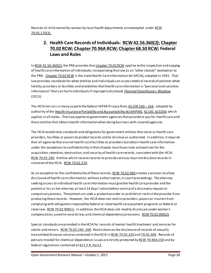Records of child mortality reviews by local health departments are exempted under RCW [70.05.170\(3\).](http://app.leg.wa.gov/rcw/default.aspx?cite=70.05.170)

# **2. Health Care Records of Individuals: [RCW 42.56.360\(2\)](http://apps.leg.wa.gov/RCW/default.aspx?cite=42.56.360)[; Chapter](http://apps.leg.wa.gov/RCW/default.aspx?cite=70.02) [70.02 RCW;](http://apps.leg.wa.gov/RCW/default.aspx?cite=70.02) Chapter [70.96A RCW;](http://apps.leg.wa.gov/RCW/default.aspx?cite=70.96A) [Chapter](http://apps.leg.wa.gov/RCW/default.aspx?cite=68.50) 68.50 RCW; Federal Laws and Rules**

I[n RCW 42.56.360\(2\),](http://apps.leg.wa.gov/rcw/default.aspx?cite=42.56.360) the PRA provides tha[t chapter 70.02 RCW](http://apps.leg.wa.gov/RCW/default.aspx?cite=70.02) applies to the inspection and copying of health care information of individuals, incorporating that law as an "other statute" exemption to the PRA. [Chapter 70.02 RCW](http://apps.leg.wa.gov/RCW/default.aspx?cite=70.02) is the state Health Care Information Act (HCIA), adopted in 1991. That law provides standards for when entities and individuals can access medical records of patients when held by providers or facilities and establishes that health care information is "personal and sensitive information" that can harm individuals if improperly disclosed*. [Planned Parenthood v. Bloedow](http://www.courts.wa.gov/opinions/index.cfm?fa=opinions.showOpinion&filename=710397MAJ)* (2015).

The HCIA mirrors in many aspects the federal HIPAA Privacy Rule, 45 CFR 160 - 164, adopted by authority of th[e Health Insurance Portability and Accountability Act \(HIPAA\),](http://www.hhs.gov/ocr/privacy/index.html) [42 USC §1320d,](http://www.law.cornell.edu/uscode/text/42/1320d-6) which applies in all states. That law applies to government agencies that provide or pay for health care and those entities that obtain health information when doing business with covered agencies.

The HCIA establishes standards and obligations for government entities thatserve as health care providers, facilities or payors to protect records and to disclose as authorized. In addition, it requires that all agencies that are not health care facilities or providers but obtain health care information under the exceptions to confidentiality in that chapter must have rules and policies for the acquisition, retention, destruction, and security of health care records, consistent with the HCIA. [RCW 70.02.290.](http://apps.leg.wa.gov/RCW/default.aspx?cite=70.02.290) Entities which receive records to provide services must not disclose records in violation of the HCIA. [RCW 70.02.270.](http://apps.leg.wa.gov/RCW/default.aspx?cite=70.02.270)

As an exception to the confidentiality of these records[, RCW 70.02.060](http://apps.leg.wa.gov/RCW/default.aspx?cite=70.02.060) creates a process to allow disclosure of health care information, without authorization, in court proceedings. The attorney seeking access to individual health care information must give the health care provider and the patient or his or her attorney at least 14 days' notice before service of a discovery request or compulsory process. The patient can seek a protective order to prohibit or restrict the provider from producing these records. However, the HCIA does not restrict providers, payors or insurers from complying with obligations imposed by federal or state health care payment programs or federal or state law. [RCW 70.02.900\(1\).](http://apps.leg.wa.gov/RCW/default.aspx?cite=70.02.900) In addition, the HCIA does not modify disclosure under worker's compensation, juvenile records law, and chemical dependency provisions. [RCW 70.02.900\(2\)](http://apps.leg.wa.gov/RCW/default.aspx?cite=70.02.900).

Special standards are provided in the HCIA for records of mental health treatment and services for adults and minors[. RCW 70.02.230-.260](http://apps.leg.wa.gov/RCW/default.aspx?cite=70.02). Restrictions on the disclosure of records of sexually transmitted diseases are also contained in the HCIA i[n RCW 70.02.220](http://apps.leg.wa.gov/RCW/default.aspx?cite=70.02.220) an[d 70.02.300](http://apps.leg.wa.gov/RCW/default.aspx?cite=70.02.300). Records of persons treated for chemical dependence issues are strictly protected b[y RCW 70.96A.150](http://apps.leg.wa.gov/RCW/default.aspx?cite=70.96A.150) and by federal regulations contained a[t 42 C.F.R. Part 2.](http://www.ecfr.gov/cgi-bin/text-idx?tpl=/ecfrbrowse/Title42/42cfr2_main_02.tpl)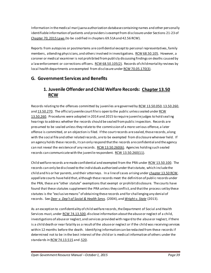Information in the medical marijuana authorization databasecontaining names and other personally identifiable information of patients and providers is exempt from disclosure under Sections 21-23 of [Chapter 70, 2015 Laws](http://app.leg.wa.gov/billinfo/summary.aspx?bill=5052&year=2015) (to be codified in chapters 69.51A and 42.56 RCW).

Reports from autopsies or postmortems are confidential except to personal representatives, family members, attending physicians, and others involved in investigatio[ns. RCW 68.50.105](http://apps.leg.wa.gov/rcw/default.aspx?cite=68.50.105). However, a coroner or medical examiner is not prohibited from publicly discussing findings on deaths caused by a law enforcement or corrections officers[. RCW 68.50.105\(2\).](http://apps.leg.wa.gov/rcw/default.aspx?cite=68.50.105) Records of child mortality reviews by local health departments are exempted from disclosure unde[r RCW 70.05.170\(3\).](http://app.leg.wa.gov/rcw/default.aspx?cite=70.05.170)

#### **G. Government Services and Benefits**

#### **1. Juvenile Offender and Child Welfare Records: [Chapter 13.50](http://apps.leg.wa.gov/RCW/default.aspx?cite=13.50)  [RCW](http://apps.leg.wa.gov/RCW/default.aspx?cite=13.50)**

Records relating to the offenses committed by juveniles are governed by [RCW 13.50.050](http://apps.leg.wa.gov/RCW/default.aspx?cite=13.50.050)[, 13.50.260](http://apps.leg.wa.gov/RCW/default.aspx?cite=13.50.260), an[d 13.50.270.](http://apps.leg.wa.gov/RCW/default.aspx?cite=13.50.270) The official juvenile court file is open to the public unless sealed unde[r RCW](http://apps.leg.wa.gov/RCW/default.aspx?cite=13.50.260)  [13.50.260.](http://apps.leg.wa.gov/RCW/default.aspx?cite=13.50.260) Procedures were adopted in 2014 and 2015 to require juvenile judges to hold sealing hearings to address whether the records should be sealed from public inspection. Records are presumed to be sealed unless they relate to the commission of a more serious offense, a later offense is committed, or an objection is filed. If the court records are sealed, those records, along with the social file and other related records, are to be exempted from disclosure wherever held. If an agency holds these records, it can only respond that the records are confidential and the agency can not reveal the existence of any records. [RCW 13.50.260\(6\).](http://apps.leg.wa.gov/RCW/default.aspx?cite=13.50.260) Agencies holding such sealed records can communicate with the juvenile respondent. [RCW 13.50.260\(11\).](http://apps.leg.wa.gov/RCW/default.aspx?cite=13.50.260)

Child welfare records are made confidential and exempted from the PRA under [RCW 13.50.100.](http://apps.leg.wa.gov/RCW/default.aspx?cite=13.50.100) The records can only be disclosed to the individuals authorized under that statute, which include the child and his or her parents, and their attorneys. In a line of cases arising under chapter [13.50 RCW,](http://apps.leg.wa.gov/RCW/default.aspx?cite=13.50) appellate courts have held that, although these records meet the definition of public records under the PRA, these are "other statute" exemptions that exempt or prohibit disclosure. The courts have found that these statutes supplement the PRA unless they conflict, and that the process set by these statutes is the "exclusive means" of obtaining these records and for challenging any denial of records. See *[Deer v. Dep't of Social & Health Servs](http://courts.mrsc.org/mc/courts/zappellate/122wnapp/122wnapp0084.htm)*. (2004), and *[Wright v. State](http://courts.mrsc.org/mc/courts/zappellate/176wnapp/176wnapp0585.htm)* (2013).

As an exception to confidentiality of child welfare records, the Department of Social and Health Services must, under [RCW 74.13.500,](http://apps.leg.wa.gov/RCW/default.aspx?cite=74.13.500) disclose information about the abuse or neglect of a child, investigations of abuse or neglect, and services provided with regard to the abuse or neglect, if there is a child death or near fatality as a result of the abuse or neglect or if the child was receiving services within 12 months before the death. Identifying information can be redacted from these records if determined not to be in the best interest of the child or is medical information of others under the standards i[n RCW 74.13.515](http://apps.leg.wa.gov/RCW/default.aspx?cite=74.13.515) an[d .520](http://apps.leg.wa.gov/RCW/default.aspx?cite=74.13.520).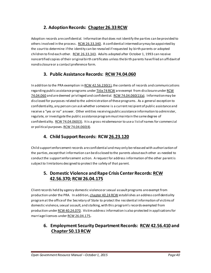# **2. Adoption Records: [Chapter 26.33 RCW](http://apps.leg.wa.gov/RCW/default.aspx?cite=26.33)**

Adoption records are confidential. Information that does not identify the parties can be provided to others involved in the process. [RCW 26.33.340.](http://apps.leg.wa.gov/RCW/default.aspx?cite=26.33.340) A confidential intermediary may be appointed by the court to determine if the identity can be revealed if requested by birth parents or adopted children to find each other. [RCW 26.33.343.](http://apps.leg.wa.gov/RCW/default.aspx?cite=26.33.343) Adults adopted after October 1, 1993 can receive noncertified copies of their original birth certificates unless the birth parents have filed an affidavit of nondisclosure or a contact preference form.

#### **3. Public Assistance Records: [RCW 74.04.060](http://apps.leg.wa.gov/rcw/default.aspx?Cite=74.04.060)**

In addition to the PRA exemption in  $RCW$  42.56.230(1), the contents of records and communications regarding public assistance programs unde[r Title 74 RCW](http://apps.leg.wa.gov/RCW/default.aspx?cite=74) are exempt from disclosure unde[r RCW](http://apps.leg.wa.gov/RCW/default.aspx?cite=74.04.060)  [74.04.060](http://apps.leg.wa.gov/RCW/default.aspx?cite=74.04.060) and are deemed privileged and confidential. [RCW 74.04.060\(1\)\(a\)](http://apps.leg.wa.gov/RCW/default.aspx?cite=74.04.060). Information may be disclosed for purposes related to the administration of these programs. As a general exception to confidentiality, any person can ask whether someone is a current recipient of public assistance and receive a "yes or no" answer. Other entities receiving public assistance information to administer, regulate, or investigate the public assistance program must maintain the same degree of confidentiality. [RCW 74.04.060\(3\).](http://apps.leg.wa.gov/RCW/default.aspx?cite=74.04.060) It is a gross misdemeanor to use a list of names for commercial or political purposes[. RCW 74.04.060\(4\).](http://apps.leg.wa.gov/RCW/default.aspx?cite=74.04.060)

# **4. Child Support Records: RC[W 26.23.120](http://apps.leg.wa.gov/RCW/default.aspx?cite=26.23.120)**

Child support enforcement records are confidential and may only be released with authorization of the parties, except that information can be disclosed to the parents about each other as needed to conduct the support enforcement action. A request for address information of the other parent is subject to limitations designed to protect the safety of that parent.

# **5. Domestic Violence and Rape Crisis Center Records: [RCW](http://apps.leg.wa.gov/rcw/default.aspx?cite=42.56.370)  [42.56.370](http://apps.leg.wa.gov/rcw/default.aspx?cite=42.56.370)[; RCW 26.04.175](http://apps.leg.wa.gov/RCW/default.aspx?cite=26.04.175)**

Client records held by agency domestic violence or sexual assault programs are exempt from production under the PRA. In additio[n, chapter 40.24 RCW](http://apps.leg.wa.gov/RCW/default.aspx?cite=40.24) establishes an address confidentiality program at the office of the Secretary of State to protect the residential information of victims of domestic violence, sexual assault, and stalking, with this program's records exempted from production unde[r RCW 40.24.070.](http://apps.leg.wa.gov/RCW/default.aspx?cite=40.24.070) Victim address information is also protected in applications for marriage licenses unde[r RCW 26.04.175](http://apps.leg.wa.gov/RCW/default.aspx?cite=26.04.175)**.**

#### **6. Employment Security Department Records: [RCW 42.56.410](http://apps.leg.wa.gov/RCW/default.aspx?cite=42.56.410) and Chapter [50.13 RCW](http://apps.leg.wa.gov/RCW/default.aspx?cite=50.13)**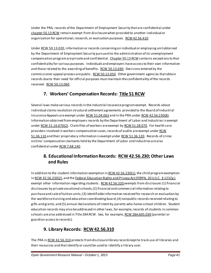Under the PRA, records of the Department of Employment Security that are confidential under [chapter 50.13 RCW](http://apps.leg.wa.gov/RCW/default.aspx?cite=50.13) remain exempt from disclosure when provided to another individual or organization for operational, research, or evaluation purposes[. RCW 42.56.410](http://apps.leg.wa.gov/rcw/default.aspx?cite=42.56.410).

Under [RCW 50.13.020,](http://apps.leg.wa.gov/RCW/default.aspx?cite=50.13.020) information or records concerning an individual or employing unit obtained by the Department of Employment Security pursuant to the administration of its unemployment compensation program are private and confidential[. Chapter 50.13 RCW](http://apps.leg.wa.gov/RCW/default.aspx?cite=50.13) contains exceptions to that confidentiality for various purposes. Individuals and employers have access to their own information and those related to the awarding of benefit[s. RCW 50.13.040.](http://apps.leg.wa.gov/RCW/default.aspx?cite=50.13.040) Decisions entered by the commissioner appeal process are public[. RCW 50.13.050](http://apps.leg.wa.gov/RCW/default.aspx?cite=50.13.050). Other government agencies that obtain records due to their need for official purposes must maintain the confidentiality of the records received. [RCW 50.13.060.](http://apps.leg.wa.gov/RCW/default.aspx?cite=50.13.060)

# **7. Workers' Compensation Records: [Title 51 RCW](http://apps.leg.wa.gov/RCW/default.aspx?Cite=51)**

Several laws make various records in the industrial insurance program exempt. Records about individual claims resolution structural settlement agreements provided to the Board of Industrial Insurance Appeals are exempt under [RCW 51.04.063](http://apps.leg.wa.gov/RCW/default.aspx?cite=51.04.063) and in the PRA under [RCW 42.56.230\(8\).](http://apps.leg.wa.gov/RCW/default.aspx?cite=42.56.230) Information obtained from employers records by the Department of Labor and Industries is exempt under [RCW 51.16.070\(2\).](http://apps.leg.wa.gov/RCW/default.aspx?cite=51.16.070) Claim files of workers are exempt b[y RCW 51.28.070.](http://apps.leg.wa.gov/RCW/default.aspx?cite=51.28.070) For health care providers involved in workers compensation cases, records of audits are exempt unde[r RCW](http://apps.leg.wa.gov/RCW/default.aspx?cite=51.36.110)  [51.36.110](http://apps.leg.wa.gov/RCW/default.aspx?cite=51.36.110) and their proprietary information is exempt unde[r RCW 51.36.120](http://apps.leg.wa.gov/RCW/default.aspx?cite=51.36.120). Records of crime victims' compensation claimants held by the Department of Labor and Industries are also confidential unde[r RCW 7.68.140.](http://apps.leg.wa.gov/RCW/default.aspx?cite=7.68.140)

## **8. Educational InformationRecords: [RCW 42.56.230](http://apps.leg.wa.gov/RCW/default.aspx?cite=42.56.230); Other Laws and Rules**

In addition to the student information exemption i[n RCW 42.56.230\(1\),](http://apps.leg.wa.gov/RCW/default.aspx?cite=42.56.230) the child program exemption i[n RCW 42.56.230\(2\),](http://apps.leg.wa.gov/RCW/default.aspx?cite=42.56.230) and the Federal Education Rights and Privacy Act (FERPA, 20 U.S.C. § 1232g), exempt other information regarding students. [RCW 42.56.320](http://apps.leg.wa.gov/rcw/default.aspx?cite=42.56.320) exempts from disclosure: (1) financial disclosures by private vocational schools; (2) financial and commercial information relating to purchase and sale of tuition units; (3) identifiable information received for research or evaluation by the workforce training and education coordinating board; (4) nonpublic records received relating to gifts and grants; and (5) annual declarations of intent by parents who home-school children. Student education records may also be addressed in other laws, for example, records of students in common schools are also addressed in Title 28A RCW. See, for example[, RCW 28A.605.030](http://apps.leg.wa.gov/rcw/default.aspx?cite=28A.605.030) (parental or guardian access to records).

# **9. Library Records: [RCW 42.56.310](http://apps.leg.wa.gov/rcw/default.aspx?cite=42.56.310)**

The PRA i[n RCW 42.56.310](http://apps.leg.wa.gov/rcw/default.aspx?cite=42.56.310) protects from disclosure library records kept to track use of libraries and their resources and that identify or could be used to identify a library user.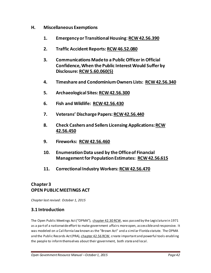- **H. Miscellaneous Exemptions**
	- **1. Emergency or Transitional Housing**: **[RCW 42.56.390](http://apps.leg.wa.gov/rcw/default.aspx?cite=42.56.390)**
	- **2. Traffic Accident Reports[: RCW 46.52.080](http://apps.leg.wa.gov/RCW/default.aspx?cite=46.52.080)**
	- **3. Communications Made to a Public Officer in Official Confidence, When the Public Interest Would Suffer by Disclosure[: RCW 5.60.060\(5\)](http://apps.leg.wa.gov/RCW/default.aspx?cite=5.60.060)**
	- **4. Timeshare and Condominium Owners Lists: [RCW 42.56.340](http://apps.leg.wa.gov/rcw/default.aspx?cite=42.56.340)**
	- **5. Archaeological Sites[: RCW 42.56.300](http://apps.leg.wa.gov/rcw/default.aspx?cite=42.56.300)**
	- **6. Fish and Wildlife: [RCW 42.56.430](http://apps.leg.wa.gov/rcw/default.aspx?cite=42.56.430)**
	- **7. Veterans' Discharge Papers[: RCW 42.56.440](http://apps.leg.wa.gov/rcw/default.aspx?cite=42.56.440)**
	- **8. Check Cashers and Sellers Licensing Applications[: RCW](http://apps.leg.wa.gov/rcw/default.aspx?cite=42.56.450)  [42.56.450](http://apps.leg.wa.gov/rcw/default.aspx?cite=42.56.450)**
	- **9. Fireworks: [RCW 42.56.460](http://apps.leg.wa.gov/rcw/default.aspx?cite=42.56.460)**
	- **10. Enumeration Data used by the Office of Financial Management for Population Estimates: [RCW 42.56.615](http://apps.leg.wa.gov/rcw/default.aspx?cite=42.56.615)**
	- **11. Correctional Industry Workers[: RCW 42.56.470](http://apps.leg.wa.gov/rcw/default.aspx?cite=42.56.470)**

## <span id="page-42-0"></span>**Chapter 3 OPEN PUBLIC MEETINGS ACT**

*Chapter last revised: October 1, 2015*

#### **3.1 Introduction**

The Open Public Meetings Act ("OPMA"), [chapter 42.30 RCW,](http://apps.leg.wa.gov/RCW/default.aspx?cite=42.30) was passed by the Legislature in 1971 as a part of a nationwide effort to make government affairs more open, accessible and responsive. It was modeled on a California law known as the "Brown Act" and a similar Florida statute. The OPMA and the Public Records Act (PRA)[, chapter 42.56 RCW,](http://apps.leg.wa.gov/RCW/default.aspx?cite=42.56) create important and powerful tools enabling the people to inform themselves about their government, both state and local.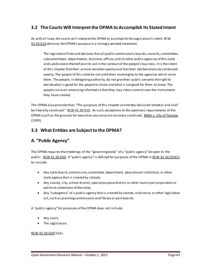#### **3.2 The Courts Will Interpret the OPMA to Accomplish Its Stated Intent**

As with all laws, the courts will interpret the OPMA to accomplish the Legislature's intent. RCW [42.30.010](http://apps.leg.wa.gov/rcw/default.aspx?cite=42.30.010) declares the OPMA's purpose in a strongly worded statement.

The legislature finds and declares that all public commissions, boards, councils, committees, subcommittees, departments, divisions, offices, and all other public agencies of this state and subdivisions thereof exist to aid in the conduct of the people's business. It is the intent of this chapter that their actions be taken openly and that their deliberations be conducted openly. The people of this state do not yield their sovereignty to the agencies which serve them. The people, in delegating authority, do not give their public servants the right to decide what is good for the people to know and what is not good for them to know. The people insist on remaining informed so that they may retain control over the instruments they have created.

The OPMA also provides that, "The purposes of this chapter are hereby declared remedial and shall be liberally construed." [RCW 42.30.910.](http://apps.leg.wa.gov/rcw/default.aspx?cite=42.30.910) As such, exceptions to the openness requirements of the OPMA (such as the grounds for executive sessions) are narrowly construed. *[Miller v. City of Tacoma](http://courts.mrsc.org/mc/courts/zsupreme/138wn2d/138wn2d0318.htm)* (1999).

# **3.3 What Entities are Subject to the OPMA?**

# **A. "Public Agency"**

The OPMA requires that meetings of the "governing body" of a "public agency" be open to the public. [RCW 42.30.030](http://apps.leg.wa.gov/rcw/default.aspx?cite=42.30.030)**.** A "public agency" is defined for purposes of the OPMA i[n RCW 42.30.020\(](http://apps.leg.wa.gov/rcw/default.aspx?cite=42.30.020)1) to include:

- Any state board, commission, committee, department, educational institution, or other state agency that is created by statute;
- Any county, city, school district, special purpose district, or other municipal corporation or political subdivision of the state;
- Any "subagency" of a public agency that is created by statute, ordinance, or other legislative act, such as planning commissions and library or park boards.

A "public agency" for purposes of the OPMA does *not* include:

- Any court;
- The Legislature.

#### [RCW 42.30.020\(](http://apps.leg.wa.gov/rcw/default.aspx?cite=42.30.020)1)(a).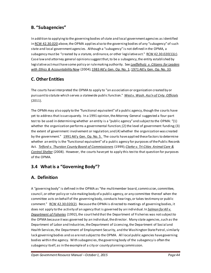# **B. "Subagencies"**

In addition to applying to the governing bodies of state and local government agencies as identified i[n RCW 42.30.020](http://apps.leg.wa.gov/RCW/default.aspx?cite=42.30.020) above, the OPMA applies also to the governing bodies of any "subagency" of such state and local government agencies. Although a "subagency" is not defined in the OPMA, a subagency must be "created by a statute, ordinance, or other legislative act." [RCW 42.30.020\(](http://apps.leg.wa.gov/rcw/default.aspx?cite=42.30.020)1)(c). Case law and attorney general opinions suggest that, to be a subagency, the entity established by legislative act must have some policy or rule making authority. See *[Loeffelholz v. Citizens for Leaders](http://courts.mrsc.org/mc/courts/zappellate/119wnapp/119wnapp0665.htm)  [with Ethics & Accountability Now](http://courts.mrsc.org/mc/courts/zappellate/119wnapp/119wnapp0665.htm)* (2004)[; 1983 Att'y Gen. Op. No. 1;](http://www.atg.wa.gov/ago-opinions/applicability-open-public-meetings-act-services-and-activities-fees-committee) [1971 Att'y Gen. Op. No. 33.](http://www.atg.wa.gov/ago-opinions/meetings-public-applicability-open-public-meetings-act-state-and-local-governmental)

# **C. Other Entities**

The courts have interpreted the OPMA to apply to "an association or organization created by or pursuant to statute which serves a statewide public function." *[West v. Wash. Ass'n of Cnty. Officials](http://courts.mrsc.org/mc/courts/zappellate/162wnapp/162wnapp0120.htm)* (2011).

The OPMA may also apply to the "functional equivalent" of a public agency, though the courts have yet to address that issue squarely. In a 1991 opinion, the Attorney General suggested a four-part test to be used in determining whether an entity is a "public agency" and subject to the OPMA: "(1) whether the organization performs a governmental function; (2) the level of government funding; (3) the extent of government involvement or regulation; and (4) whether the organization was created by the government." [1991 Att'y Gen. Op. No. 5.](http://www.atg.wa.gov/ago-opinions/public-records-open-public-meetings-act-corporations-small-business-export-finance) The courts have applied these factors to determine whether an entity is the "functional equivalent" of a public agency for purposes of the Public Records Act. *[Telford v. Thurston County Board of Commissioners](http://courts.mrsc.org/mc/courts/zappellate/095wnapp/095wnapp0149.htm)* (1999); *[Clarke v. Tri-Cities Animal Care &](http://courts.mrsc.org/mc/courts/zappellate/144wnapp/144wnapp0185.htm)  [Control Shelter](http://courts.mrsc.org/mc/courts/zappellate/144wnapp/144wnapp0185.htm)* (2008). However, the courts have yet to apply this test to that question for purposes of the OPMA.

# **3.4 What is a "Governing Body"?**

# **A. Definition**

A "governing body" is defined in the OPMA as "the multimember board, commission, committee, council, or other policy or rule-making body of a public agency, or any committee thereof when the committee acts on behalf of the governing body, conducts hearings, or takes testimony or public comment." [RCW 42.30.020\(](http://app.leg.wa.gov/rcw/default.aspx?cite=42.30.020)2). Because the OPMA is directed to meetings of governing bodies, it does not apply to the activity of an agency that is governed by an individual. In *[Salmon for All v.](http://courts.mrsc.org/mc/courts/zsupreme/118wn2d/118wn2d0270.htm)  [Department of Fisheries](http://courts.mrsc.org/mc/courts/zsupreme/118wn2d/118wn2d0270.htm)* (1992), the court held that the Department of Fisheries was not subject to the OPMA because it was governed by an individual, the director. Many state agencies, such as the Department of Labor and Industries, the Department of Licensing, the Department of Social and Health Services, the Department of Employment Security, and the Washington State Patrol, similarly lack governing bodies and so are not subject to the OPMA. All local public agencies have governing bodies within the agency. With subagencies, the governing body of the subagency is often the subagency itself, as in the example of a city or county planning commission.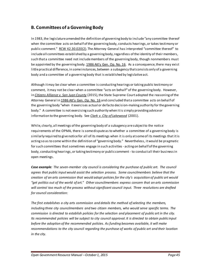#### **B. Committees of a Governing Body**

In 1983, the legislature amended the definition of governing body to include "any committee thereof when the committee acts on behalf of the governing body, conducts hearings, or takes testimony or public comment." [RCW 42.30.020\(](http://app.leg.wa.gov/rcw/default.aspx?cite=42.30.020)2). The Attorney General has interpreted "committee thereof" to include all committees established by a governing body, regardless of the identity of their members, such that a committee need not include members of the governing body, though nonmembers must be appointed by the governing body[. 1986 Att'y Gen. Op. No. 16.](http://www.atg.wa.gov/ago-opinions/applicability-open-public-meetings-act-committee-governing-body) As a consequence, there may exist little practical difference, in some instances, between a subagency that consists only of a governing body and a committee of a governing body that is established by legislative act.

Although it may be clear when a committee is conducting hearings or taking public testimony or comment, it may not be clear when a committee "acts on behalf" of the governing body. However, in *[Citizens Alliance v. San Juan County](http://www.courts.wa.gov/opinions/index.cfm?fa=opinions.showOpinion&filename=905002MAJ)* (2015), the State Supreme Court adopted the reasoning of the Attorney General i[n 1986 Att'y Gen. Op. No. 16](http://www.atg.wa.gov/ago-opinions/applicability-open-public-meetings-act-committee-governing-body) and concluded that a committee acts on behalf of the governing body "when it exercises actual or de facto decision-making authority for the governing body." A committee is not exercising such authority when it is simply providing advice or information to the governing body. See *[Clark v. City of Lakewood](http://openjurist.org/259/f3d/996/brian-clark-v-city-of-lakewood-)* (2001).

While, clearly, all meetings of the governing body of a subagency are subject to the notice requirements of the OPMA, there is some dispute as to whether a committee of a governing body is similarly required to give notice for all of its meetings when it is only at some of its meetings that it is acting so as to come within the definition of "governing body." Nevertheless, it would be pragmatic for such committees that sometimes engage in such activities - acting on behalf of the governing body, conducting hearings, or taking testimony or public comment - to conduct all their business in open meetings.

*Case example: The seven-member city council is considering the purchase of public art. The council agrees that public input would assist the selection process. Some councilmembers believe that the creation of an arts commission that would adopt policies for the city's acquisition of public art would "get politics out of the world of art." Other councilmembers express concern that an arts commission will control too much of the process without significant council input. Three resolutions are drafted for council consideration:*

*The first establishes a city arts commission and details the method of selecting the members, including three city councilmembers and two citizen members, who would serve specific terms. The commission is directed to establish policies for the selection and placement of public art in the city. Its recommended policies will be subject to city council approval. It is directed to obtain public input before the adoption of the recommended policies. As funding becomes available, it will make recommendations to the city council regarding the purchase of works of public art and their location in the city.*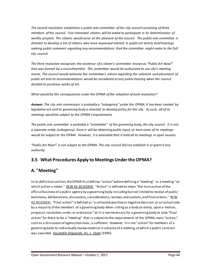*The second resolution establishes a public arts committee of the city council consisting of three members of the council. Five interested citizens will be asked to participate in its determination of worthy projects. The citizens would serve at the pleasure of the council. The public arts committee is directed to develop a list of citizens who have expressed interest in public art and to hold hearings seeking public comment regarding any recommendations that the committee might make to the full city council.*

*The third resolution recognizes the existence of a citizen's committee known as "Public Art Now!" that was formed by a councilmember. The committee would be authorized to use city's meeting rooms. The council would welcome the committee's advice regarding the selection and placement of*  public art and its recommendations would be considered at any public hearing when the council *decided to purchase works of art.*

*What would be the consequences under the OPMA of the adoption of each resolution?*

*Answer: The city arts commission is probably a "subagency" under the OPMA. It has been created by legislative act and its governing body is directed to develop policy for the city. As such, all of its meetings would be subject to the OPMA's requirements.*

*The public arts committee is probably a "committee" of the governing body, the city council. It is not a separate entity (subagency). Since it will be obtaining public input, at least some of its meetings would be subject to the OPMA. However, it is advisable that it hold all its meetings in open session.*

*"Public Art Now!" is not subject to the OPMA. The city council did not establish it or grant it any authority.*

# **3.5 What Procedures Apply to MeetingsUnder the OPMA?**

# **A. "Meeting"**

In its definition section, the OPMA first defines "action" before defining a "meeting" as a meeting "at which action is taken." [RCW 42.30.020\(4\).](http://apps.leg.wa.gov/RCW/default.aspx?cite=42.30.020) "Action" is defined to mean "the transaction of the official business of a public agency by a governing body including but not limited to receipt of public testimony, deliberations, discussions, considerations, reviews, evaluations, and final actions." RCW [42.30.020\(](http://apps.leg.wa.gov/rcw/default.aspx?cite=42.30.020)3). "Final action" is defined as "a collective positive or negative decision, or an actual vote by a majority of the members of a governing body when sitting as a body or entity, upon a motion, proposal, resolution, order, or ordinance." *Id*. It is not necessary for a governing body to take "final action" for there to be a "meeting" that is subject to the requirements of the OPMA; mere "action," such as a discussion of agency business, is sufficient. However, it is not "action" for members of a governing body to individually review material in advance of a meeting at which a public contract was awarded. *[Equitable Shipyards, Inc. v. State](http://courts.mrsc.org/mc/courts/zsupreme/093wn2d/093wn2d0465.htm)* (1980).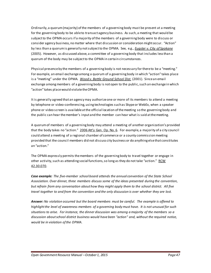Ordinarily, a quorum (majority) ofthe members of a governing body must be present at a meeting for the governing body to be able to transact agency business. As such, a meeting that would be subject to the OPMA occurs if a majority of the members of a governing body were to discuss or consider agency business, no matter where that discussion or consideration might occur. "Action" by less than a quorum is generally not subject to the OPMA*.* See, e.g., *[Eugster v. City of Spokane](http://courts.mrsc.org/mc/courts/zappellate/128wnapp/128wnapp0001.htm)* (2005). However, as discussed above, a committee of a governing body that includes less than a quorum of the body may be subject to the OPMA in certain circumstances.

Physical presence by the members of a governing body is not necessary for there to be a "meeting." For example, an email exchange among a quorum of a governing body in which "action" takes place is a "meeting" under the OPMA. *Wood [v. Battle Ground School Dist](http://courts.mrsc.org/mc/courts/zappellate/107wnapp/107wnapp0550.htm)*. (2001). Since an email exchange among members of a governing body is not open to the public, such an exchange in which "action" takes place would violate the OPMA.

It is generally agreed that an agency may authorize one or more of its members to attend a meeting by telephone or video-conferencing, using technologies such as Skype or WebEx, when a speaker phone or video screen is available at the official location of the meeting so the governing body and the public can hear the member's input and the member can hear what is said at the meeting.

A quorum of members of a governing body may attend a meeting of another organization's provided that the body takes no "action." [2006 Att'y Gen. Op. No. 6.](http://www.atg.wa.gov/ago-opinions/applicability-open-public-meetings-act-when-quorum-members-governing-body-are-present) For example, a majority of a city council could attend a meeting of a regional chamber of commerce or a county commission meeting provided that the council members did not discuss city business or do anything else that constitutes an "action."

The OPMA expressly permits the members of the governing body to travel together or engage in other activity, such as attending social functions, so long as they do not take "action." [RCW](http://apps.leg.wa.gov/rcw/default.aspx?cite=42.30.070)  [42.30.070.](http://apps.leg.wa.gov/rcw/default.aspx?cite=42.30.070)

*Case example: The five-member school board attends the annual convention of the State School Association. Over dinner, three members discuss some of the ideas presented during the convention, but refrain from any conversation about how they might apply them to the school district. All five travel together to and from the convention and the only discussion is over whether they are lost.*

*Answer: No violation occurred but the board members must be careful. The example is offered to highlight the level of awareness members of a governing body must have. It is not unusual for such situations to arise. For instance, the dinner discussion was among a majority of the members so a discussion about school district business would have been "action" and, without the required notice, would be in violation of the OPMA.*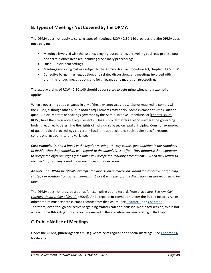# **B. Types of Meetings Not Covered by the OPMA**

The OPMA does not apply to certain types of meetings. [RCW 42.30.140](http://apps.leg.wa.gov/rcw/default.aspx?cite=42.30.140) provides that the OPMA does not apply to:

- Meetings involved with the issuing, denying, suspending, or revoking business, professional, and certain other licenses, including disciplinary proceedings
- Quasi-judicial proceedings
- Meetings involving matters subject to the Administrative Procedure Act[, chapter 34.05 RCW](http://apps.leg.wa.gov/rcw/default.aspx?cite=34.05)
- Collective bargaining negotiations and related discussions, and meetings involved with planning for such negotiations and for grievance and mediation proceedings

The exact wording of [RCW 42.30.140](http://apps.leg.wa.gov/rcw/default.aspx?cite=42.30.140) should be consulted to determine whether an exemption applies.

When a governing body engages in any of these exempt activities, it is not required to comply with the OPMA, although other public notice requirements may apply. Some exempt activities, such as quasi-judicial matters or hearings governed by the Administrative Procedure Act (chapter 34.05 [RCW\)](http://apps.leg.wa.gov/rcw/default.aspx?cite=34.05), have their own notice requirements. Quasi-judicial matters are those where the governing body is required to determine the rights of individuals based on legal principles. Common examples of quasi-judicial proceedings are certain local land use decisions, such as site-specific rezones, conditional use permits, and variances.

*Case example: During a break in the regular meeting, the city council gets together in the chambers to decide what they should do with regard to the union's latest offer. They authorize the negotiator to accept the offer on wages if the union will accept the seniority amendments. When they return to the meeting, nothing is said about the discussion or decision.*

*Answer: The OPMA specifically exempts the discussion and decisions about the collective bargaining strategy or position from its requirements. Since it was exempt, the discussion was not required to be open.*

The OPMA does not provide grounds for exempting public records from disclosure. See *[Am. Civil](http://courts.mrsc.org/mc/courts/zappellate/121wnapp/121wnapp0544.htm)  [Liberties Union v. City](http://courts.mrsc.org/mc/courts/zappellate/121wnapp/121wnapp0544.htm) of Seattle* (2004). An independent exemption under the Public Records Act or other statute must exist to exempt records from disclosure. Se[e Chapter 1](#page-4-0) an[d Chapter 2.](#page-18-0) Therefore, even though collective bargaining matters can be discussed in a closed session, this is not a basis for withholding public records reviewed in the executive session relating to that topic.

# **C. Public Notice of Meetings**

Under the OPMA, public agencies must give notice of regular and special meetings. Se[e Chapter 3.6](#page-50-0) for details.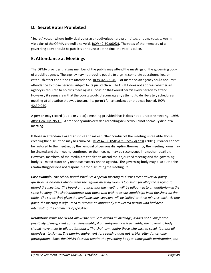#### **D. Secret Votes Prohibited**

"Secret" votes - where individual votes are not divulged - are prohibited, and any votes taken in violation of the OPMA are null and void[. RCW 42.30.060](http://apps.leg.wa.gov/rcw/default.aspx?cite=42.30.060)(2). The votes of the members of a governing body should be publicly announced at the time the vote is taken.

#### **E. Attendance at Meetings**

The OPMA provides that any member of the public may attend the meetings of the governing body of a public agency. The agency may not require people to sign in, complete questionnaires, or establish other conditions to attendance. [RCW 42.30.040.](http://apps.leg.wa.gov/rcw/default.aspx?cite=42.30.040) For instance, an agency could not limit attendance to those persons subject to its jurisdiction. The OPMA does not address whether an agency is required to hold its meeting at a location that would permit every person to attend. However, it seems clear that the courts would discourage any attempt to deliberately schedule a meeting at a location that was too small to permit full attendance or that was locked. RCW [42.30.050.](http://apps.leg.wa.gov/RCW/default.aspx?cite=42.30.050)

A person may record (audio or video) a meeting provided that it does not disrupt the meeting. 1998 [Att'y Gen. Op. No.15.](http://www.atg.wa.gov/ago-opinions/authority-county-restrict-video-andor-sound-recording-county-meetings) A stationary audio or video recording device would not normally disrupt a meeting.

If those in attendance are disruptive and make further conduct of the meeting unfeasible, those creating the disruption may be removed. [RCW 42.30.050;](http://apps.leg.wa.gov/rcw/default.aspx?cite=42.30.050) *[In re Recall of Kast](http://courts.mrsc.org/mc/courts/zsupreme/144wn2d/144wn2d0807.htm)* (2001). If order cannot be restored to the meeting by the removal of persons disrupting the meeting, the meeting room may be cleared and the meeting continued, or the meeting may be reconvened in another location. However, members of the media are entitled to attend the adjourned meeting and the governing body is limited to act only on those matters on the agenda. The governing body may also authorize readmitting persons not responsible for disrupting the meeting. *Id.*

*Case example: The school board schedules a special meeting to discuss a controversial policy question. It becomes obvious that the regular meeting room is too small for all of those trying to attend the meeting. The board announces that the meeting will be adjourned to an auditorium in the same building. The chair announces that those who wish to speak should sign in on the sheet on the table. She states that given the available time, speakers will be limited to three minutes each. At one point, the meeting is adjourned to remove an apparently intoxicated person who had been interrupting the comments of speakers.*

*Resolution: While the OPMA allows the public to attend all meetings, it does not allow for the possibility of insufficient space. Presumably, if a nearby location is available, the governing body should move there to allow attendance. The chair can require those who wish to speak (but not all attendees) to sign in. The sign-in requirement for speaking does not restrict attendance, only participation. Since the OPMA does not require the governing body to allow public participation, the*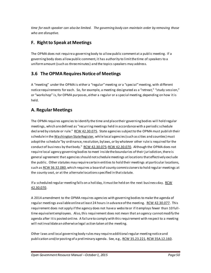*time for each speaker can also be limited. The governing body can maintain order by removing those who are disruptive.*

# **F. Right to Speak at Meetings**

The OPMA does not require a governing body to allow public comment at a public meeting. If a governing body does allow public comment, it has authority to limit the time of speakers to a uniform amount (such as three minutes) and the topics speakers may address.

#### <span id="page-50-0"></span>**3.6 The OPMA Requires Notice of Meetings**

A "meeting" under the OPMA is either a "regular" meeting or a "special" meeting, with different notice requirements for each. So, for example, a meeting designated as a "retreat," "study session," or "workshop" is, for OPMA purposes, either a regular or a special meeting, depending on how it is held.

#### **A. Regular Meetings**

The OPMA requires agencies to identify the time and place their governing bodies will hold regular meetings, which are defined as "recurring meetings held in accordance with a periodic schedule declared by statute or rule." [RCW 42.30.075.](http://apps.leg.wa.gov/rcw/default.aspx?cite=42.30.075) State agencies subject to the OPMA must publish their schedule in th[e Washington State Register,](http://www.leg.wa.gov/codereviser/pages/washington_state_register.aspx) while local agencies (such as cities and counties) must adopt the schedule "by ordinance, resolution, bylaws, or by whatever other rule is required for the conduct of business by that body." [RCW 42.30.075](http://apps.leg.wa.gov/rcw/default.aspx?cite=42.30.075)[; RCW 42.30.070.](http://apps.leg.wa.gov/rcw/default.aspx?cite=42.30.070) Although the OPMA does not require local agency governing bodies to meet inside the boundaries of their jurisdiction, there is general agreement that agencies should not schedule meetings at locations that effectively exclude the public. Other statutes may require certain entities to hold their meetings at particular locations, such a[s RCW 36.32.080](http://apps.leg.wa.gov/RCW/default.aspx?cite=36.32.080), which requires a board of county commissioners to hold regular meetings at the county seat, or at the alternate locations specified in that statute.

If a scheduled regular meeting falls on a holiday, it must be held on the next business day[. RCW](http://apps.leg.wa.gov/rcw/default.aspx?cite=42.30.070)  [42.30.070.](http://apps.leg.wa.gov/rcw/default.aspx?cite=42.30.070)

A 2014 amendment to the OPMA requires agencies with governing bodies to make the agenda of regular meetings available online at least 24 hours in advance of the meeting. [RCW 42.30.077.](http://app.leg.wa.gov/rcw/default.aspx?cite=42.30.077) This requirement does not apply if the agency does not have a website or if it employs fewer than 10 fulltime equivalent employees. Also, this requirement does not mean that an agency cannot modify the agenda after it is posted online. A failure to comply with this requirement with respect to a meeting will not invalidate an otherwise legal action taken at the meeting.

Other laws and local governing body rules may require additional regular meeting notice and publication and/or posting of a preliminary agenda. See, e.g., [RCW 35.23.221](http://apps.leg.wa.gov/rcw/default.aspx?cite=35.23.221)[, RCW 35A.12.160.](http://apps.leg.wa.gov/RCW/default.aspx?cite=35A.12.160)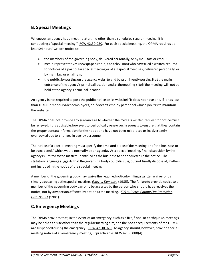#### **B. Special Meetings**

Whenever an agency has a meeting at a time other than a scheduled regular meeting, it is conducting a "special meeting." [RCW 42.30.080.](http://apps.leg.wa.gov/RCW/default.aspx?cite=42.30.080) For each special meeting, the OPMA requires at least 24 hours' written notice to:

- the members of the governing body, delivered personally, or by mail, fax, or email;
- media representatives (newspaper, radio, and television) who have filed a written request for notices of a particular special meeting or of all special meetings, delivered personally, or by mail, fax, or email; and
- the public, by posting on the agency website and by prominently posting it at the main entrance of the agency's principal location and at the meeting site if the meeting will not be held at the agency's principal location.

An agency is not required to post the public notice on its website if it does not have one, if it has less than 10 full-time equivalent employees, or if doesn't employ personnel whose job it is to maintain the website.

The OPMA does not provide any guidance as to whether the media's written request for notice must be renewed; it is advisable, however, to periodically renew such requests to ensure that they contain the proper contact information for the notice and have not been misplaced or inadvertently overlooked due to changes in agency personnel.

The notice of a special meeting must specify the time and place of the meeting and "the business to be transacted," which would normally be an agenda. At a special meeting, final disposition by the agency is limited to the matters identified as the business to be conducted in the notice. The statutory language suggests that the governing body could discuss, but not finally dispose of, matters not included in the notice of the special meeting.

A member of the governing body may waive the required notice by filing a written waiver or by simply appearing at the special meeting. *[Estey v. Dempsey](http://courts.mrsc.org/mc/courts/zsupreme/104wn2d/104wn2d0597.htm)* (1985). The failure to provide notice to a member of the governing body can only be asserted by the person who should have received the notice, not by any person affected by action at the meeting. *[Kirk v. Pierce County Fire Protection](http://courts.mrsc.org/mc/courts/zsupreme/095wn2d/095wn2d0769.htm)  [Dist. No. 21](http://courts.mrsc.org/mc/courts/zsupreme/095wn2d/095wn2d0769.htm)* (1981).

# **C. Emergency Meetings**

The OPMA provides that, in the event of an emergency such as a fire, flood, or earthquake, meetings may be held at a site other than the regular meeting site, and the notice requirements of the OPMA are suspended during the emergency. [RCW 42.30.070](http://apps.leg.wa.gov/rcw/default.aspx?cite=42.30.070). An agency should, however, provide specialmeeting notice of an emergency meeting, if practicable. [RCW 42.30.080\(](http://apps.leg.wa.gov/rcw/default.aspx?cite=42.30.080)4).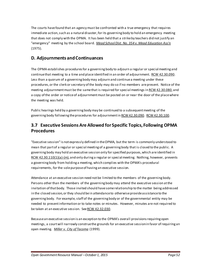The courts have found that an agency must be confronted with a true emergency that requires immediate action, such as a natural disaster, for its governing body to hold an emergency meeting that does not comply with the OPMA. It has been held that a strike by teachers did not justify an "emergency" meeting by the school board. *[Mead School Dist. No. 354 v. Mead Education Ass'n](http://courts.mrsc.org/mc/courts/zsupreme/085wn2d/085wn2d0140.htm)* (1975).

#### **D. Adjournments and Continuances**

The OPMA establishes procedures for a governing body to adjourn a regular or special meeting and continue that meeting to a time and place identified in an order of adjournment. [RCW 42.30.090.](http://apps.leg.wa.gov/rcw/default.aspx?cite=42.30.090) Less than a quorum of a governing body may adjourn and continue a meeting under these procedures, or the clerk or secretary of the body may do so if no members are present. Notice of the meeting adjournment must be the same that is required for special meetings i[n RCW 42.30.080,](http://apps.leg.wa.gov/rcw/default.aspx?cite=42.30.080) and a copy of the order or notice of adjournment must be posted on or near the door of the place where the meeting was held.

Public hearings held by a governing body may be continued to a subsequent meeting of the governing body following the procedures for adjournment i[n RCW 42.30.090.](http://apps.leg.wa.gov/rcw/default.aspx?cite=42.30.090) [RCW 42.30.100.](http://apps.leg.wa.gov/rcw/default.aspx?cite=42.30.100)

#### **3.7 Executive Sessions Are Allowed for Specific Topics, Following OPMA Procedures**

"Executive session" is not expressly defined in the OPMA, but the term is commonly understood to mean that part of a regular or special meeting of a governing body that is closed to the public. A governing body may hold an executive session only for specified purposes, which are identified in [RCW 42.30.110\(1\)\(a\)-\(m\)](http://apps.leg.wa.gov/RCW/default.aspx?cite=42.30.110), and only during a regular or special meeting. Nothing, however, prevents a governing body from holding a meeting, which complies with the OPMA's procedural requirements, for the sole purpose of having an executive session.

Attendance at an executive session need not be limited to the members of the governing body. Persons other than the members of the governing body may attend the executive session at the invitation of that body. Those invited should have some relationship to the matter being addressed in the closed session, or they should be in attendance to otherwise provide assistance to the governing body. For example, staff of the governing body or of the governmental entity may be needed to present information or to take notes or minutes. However, minutes are not required to be taken at an executive session. Se[e RCW 42.32.030](http://apps.leg.wa.gov/RCW/default.aspx?cite=42.32.030).

Because an executive session is an exception to the OPMA's overall provisions requiring open meetings, a court will narrowly construe the grounds for an executive session in favor of requiring an open meeting. *[Miller v. City of Tacoma](http://courts.mrsc.org/mc/courts/zsupreme/138wn2d/138wn2d0318.htm)* (1999).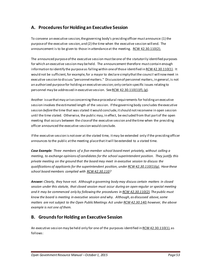#### **A. Procedures for Holding an Executive Session**

To convene an executive session, the governing body's presiding officer must announce: (1) the purpose of the executive session, and (2) the time when the executive session will end. The announcement is to be given to those in attendance at the meeting. [RCW 42.30.110\(2\).](http://apps.leg.wa.gov/RCW/default.aspx?cite=42.30.110)

The announced purpose of the executive session must be one of the statutorily identified purposes for which an executive session may be held. The announcement therefore must contain enough information to identify the purpose as falling within one of those identified i[n RCW 42.30.110\(1\).](http://apps.leg.wa.gov/RCW/default.aspx?cite=42.30.110) It would not be sufficient, for example, for a mayor to declare simply that the council will now meet in executive session to discuss "personnel matters." Discussion of personnel matters, in general, is not an authorized purpose for holding an executive session; only certain specific issues relating to personnel may be addressed in executive session. Se[e RCW 42.30.110\(1\)\(f\), \(g\).](http://apps.leg.wa.gov/RCW/default.aspx?cite=42.30.110)

Another issue that may arise concerning these procedural requirements for holding an executive session involves the estimated length of the session. If the governing body concludes the executive session *before* the time that was stated it would conclude, it should not reconvene in open session until the time stated. Otherwise, the public may, in effect, be excluded from that part of the open meeting that occurs between the close of the executive session and the time when the presiding officer announced the executive session would conclude.

If the executive session is not over at the stated time, it may be extended only if the presiding officer announces to the public at the meeting place that it will be extended to a stated time.

*Case Example: Three members of a five-member school board meet privately, without calling a meeting, to exchange opinions of candidates for the school superintendent position. They justify this private meeting on the ground that the board may meet in executive session to discuss the qualifications of applicants for the superintendent position, unde[r RCW 42.30.110\(1\)\(g\).](http://apps.leg.wa.gov/RCW/default.aspx?cite=42.30.110) Have these school board members complied with [RCW 42.30.110?](http://apps.leg.wa.gov/RCW/default.aspx?cite=42.30.110)*

*Answer: Clearly, they have not. Although a governing body may discuss certain matters in closed session under this statute, that closed session must occur during an open regular or special meeting and it may be commenced only by following the procedures i[n RCW 42.30.110\(2\).](http://apps.leg.wa.gov/RCW/default.aspx?cite=42.30.110) The public must know the board is meeting in executive session and why. Although, as discussed above, some matters are not subject to the Open Public Meetings Act unde[r RCW 42.30.140;](http://apps.leg.wa.gov/RCW/default.aspx?cite=42.30.140) however, the above example is not one of them.*

#### **B. Grounds for Holding an Executive Session**

An executive session may be held only for one of the purposes identified i[n RCW 42.30.110\(1\)](http://apps.leg.wa.gov/RCW/default.aspx?cite=42.30.110), as follows: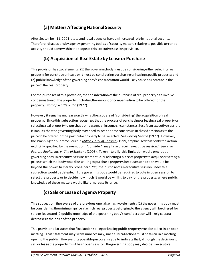# **(a) Matters Affecting National Security**

After September 11, 2001, state and local agencies have an increased role in national security. Therefore, discussions by agency governing bodies of security matters relating to possible terrorist activity should come within the scope of this executive session provision.

# <span id="page-54-0"></span>**(b) Acquisition of Real Estate by Lease or Purchase**

This provision has two elements: (1) the governing body must be considering either selecting real property for purchase or lease or it must be considering purchasing or leasing specific property; and (2) public knowledge of the governing body's consideration would likely cause an increase in the price of the real property.

For the purposes of this provision, the consideration of the purchase of real property can involve condemnation of the property, including the amount of compensation to be offered for the property. *[Port of Seattle v. Rio](http://courts.mrsc.org/mc/courts/zappellate/016wnapp/016wnapp0718.htm)* (1977).

However, it remains unclear exactly what the scope is of "considering" the acquisition of real property. Since this subsection recognizes that the process of purchasing or leasing real property or selecting real property to purchase or lease may, in some circumstances, justify an executive session, it implies that the governing body may need to reach some consensus in closed session as to the price to be offered or the particular property to be selected. See *[Port of Seattle](http://courts.mrsc.org/mc/courts/zappellate/016wnapp/016wnapp0718.htm)* (1977). However, the Washington Supreme Court in *[Miller v. City of Tacoma](http://courts.mrsc.org/mc/courts/zsupreme/138wn2d/138wn2d0318.htm)* (1999) emphasized that "only the action explicitly specified by the exemption ["consider"] may take place in executive session." See also *[Feature Realty, Inc. v. City of Spokane](http://caselaw.findlaw.com/us-9th-circuit/1158500.html)* (2003). Taken literally, this limitation would preclude a governing body in executive session from actually selecting a piece of property to acquire or setting a price at which the body would be willing to purchase property, because such action would be beyond the power to merely "consider." Yet, the purpose of an executive session under this subjection would be defeated if the governing body would be required to vote in open session to select the property or to decide how much it would be willing to pay for the property, where public knowledge of these matters would likely increase its price.

# **(c) Sale or Lease of Agency Property**

This subsection, the reverse of the previous one, also has two elements: (1) the governing body must be considering the minimum priceat which real property belonging to the agency will be offered for sale or lease; and (2) public knowledge of the governing body's consideration will likely cause a decrease in the price of the property.

This provision also states that final action selling or leasing public property must be taken in an open meeting. That statement may seem unnecessary, since all final actions must be taken in a meeting open to the public. However, its possible purpose may be to indicate that, although the decision to sell or lease the property must be in open session, the governing body may decide in executive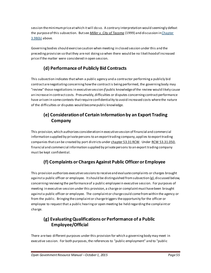session the minimum price at which it will do so. A contrary interpretation would seemingly defeat the purpose of this subsection. But see *[Miller v. City of Tacoma](http://courts.mrsc.org/mc/courts/zsupreme/138wn2d/138wn2d0318.htm)* (1999) and discussion i[n Chapter](#page-54-0)  [3.9B\(b\)](#page-54-0) above.

Governing bodies should exercise caution when meeting in closed session under this and the preceding provision so that they are not doing so when there would be no likelihood of increased price if the matter were considered in open session.

# **(d) Performance of Publicly Bid Contracts**

This subsection indicates that when a public agency and a contractor performing a publicly bid contract are negotiating concerning how the contract is being performed, the governing body may "review" those negotiations in executive session *if* public knowledge of the review would likely cause an increase in contract costs. Presumably, difficulties or disputes concerning contract performance have arisen in some contexts that require confidentiality to avoid increased costs where the nature of the difficulties or disputes would become public knowledge.

# **(e) Consideration of Certain Information by an Export Trading Company**

This provision, which authorizes consideration in executive session of financial and commercial information supplied by private persons to an export trading company, applies to export trading companies that can be created by port districts unde[r chapter 53.31 RCW.](http://apps.leg.wa.gov/RCW/default.aspx?cite=53.31) Unde[r RCW 53.31.050,](http://apps.leg.wa.gov/RCW/default.aspx?cite=53.31.050) financial and commercial information supplied by private persons to an export trading company must be kept confidential.

# **(f) Complaints or Charges Against Public Officer or Employee**

This provision authorizes executive sessions to receive and evaluate complaints or charges brought against a public officer or employee. It should be distinguished from subsection (g), discussed below, concerning reviewing the performance of a public employee in executive session. For purposes of meeting in executive session under this provision, a charge or complaint must have been brought against a public officer or employee. The complaint or charge could come from within the agency or from the public. Bringing the complaint or charge triggers the opportunity for the officer or employee to request that a public hearing or open meeting be held regarding the complaint or charge.

# **(g) Evaluating Qualifications or Performance of a Public Employee/Official**

There are two different purposes under this provision for which a governing body may meet in executive session. For both purposes, the references to "public employment" and to "public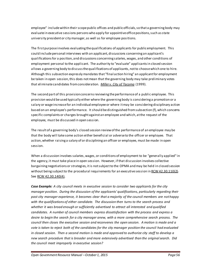employee" include within their scope public offices and public officials, so that a governing body may evaluate in executive sessions persons who apply for appointive office positions, such as state university president or city manager, as well as for employee positions.

The first purpose involves evaluating the qualifications of applicants for public employment. This could include personal interviews with an applicant, discussions concerning an applicant's qualifications for a position, and discussions concerning salaries, wages, and other conditions of employment personal to the applicant. The authority to "evaluate" applicants in closed session allows a governing body to discuss the qualifications of applicants, not to choose which one to hire. Although this subsection expressly mandates that "final action hiring" an applicant for employment be taken in open session, this does not mean that the governing body may take preliminary votes that eliminate candidates from consideration. *[Miller v. City of Tacoma](http://courts.mrsc.org/mc/courts/zsupreme/138wn2d/138wn2d0318.htm)* (1999).

The second part of this provision concerns reviewing the performance of a public employee. This provision would be used typically either where the governing body is considering a promotion or a salary or wage increase for an individual employee or where it may be considering disciplinary action based on an employee's performance. It should be distinguished from subsection (f), which concerns specific complaints or charges brought against an employee and which, at the request of the employee, must be discussed in open session.

The result of a governing body's closed session review of the performance of an employee may be that the body will take some action either beneficial or adverse to the officer or employee. That action, whether raising a salary of or disciplining an officer or employee, must be made in open session.

When a discussion involves salaries, wages, or conditions of employment to be "generally applied" in the agency, it must take place in open session. However, if that discussion involves collective bargaining negotiations or strategies, it is not subject to the OPMA and may be held in closed session without being subject to the procedural requirements for an executive session i[n RCW 42.30.110\(2\)](http://apps.leg.wa.gov/RCW/default.aspx?cite=42.30.110). See RCW [42.30.140\(4\)](http://apps.leg.wa.gov/RCW/default.aspx?cite=42.30.140).

*Case Example: A city council meets in executive session to consider two applicants for the city manager position. During the discussion of the applicants' qualifications, particularly regarding their past city manager experience, it becomes clear that a majority of the council members are not happy with the qualifications of either candidate. The discussion then turns to the search process and whether it was broad enough or sufficiently advertised to attract all interested and qualified candidates. A number of council members express dissatisfaction with the process and express a desire to begin the search for a city manager anew, with a more comprehensive search process. The council then closes the executive session and reconvenes the open session. A motion is made and a vote is taken to reject both of the candidates for the city manager position the council had evaluated in closed session. Then a second motion is made and approved to authorize city staff to develop a new search procedure that is broader and more extensively advertised than the original search. Did the council meet improperly in executive session?*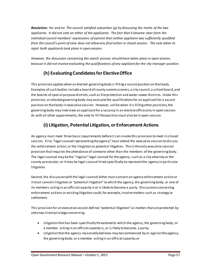*Resolution: Yes and no. The council satisfied subsection (g) by discussing the merits of the two applicants. It did not vote on either of the applicants. The fact that it became clear from the individual council members' expressions of opinion that neither applicant was sufficiently qualified from the council's point of view does not allow any final action in closed session. The vote taken to reject both applicants took place in open session.*

*However, the discussion concerning the search process should have taken place in open session, because it did not involve evaluating the qualifications of any applicant for the city manager position.*

# **(h) Evaluating Candidates for Elective Office**

This provision applies when an elected governing body is filling a vacant position on that body. Examples of such bodies include a board of county commissioners, a city council, a school board, and the boards of special purpose districts, such as fire protection and water-sewer districts. Under this provision, an elected governing body may evaluate the qualifications for an applicant for a vacant position on that body in executive session. However, unlike when it is filling other positions, the governing body may interview an applicant for a vacancy in an elective office only in open session. As with all other appointments, the vote to fill the position must also be in open session.

# **(i) Litigation, Potential Litigation, or Enforcement Actions**

An agency must meet three basic requirements before it can invoke this provision to meet in closed session. First, "legal counsel representing the agency" must attend the executive session to discuss the enforcement action, or the litigation or potential litigation. This is the only executive session provision that requires the attendance of someone other than the members of the governing body. The legal counsel may be the "regular" legal counsel for the agency, such as a city attorney or the county prosecutor, or it may be legal counsel hired specifically to represent the agency in particular litigation.

Second, the discussion with the legal counsel either must concern an agency enforcement action or it must concern litigation or "potential litigation" to which the agency, the governing body, or one of its members acting in an official capacity is or is likely to become a party. Discussions concerning enforcement actions or existing litigation could, for example, involve matters such as strategy or settlement.

This provision for an executive session defines "potential litigation" as matters that are protected by attorney-client privilege concerning:

- Litigation that has been specifically threatened to which the agency, the governing body, or a member acting in an official capacity is, or is likely to become, a party;
- Litigation that the agency reasonably believes may be commenced by or against the agency, the governing body, or a member acting in an official capacity; or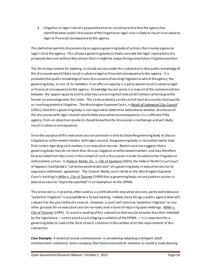• Litigation or legal risks of a proposed action or current practice that the agency has identified when public discussion of the litigation or legal risks is likely to result in an adverse legal or financial consequence to the agency.

This definition permits discussions by an agency governing body of actions that involve a genuine legal risk to the agency. This allows a governing body to freely consider the legal implications of a proposed decision without the concern that it might be jeopardizing some future litigation position.

The third requirement for meeting in closed session under this subsection is that public knowledge of the discussion would likely result in adverse legal or financial consequence to the agency. It is probable that public knowledge of most discussions of existing litigation to which the agency, the governing body, or one of its members in an official capacity is a party would result in adverse legal or financial consequence to the agency. Knowledge by one party in a lawsuit of the communications between the opposing party and its attorney concerning that lawsuit will almost certainly give the former an advantage over the latter. The same probably can be said of most discussions that qualify as involving potential litigation. The Washington Supreme Court, in *[Recall of Lakewood City Council](http://courts.mrsc.org/mc/courts/zsupreme/144wn2d/144wn2d0583.htm)* (2001), held that a governing body is not required to determine beforehand whether disclosure of the discussion with legal counsel would likely have adverse consequences; it is sufficient if the agency, from an objective standard, should know that the discussion is not benign and will likely result in adverse consequences.

Since the purpose of this executive session provision is only to allow the governing body to *discuss* litigation or enforcement matters with legal counsel, the governing body is not authorized to take final action regarding such matters in an executive session. Recent case law suggests that a governing body may do no more than discuss litigation or enforcement matters and may therefore be precluded from decisions in the context of such a discussion in order to advance the litigation or enforcement action*.* In *[Feature Realty, Inc. v. City of Spokane](http://caselaw.findlaw.com/us-9th-circuit/1158500.html)* (2003), the federal Ninth Circuit Court of Appeals invalidated a "collective positive decision" of a governing body in executive session to approvea settlement agreement. The *Feature Realty* court relied on the Washington Supreme Court's holding in *[Miller v. City of Tacoma](http://courts.mrsc.org/mc/courts/zsupreme/138wn2d/138wn2d0318.htm)* (1999) that a governing body can only take an action in executive session "explicitly specified" in an exemption to the OPMA.

This provision is, in practice, often used as a justification for executive sessions, particularly because "potential litigation" is susceptible to a broad reading. Indeed, many things a public agency does will subject it to the possibility of a lawsuit. However, a court will construe "potential litigation" or any other grounds for an executive session narrowly and in favor of requiring open meetings. *[Miller v.](http://courts.mrsc.org/mc/courts/zsupreme/138wn2d/138wn2d0318.htm)  [City of Tacoma](http://courts.mrsc.org/mc/courts/zsupreme/138wn2d/138wn2d0318.htm)* (1999). To avoid a reading of this subsection that may be broader than that intended by the legislature— and to avoid a suit alleging a violation of the OPMA — it is important for a governing body to look at the facts of each situation in the context of all the requirements of this subsection.

*Case Example: A board of county commissioners is considering adopting a stringent adult entertainment ordinance, and a company that had announced its intention to locate a nude dancing*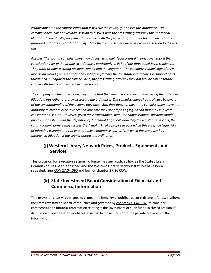*establishment in the county states that it will sue the county if it passes this ordinance. The commissioners call an executive session to discuss with the prosecuting attorney this "potential litigation." Specifically, they intend to discuss with the prosecuting attorney his opinion as to the proposed ordinance's constitutionality. May the commissioners meet in executive session to discuss this?*

*Answer: The county commissioners may discuss with their legal counsel in executive session the constitutionality of the proposed ordinance, particularly in light of the threatened legal challenge. They want to have a strong position coming into the litigation. The company's knowledge of their discussion would give it an unfair advantage in framing the constitutional theories in support of its threatened suit against the county. Also, the prosecuting attorney may not feel he can be totally candid with the commissioners in open session.*

*The company, on the other hand, may argue that the commissioners are not discussing the potential litigation, but rather are only discussing the ordinance. The commissioners should always be aware of the constitutionality of the actions they take. But, that does not mean the commissioners have the authority to meet in executive session any time they are proposing legislation that may implicate constitutional issues. However, given the circumstances here, the commissioners' position should prevail. Consistent with the definition of "potential litigation" added by the legislature in 2001, the county commissioners may discuss the "legal risks of a proposed action," in this case, the legal risks of adopting a stringent adult entertainment ordinance, particularly when the company has threatened litigation if the county adopts the ordinance.* 

#### **(j) Western Library Network Prices, Products, Equipment, and Services**

This provision for executive session no longer has any applicability, as the State Library Commission has been abolished and the Western Library Network statutes have been repealed. See [RCW 27.04.090](http://apps.leg.wa.gov/RCW/default.aspx?cite=27.04.900) and former chapter 27.26 RCW.

## **(k) State Investment Board Consideration of Financial and Commercial information**

This provision clearly is designed to protect the integrity of public trust or retirement funds. It allows the State Investment Board, established and governed b[y chapter 43.33A RCW,](http://apps.leg.wa.gov/RCW/default.aspx?cite=43.33A) to consider commercial and financial information relating to the investment of such funds in closed session, if discussion in open session would result in loss to those funds or to the private providers of the information.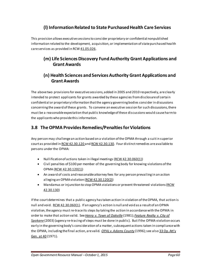# **(l) Information Related to State Purchased Health Care Services**

This provision allows executive sessions to consider proprietary or confidential nonpublished information related to the development, acquisition, or implementation of state purchased health care services as provided in RCW [41.05.026](http://app.leg.wa.gov/rcw/default.aspx?cite=41.05.026).

#### **(m) Life Sciences Discovery Fund Authority Grant Applications and Grant Awards**

#### **(n) Health Sciences and Services Authority Grant Applications and Grant Awards**

The above two provisions for executive sessions, added in 2005 and 2010 respectively, are clearly intended to protect applicants for grants awarded by these agencies from disclosure of certain confidential or proprietary information that the agency governing bodies consider in discussions concerning the award of these grants. To convene an executive session for such discussions, there must be a reasonable expectation that public knowledge of these discussions would cause harm to the applicants who provide this information.

# **3.8 The OPMA Provides Remedies/Penalties for Violations**

Any person may challenge an action based on a violation of the OPMA through a suit in superior court as provided i[n RCW 42.30.120](http://apps.leg.wa.gov/RCW/default.aspx?cite=42.30.120) and [RCW 42.30.130.](http://apps.leg.wa.gov/RCW/default.aspx?cite=42.30.130) Four distinct remedies are available to persons under the OPMA:

- Nullification of actions taken in illegal meetings [\(RCW 42.30.060\(](http://apps.leg.wa.gov/rcw/default.aspx?cite=42.30.060)1))
- Civil penalties of \$100 per member of the governing body for knowing violations of the OPMA [\(RCW 42.30.120\(](http://apps.leg.wa.gov/rcw/default.aspx?cite=42.30.120)1))
- An award of costs and reasonable attorney fees for any person prevailing in an action alleging an OPMA violation [\(RCW 42.30.120](http://apps.leg.wa.gov/rcw/default.aspx?cite=42.30.120)(2))
- Mandamus or injunction to stop OPMA violations or prevent threatened violations [\(RCW](http://apps.leg.wa.gov/rcw/default.aspx?cite=42.30.130)  [42.30.130\)](http://apps.leg.wa.gov/rcw/default.aspx?cite=42.30.130)

If the court determines that a public agency has taken action in violation of the OPMA, that action is null and void. [RCW 42.30.060](http://apps.leg.wa.gov/rcw/default.aspx?cite=42.30.060)(1). If an agency's action is null and void as a result of an OPMA violation, theagency must re-trace its steps by taking the action in accordance with the OPMA in order to make that action valid. See*[Henry v. Town of Oakville](http://courts.mrsc.org/mc/courts/zappellate/030wnapp/030wnapp0240.htm)* (1981); *[Feature Realty v. City of](https://law.resource.org/pub/us/case/reporter/F3/331/331.F3d.1082.01-36137.02-35430.html)  [Spokane](https://law.resource.org/pub/us/case/reporter/F3/331/331.F3d.1082.01-36137.02-35430.html)* (2003) (agency re-tracing of steps must be done in public). But if the OPMA violation occurs early in the governing body's consideration of a matter, subsequent actions taken in compliance with the OPMA, including the final action, are valid. *[OPAL v. Adams County](http://courts.mrsc.org/mc/courts/zsupreme/128wn2d/128wn2d0869.htm)* (1996); see also [33 Op. Att'y](http://www.atg.wa.gov/ago-opinions/meetings-public-applicability-open-public-meetings-act-state-and-local-governmental)  [Gen. at 40](http://www.atg.wa.gov/ago-opinions/meetings-public-applicability-open-public-meetings-act-state-and-local-governmental) (1971)*.*